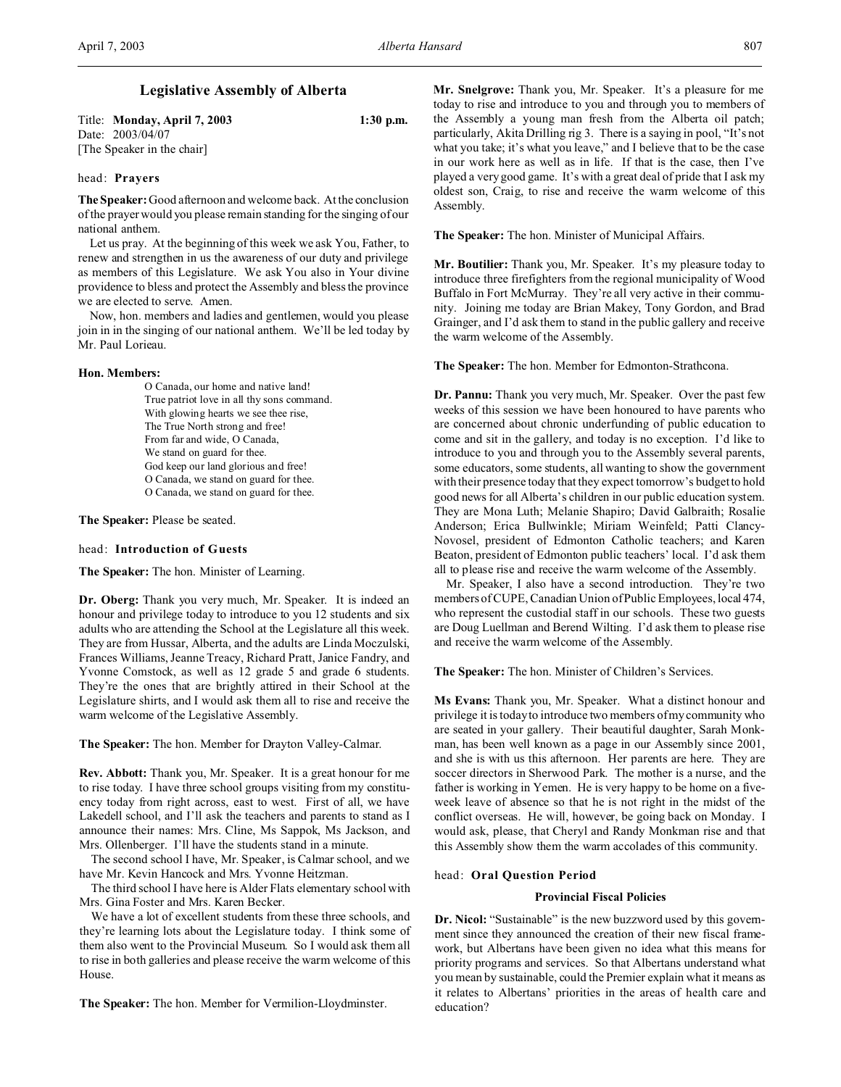# **Legislative Assembly of Alberta**

Title: **Monday, April 7, 2003 1:30 p.m.** Date: 2003/04/07

[The Speaker in the chair]

## head: **Prayers**

**The Speaker:** Good afternoon and welcome back. At the conclusion of the prayer would you please remain standing for the singing of our national anthem.

Let us pray. At the beginning of this week we ask You, Father, to renew and strengthen in us the awareness of our duty and privilege as members of this Legislature. We ask You also in Your divine providence to bless and protect the Assembly and bless the province we are elected to serve. Amen.

Now, hon. members and ladies and gentlemen, would you please join in in the singing of our national anthem. We'll be led today by Mr. Paul Lorieau.

#### **Hon. Members:**

O Canada, our home and native land! True patriot love in all thy sons command. With glowing hearts we see thee rise, The True North strong and free! From far and wide, O Canada, We stand on guard for thee. God keep our land glorious and free! O Canada, we stand on guard for thee. O Canada, we stand on guard for thee.

**The Speaker:** Please be seated.

## head: **Introduction of Guests**

**The Speaker:** The hon. Minister of Learning.

**Dr. Oberg:** Thank you very much, Mr. Speaker. It is indeed an honour and privilege today to introduce to you 12 students and six adults who are attending the School at the Legislature all this week. They are from Hussar, Alberta, and the adults are Linda Moczulski, Frances Williams, Jeanne Treacy, Richard Pratt, Janice Fandry, and Yvonne Comstock, as well as 12 grade 5 and grade 6 students. They're the ones that are brightly attired in their School at the Legislature shirts, and I would ask them all to rise and receive the warm welcome of the Legislative Assembly.

#### **The Speaker:** The hon. Member for Drayton Valley-Calmar.

**Rev. Abbott:** Thank you, Mr. Speaker. It is a great honour for me to rise today. I have three school groups visiting from my constituency today from right across, east to west. First of all, we have Lakedell school, and I'll ask the teachers and parents to stand as I announce their names: Mrs. Cline, Ms Sappok, Ms Jackson, and Mrs. Ollenberger. I'll have the students stand in a minute.

The second school I have, Mr. Speaker, is Calmar school, and we have Mr. Kevin Hancock and Mrs. Yvonne Heitzman.

The third school I have here is Alder Flats elementary school with Mrs. Gina Foster and Mrs. Karen Becker.

We have a lot of excellent students from these three schools, and they're learning lots about the Legislature today. I think some of them also went to the Provincial Museum. So I would ask them all to rise in both galleries and please receive the warm welcome of this House.

**The Speaker:** The hon. Member for Vermilion-Lloydminster.

**Mr. Snelgrove:** Thank you, Mr. Speaker. It's a pleasure for me today to rise and introduce to you and through you to members of the Assembly a young man fresh from the Alberta oil patch; particularly, Akita Drilling rig 3. There is a saying in pool, "It's not what you take; it's what you leave," and I believe that to be the case in our work here as well as in life. If that is the case, then I've played a very good game. It's with a great deal of pride that I ask my oldest son, Craig, to rise and receive the warm welcome of this Assembly.

**The Speaker:** The hon. Minister of Municipal Affairs.

**Mr. Boutilier:** Thank you, Mr. Speaker. It's my pleasure today to introduce three firefighters from the regional municipality of Wood Buffalo in Fort McMurray. They're all very active in their community. Joining me today are Brian Makey, Tony Gordon, and Brad Grainger, and I'd ask them to stand in the public gallery and receive the warm welcome of the Assembly.

**The Speaker:** The hon. Member for Edmonton-Strathcona.

**Dr. Pannu:** Thank you very much, Mr. Speaker. Over the past few weeks of this session we have been honoured to have parents who are concerned about chronic underfunding of public education to come and sit in the gallery, and today is no exception. I'd like to introduce to you and through you to the Assembly several parents, some educators, some students, all wanting to show the government with their presence today that they expect tomorrow's budget to hold good news for all Alberta's children in our public education system. They are Mona Luth; Melanie Shapiro; David Galbraith; Rosalie Anderson; Erica Bullwinkle; Miriam Weinfeld; Patti Clancy-Novosel, president of Edmonton Catholic teachers; and Karen Beaton, president of Edmonton public teachers' local. I'd ask them all to please rise and receive the warm welcome of the Assembly.

Mr. Speaker, I also have a second introduction. They're two members of CUPE, Canadian Union of Public Employees, local 474, who represent the custodial staff in our schools. These two guests are Doug Luellman and Berend Wilting. I'd ask them to please rise and receive the warm welcome of the Assembly.

**The Speaker:** The hon. Minister of Children's Services.

**Ms Evans:** Thank you, Mr. Speaker. What a distinct honour and privilege it is today to introduce two members of my community who are seated in your gallery. Their beautiful daughter, Sarah Monkman, has been well known as a page in our Assembly since 2001, and she is with us this afternoon. Her parents are here. They are soccer directors in Sherwood Park. The mother is a nurse, and the father is working in Yemen. He is very happy to be home on a fiveweek leave of absence so that he is not right in the midst of the conflict overseas. He will, however, be going back on Monday. I would ask, please, that Cheryl and Randy Monkman rise and that this Assembly show them the warm accolades of this community.

#### head: **Oral Question Period**

#### **Provincial Fiscal Policies**

**Dr. Nicol:** "Sustainable" is the new buzzword used by this government since they announced the creation of their new fiscal framework, but Albertans have been given no idea what this means for priority programs and services. So that Albertans understand what you mean by sustainable, could the Premier explain what it means as it relates to Albertans' priorities in the areas of health care and education?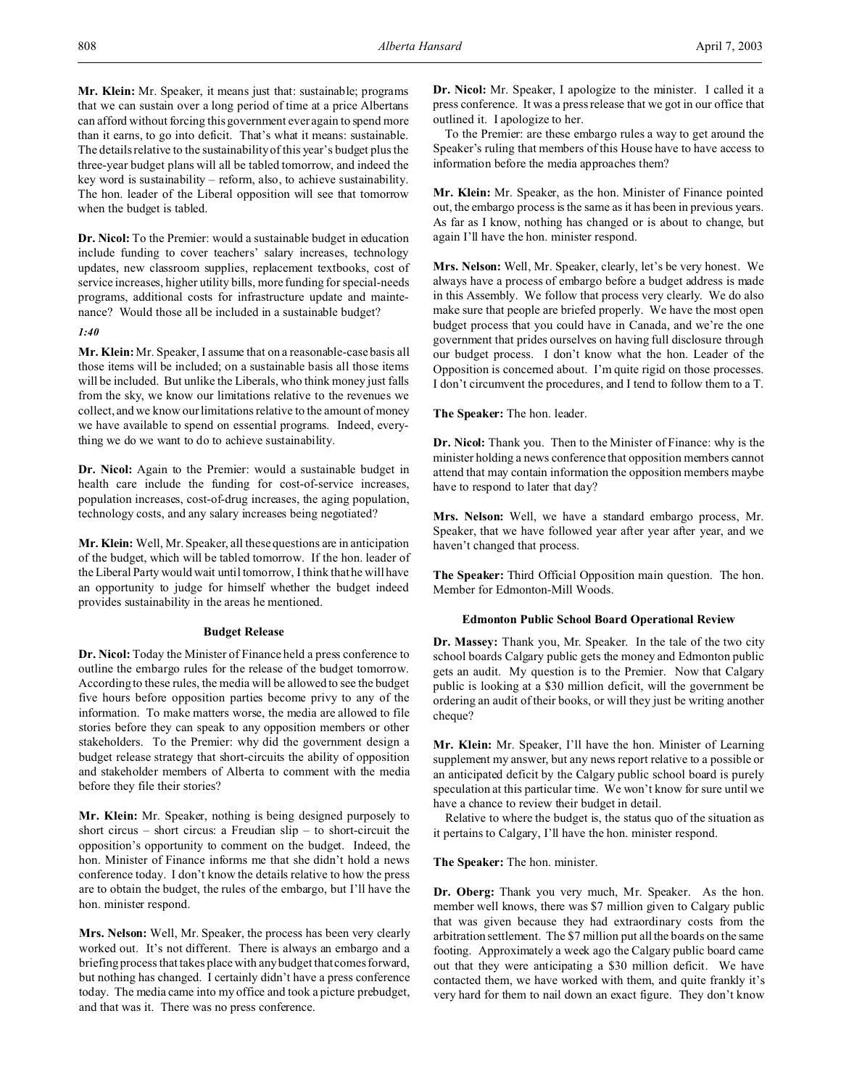**Mr. Klein:** Mr. Speaker, it means just that: sustainable; programs that we can sustain over a long period of time at a price Albertans can afford without forcing this government ever again to spend more than it earns, to go into deficit. That's what it means: sustainable. The details relative to the sustainability of this year's budget plus the three-year budget plans will all be tabled tomorrow, and indeed the key word is sustainability – reform, also, to achieve sustainability. The hon. leader of the Liberal opposition will see that tomorrow when the budget is tabled.

**Dr. Nicol:** To the Premier: would a sustainable budget in education include funding to cover teachers' salary increases, technology updates, new classroom supplies, replacement textbooks, cost of service increases, higher utility bills, more funding for special-needs programs, additional costs for infrastructure update and maintenance? Would those all be included in a sustainable budget?

## *1:40*

**Mr. Klein:** Mr. Speaker, I assume that on a reasonable-case basis all those items will be included; on a sustainable basis all those items will be included. But unlike the Liberals, who think money just falls from the sky, we know our limitations relative to the revenues we collect, and we know our limitations relative to the amount of money we have available to spend on essential programs. Indeed, everything we do we want to do to achieve sustainability.

**Dr. Nicol:** Again to the Premier: would a sustainable budget in health care include the funding for cost-of-service increases, population increases, cost-of-drug increases, the aging population, technology costs, and any salary increases being negotiated?

**Mr. Klein:** Well, Mr. Speaker, all these questions are in anticipation of the budget, which will be tabled tomorrow. If the hon. leader of the Liberal Party would wait until tomorrow, I think that he will have an opportunity to judge for himself whether the budget indeed provides sustainability in the areas he mentioned.

#### **Budget Release**

**Dr. Nicol:** Today the Minister of Finance held a press conference to outline the embargo rules for the release of the budget tomorrow. According to these rules, the media will be allowed to see the budget five hours before opposition parties become privy to any of the information. To make matters worse, the media are allowed to file stories before they can speak to any opposition members or other stakeholders. To the Premier: why did the government design a budget release strategy that short-circuits the ability of opposition and stakeholder members of Alberta to comment with the media before they file their stories?

**Mr. Klein:** Mr. Speaker, nothing is being designed purposely to short circus – short circus: a Freudian slip – to short-circuit the opposition's opportunity to comment on the budget. Indeed, the hon. Minister of Finance informs me that she didn't hold a news conference today. I don't know the details relative to how the press are to obtain the budget, the rules of the embargo, but I'll have the hon. minister respond.

**Mrs. Nelson:** Well, Mr. Speaker, the process has been very clearly worked out. It's not different. There is always an embargo and a briefing process that takes place with any budget that comes forward, but nothing has changed. I certainly didn't have a press conference today. The media came into my office and took a picture prebudget, and that was it. There was no press conference.

**Dr. Nicol:** Mr. Speaker, I apologize to the minister. I called it a press conference. It was a press release that we got in our office that outlined it. I apologize to her.

To the Premier: are these embargo rules a way to get around the Speaker's ruling that members of this House have to have access to information before the media approaches them?

**Mr. Klein:** Mr. Speaker, as the hon. Minister of Finance pointed out, the embargo process is the same as it has been in previous years. As far as I know, nothing has changed or is about to change, but again I'll have the hon. minister respond.

**Mrs. Nelson:** Well, Mr. Speaker, clearly, let's be very honest. We always have a process of embargo before a budget address is made in this Assembly. We follow that process very clearly. We do also make sure that people are briefed properly. We have the most open budget process that you could have in Canada, and we're the one government that prides ourselves on having full disclosure through our budget process. I don't know what the hon. Leader of the Opposition is concerned about. I'm quite rigid on those processes. I don't circumvent the procedures, and I tend to follow them to a T.

**The Speaker:** The hon. leader.

**Dr. Nicol:** Thank you. Then to the Minister of Finance: why is the minister holding a news conference that opposition members cannot attend that may contain information the opposition members maybe have to respond to later that day?

**Mrs. Nelson:** Well, we have a standard embargo process, Mr. Speaker, that we have followed year after year after year, and we haven't changed that process.

**The Speaker:** Third Official Opposition main question. The hon. Member for Edmonton-Mill Woods.

## **Edmonton Public School Board Operational Review**

**Dr. Massey:** Thank you, Mr. Speaker. In the tale of the two city school boards Calgary public gets the money and Edmonton public gets an audit. My question is to the Premier. Now that Calgary public is looking at a \$30 million deficit, will the government be ordering an audit of their books, or will they just be writing another cheque?

**Mr. Klein:** Mr. Speaker, I'll have the hon. Minister of Learning supplement my answer, but any news report relative to a possible or an anticipated deficit by the Calgary public school board is purely speculation at this particular time. We won't know for sure until we have a chance to review their budget in detail.

Relative to where the budget is, the status quo of the situation as it pertains to Calgary, I'll have the hon. minister respond.

**The Speaker:** The hon. minister.

**Dr. Oberg:** Thank you very much, Mr. Speaker. As the hon. member well knows, there was \$7 million given to Calgary public that was given because they had extraordinary costs from the arbitration settlement. The \$7 million put all the boards on the same footing. Approximately a week ago the Calgary public board came out that they were anticipating a \$30 million deficit. We have contacted them, we have worked with them, and quite frankly it's very hard for them to nail down an exact figure. They don't know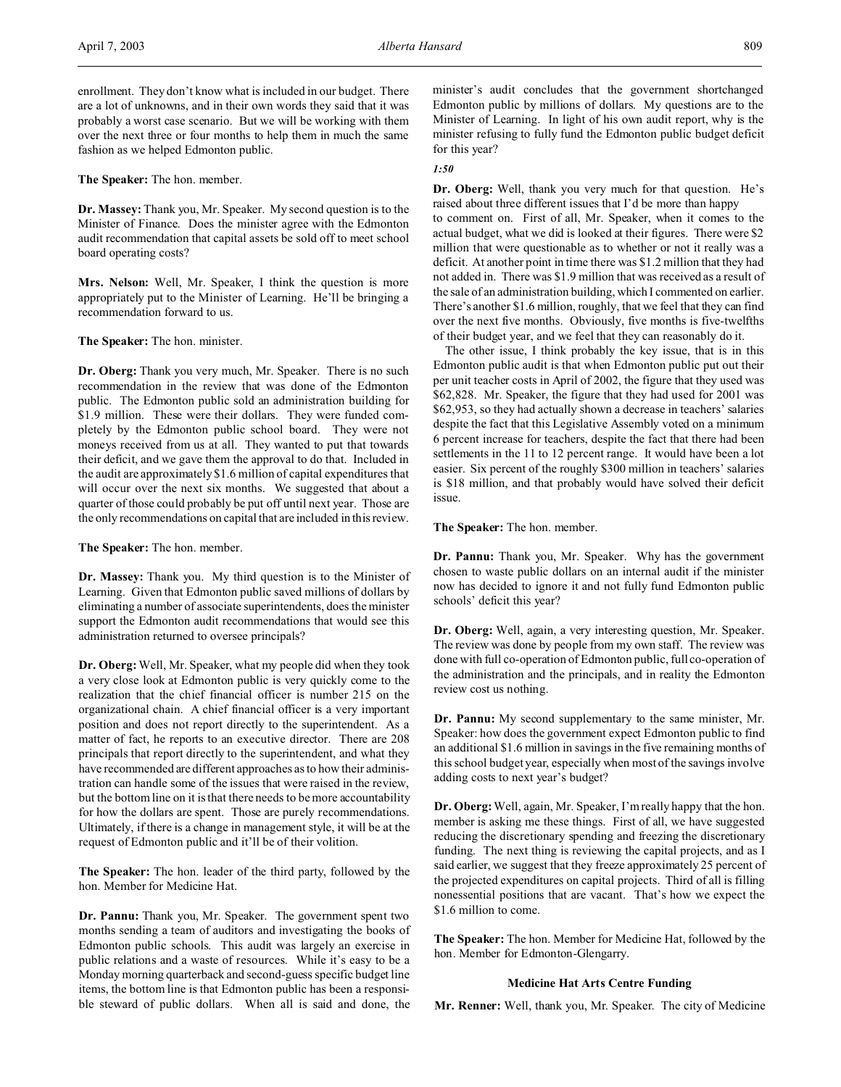**The Speaker:** The hon. member.

**Dr. Massey:** Thank you, Mr. Speaker. My second question is to the Minister of Finance. Does the minister agree with the Edmonton audit recommendation that capital assets be sold off to meet school board operating costs?

**Mrs. Nelson:** Well, Mr. Speaker, I think the question is more appropriately put to the Minister of Learning. He'll be bringing a recommendation forward to us.

**The Speaker:** The hon. minister.

**Dr. Oberg:** Thank you very much, Mr. Speaker. There is no such recommendation in the review that was done of the Edmonton public. The Edmonton public sold an administration building for \$1.9 million. These were their dollars. They were funded completely by the Edmonton public school board. They were not moneys received from us at all. They wanted to put that towards their deficit, and we gave them the approval to do that. Included in the audit are approximately \$1.6 million of capital expenditures that will occur over the next six months. We suggested that about a quarter of those could probably be put off until next year. Those are the only recommendations on capital that are included in this review.

**The Speaker:** The hon. member.

**Dr. Massey:** Thank you. My third question is to the Minister of Learning. Given that Edmonton public saved millions of dollars by eliminating a number of associate superintendents, does the minister support the Edmonton audit recommendations that would see this administration returned to oversee principals?

**Dr. Oberg:** Well, Mr. Speaker, what my people did when they took a very close look at Edmonton public is very quickly come to the realization that the chief financial officer is number 215 on the organizational chain. A chief financial officer is a very important position and does not report directly to the superintendent. As a matter of fact, he reports to an executive director. There are 208 principals that report directly to the superintendent, and what they have recommended are different approaches as to how their administration can handle some of the issues that were raised in the review, but the bottom line on it is that there needs to be more accountability for how the dollars are spent. Those are purely recommendations. Ultimately, if there is a change in management style, it will be at the request of Edmonton public and it'll be of their volition.

**The Speaker:** The hon. leader of the third party, followed by the hon. Member for Medicine Hat.

**Dr. Pannu:** Thank you, Mr. Speaker. The government spent two months sending a team of auditors and investigating the books of Edmonton public schools. This audit was largely an exercise in public relations and a waste of resources. While it's easy to be a Monday morning quarterback and second-guess specific budget line items, the bottom line is that Edmonton public has been a responsible steward of public dollars. When all is said and done, the minister's audit concludes that the government shortchanged Edmonton public by millions of dollars. My questions are to the Minister of Learning. In light of his own audit report, why is the minister refusing to fully fund the Edmonton public budget deficit for this year?

## *1:50*

**Dr. Oberg:** Well, thank you very much for that question. He's raised about three different issues that I'd be more than happy

to comment on. First of all, Mr. Speaker, when it comes to the actual budget, what we did is looked at their figures. There were \$2 million that were questionable as to whether or not it really was a deficit. At another point in time there was \$1.2 million that they had not added in. There was \$1.9 million that was received as a result of the sale of an administration building, which I commented on earlier. There's another \$1.6 million, roughly, that we feel that they can find over the next five months. Obviously, five months is five-twelfths of their budget year, and we feel that they can reasonably do it.

The other issue, I think probably the key issue, that is in this Edmonton public audit is that when Edmonton public put out their per unit teacher costs in April of 2002, the figure that they used was \$62,828. Mr. Speaker, the figure that they had used for 2001 was \$62,953, so they had actually shown a decrease in teachers' salaries despite the fact that this Legislative Assembly voted on a minimum 6 percent increase for teachers, despite the fact that there had been settlements in the 11 to 12 percent range. It would have been a lot easier. Six percent of the roughly \$300 million in teachers' salaries is \$18 million, and that probably would have solved their deficit issue.

**The Speaker:** The hon. member.

**Dr. Pannu:** Thank you, Mr. Speaker. Why has the government chosen to waste public dollars on an internal audit if the minister now has decided to ignore it and not fully fund Edmonton public schools' deficit this year?

**Dr. Oberg:** Well, again, a very interesting question, Mr. Speaker. The review was done by people from my own staff. The review was done with full co-operation of Edmonton public, full co-operation of the administration and the principals, and in reality the Edmonton review cost us nothing.

**Dr. Pannu:** My second supplementary to the same minister, Mr. Speaker: how does the government expect Edmonton public to find an additional \$1.6 million in savings in the five remaining months of this school budget year, especially when most of the savings involve adding costs to next year's budget?

**Dr. Oberg:**Well, again, Mr. Speaker, I'm really happy that the hon. member is asking me these things. First of all, we have suggested reducing the discretionary spending and freezing the discretionary funding. The next thing is reviewing the capital projects, and as I said earlier, we suggest that they freeze approximately 25 percent of the projected expenditures on capital projects. Third of all is filling nonessential positions that are vacant. That's how we expect the \$1.6 million to come.

**The Speaker:** The hon. Member for Medicine Hat, followed by the hon. Member for Edmonton-Glengarry.

## **Medicine Hat Arts Centre Funding**

**Mr. Renner:** Well, thank you, Mr. Speaker. The city of Medicine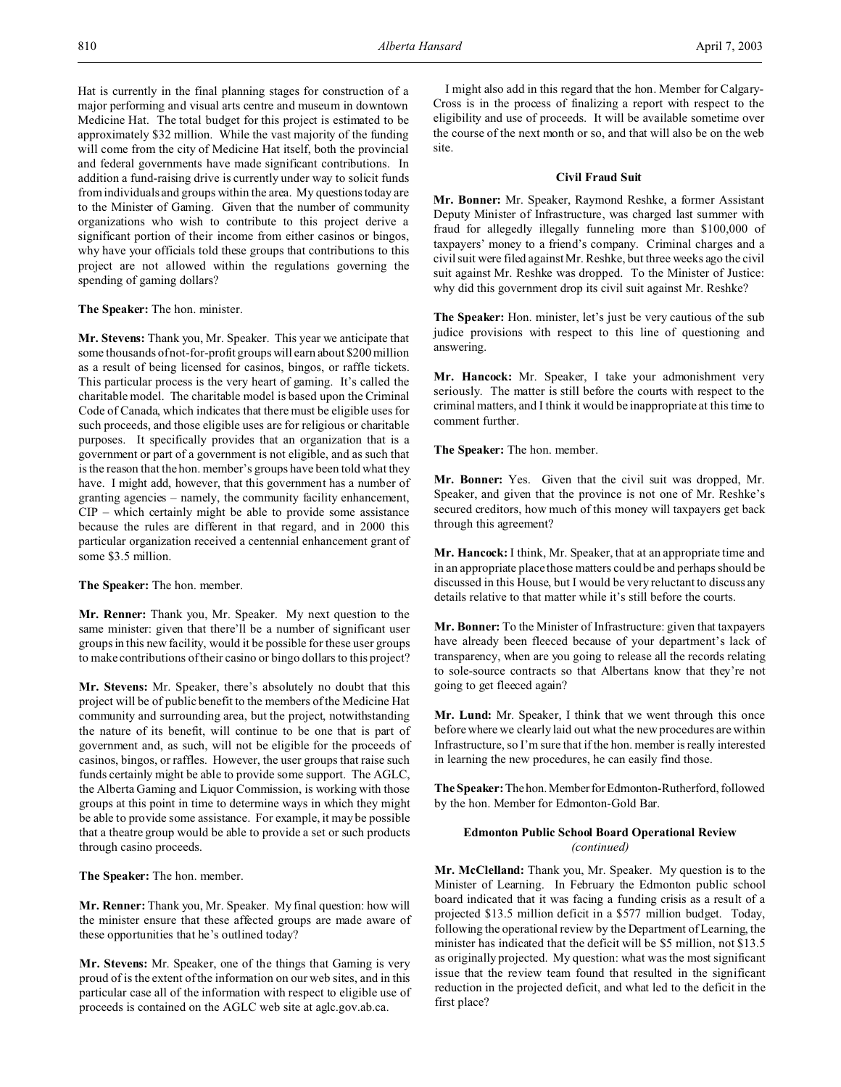Hat is currently in the final planning stages for construction of a major performing and visual arts centre and museum in downtown Medicine Hat. The total budget for this project is estimated to be approximately \$32 million. While the vast majority of the funding will come from the city of Medicine Hat itself, both the provincial and federal governments have made significant contributions. In addition a fund-raising drive is currently under way to solicit funds from individuals and groups within the area. My questions today are to the Minister of Gaming. Given that the number of community organizations who wish to contribute to this project derive a significant portion of their income from either casinos or bingos, why have your officials told these groups that contributions to this project are not allowed within the regulations governing the spending of gaming dollars?

## **The Speaker:** The hon. minister.

**Mr. Stevens:** Thank you, Mr. Speaker. This year we anticipate that some thousands of not-for-profit groups will earn about \$200 million as a result of being licensed for casinos, bingos, or raffle tickets. This particular process is the very heart of gaming. It's called the charitable model. The charitable model is based upon the Criminal Code of Canada, which indicates that there must be eligible uses for such proceeds, and those eligible uses are for religious or charitable purposes. It specifically provides that an organization that is a government or part of a government is not eligible, and as such that is the reason that the hon. member's groups have been told what they have. I might add, however, that this government has a number of granting agencies – namely, the community facility enhancement, CIP – which certainly might be able to provide some assistance because the rules are different in that regard, and in 2000 this particular organization received a centennial enhancement grant of some \$3.5 million.

#### **The Speaker:** The hon. member.

**Mr. Renner:** Thank you, Mr. Speaker. My next question to the same minister: given that there'll be a number of significant user groups in this new facility, would it be possible for these user groups to make contributions of their casino or bingo dollars to this project?

**Mr. Stevens:** Mr. Speaker, there's absolutely no doubt that this project will be of public benefit to the members of the Medicine Hat community and surrounding area, but the project, notwithstanding the nature of its benefit, will continue to be one that is part of government and, as such, will not be eligible for the proceeds of casinos, bingos, or raffles. However, the user groups that raise such funds certainly might be able to provide some support. The AGLC, the Alberta Gaming and Liquor Commission, is working with those groups at this point in time to determine ways in which they might be able to provide some assistance. For example, it may be possible that a theatre group would be able to provide a set or such products through casino proceeds.

**The Speaker:** The hon. member.

**Mr. Renner:** Thank you, Mr. Speaker. My final question: how will the minister ensure that these affected groups are made aware of these opportunities that he's outlined today?

**Mr. Stevens:** Mr. Speaker, one of the things that Gaming is very proud of is the extent of the information on our web sites, and in this particular case all of the information with respect to eligible use of proceeds is contained on the AGLC web site at aglc.gov.ab.ca.

I might also add in this regard that the hon. Member for Calgary-Cross is in the process of finalizing a report with respect to the eligibility and use of proceeds. It will be available sometime over the course of the next month or so, and that will also be on the web site.

## **Civil Fraud Suit**

**Mr. Bonner:** Mr. Speaker, Raymond Reshke, a former Assistant Deputy Minister of Infrastructure, was charged last summer with fraud for allegedly illegally funneling more than \$100,000 of taxpayers' money to a friend's company. Criminal charges and a civil suit were filed against Mr. Reshke, but three weeks ago the civil suit against Mr. Reshke was dropped. To the Minister of Justice: why did this government drop its civil suit against Mr. Reshke?

**The Speaker:** Hon. minister, let's just be very cautious of the sub judice provisions with respect to this line of questioning and answering.

**Mr. Hancock:** Mr. Speaker, I take your admonishment very seriously. The matter is still before the courts with respect to the criminal matters, and I think it would be inappropriate at this time to comment further.

**The Speaker:** The hon. member.

**Mr. Bonner:** Yes. Given that the civil suit was dropped, Mr. Speaker, and given that the province is not one of Mr. Reshke's secured creditors, how much of this money will taxpayers get back through this agreement?

**Mr. Hancock:** I think, Mr. Speaker, that at an appropriate time and in an appropriate place those matters could be and perhaps should be discussed in this House, but I would be very reluctant to discuss any details relative to that matter while it's still before the courts.

**Mr. Bonner:** To the Minister of Infrastructure: given that taxpayers have already been fleeced because of your department's lack of transparency, when are you going to release all the records relating to sole-source contracts so that Albertans know that they're not going to get fleeced again?

**Mr. Lund:** Mr. Speaker, I think that we went through this once before where we clearly laid out what the new procedures are within Infrastructure, so I'm sure that if the hon. member is really interested in learning the new procedures, he can easily find those.

The Speaker: The hon. Member for Edmonton-Rutherford, followed by the hon. Member for Edmonton-Gold Bar.

## **Edmonton Public School Board Operational Review** *(continued)*

**Mr. McClelland:** Thank you, Mr. Speaker. My question is to the Minister of Learning. In February the Edmonton public school board indicated that it was facing a funding crisis as a result of a projected \$13.5 million deficit in a \$577 million budget. Today, following the operational review by the Department of Learning, the minister has indicated that the deficit will be \$5 million, not \$13.5 as originally projected. My question: what was the most significant issue that the review team found that resulted in the significant reduction in the projected deficit, and what led to the deficit in the first place?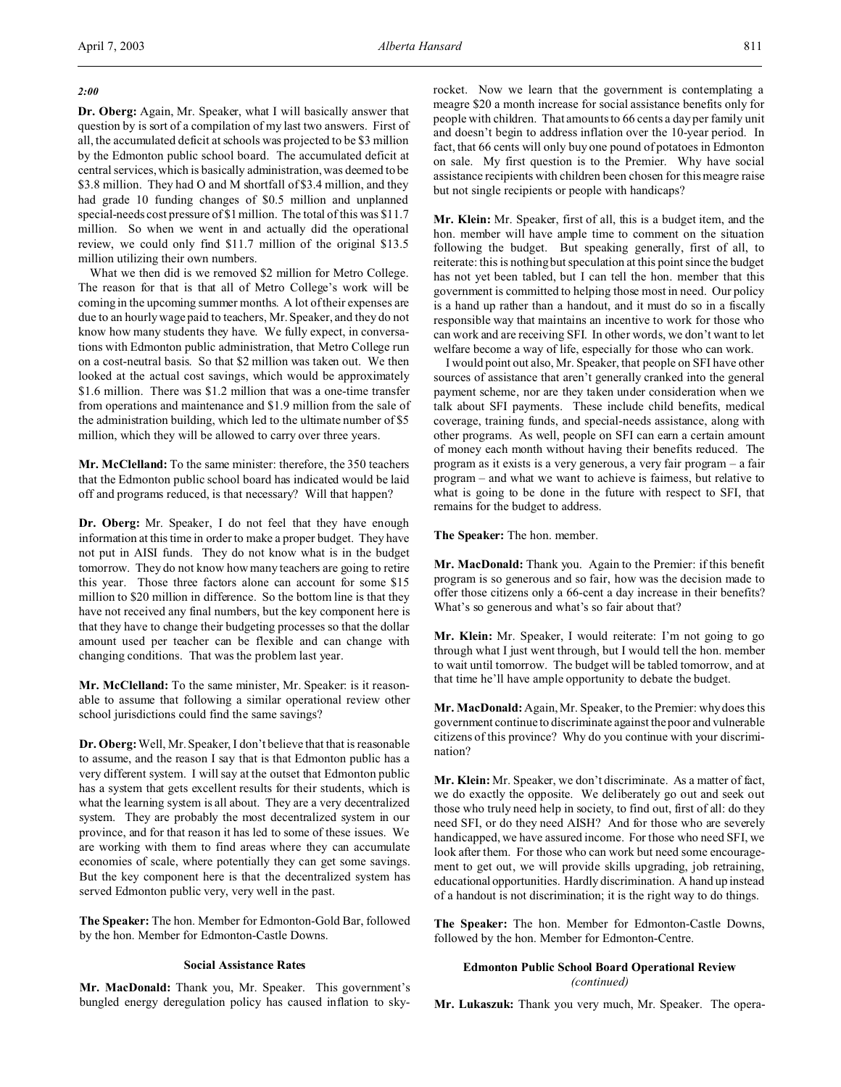## *2:00*

**Dr. Oberg:** Again, Mr. Speaker, what I will basically answer that question by is sort of a compilation of my last two answers. First of all, the accumulated deficit at schools was projected to be \$3 million by the Edmonton public school board. The accumulated deficit at central services, which is basically administration, was deemed to be \$3.8 million. They had O and M shortfall of \$3.4 million, and they had grade 10 funding changes of \$0.5 million and unplanned special-needs cost pressure of \$1 million. The total of this was \$11.7 million. So when we went in and actually did the operational review, we could only find \$11.7 million of the original \$13.5 million utilizing their own numbers.

What we then did is we removed \$2 million for Metro College. The reason for that is that all of Metro College's work will be coming in the upcoming summer months. A lot of their expenses are due to an hourly wage paid to teachers, Mr. Speaker, and they do not know how many students they have. We fully expect, in conversations with Edmonton public administration, that Metro College run on a cost-neutral basis. So that \$2 million was taken out. We then looked at the actual cost savings, which would be approximately \$1.6 million. There was \$1.2 million that was a one-time transfer from operations and maintenance and \$1.9 million from the sale of the administration building, which led to the ultimate number of \$5 million, which they will be allowed to carry over three years.

**Mr. McClelland:** To the same minister: therefore, the 350 teachers that the Edmonton public school board has indicated would be laid off and programs reduced, is that necessary? Will that happen?

**Dr. Oberg:** Mr. Speaker, I do not feel that they have enough information at this time in order to make a proper budget. They have not put in AISI funds. They do not know what is in the budget tomorrow. They do not know how many teachers are going to retire this year. Those three factors alone can account for some \$15 million to \$20 million in difference. So the bottom line is that they have not received any final numbers, but the key component here is that they have to change their budgeting processes so that the dollar amount used per teacher can be flexible and can change with changing conditions. That was the problem last year.

**Mr. McClelland:** To the same minister, Mr. Speaker: is it reasonable to assume that following a similar operational review other school jurisdictions could find the same savings?

**Dr. Oberg:**Well, Mr. Speaker, I don't believe that that is reasonable to assume, and the reason I say that is that Edmonton public has a very different system. I will say at the outset that Edmonton public has a system that gets excellent results for their students, which is what the learning system is all about. They are a very decentralized system. They are probably the most decentralized system in our province, and for that reason it has led to some of these issues. We are working with them to find areas where they can accumulate economies of scale, where potentially they can get some savings. But the key component here is that the decentralized system has served Edmonton public very, very well in the past.

**The Speaker:** The hon. Member for Edmonton-Gold Bar, followed by the hon. Member for Edmonton-Castle Downs.

## **Social Assistance Rates**

**Mr. MacDonald:** Thank you, Mr. Speaker. This government's bungled energy deregulation policy has caused inflation to skyrocket. Now we learn that the government is contemplating a meagre \$20 a month increase for social assistance benefits only for people with children. That amounts to 66 cents a day per family unit and doesn't begin to address inflation over the 10-year period. In fact, that 66 cents will only buy one pound of potatoes in Edmonton on sale. My first question is to the Premier. Why have social assistance recipients with children been chosen for this meagre raise but not single recipients or people with handicaps?

**Mr. Klein:** Mr. Speaker, first of all, this is a budget item, and the hon. member will have ample time to comment on the situation following the budget. But speaking generally, first of all, to reiterate: this is nothing but speculation at this point since the budget has not yet been tabled, but I can tell the hon. member that this government is committed to helping those most in need. Our policy is a hand up rather than a handout, and it must do so in a fiscally responsible way that maintains an incentive to work for those who can work and are receiving SFI. In other words, we don't want to let welfare become a way of life, especially for those who can work.

I would point out also, Mr. Speaker, that people on SFI have other sources of assistance that aren't generally cranked into the general payment scheme, nor are they taken under consideration when we talk about SFI payments. These include child benefits, medical coverage, training funds, and special-needs assistance, along with other programs. As well, people on SFI can earn a certain amount of money each month without having their benefits reduced. The program as it exists is a very generous, a very fair program – a fair program – and what we want to achieve is fairness, but relative to what is going to be done in the future with respect to SFI, that remains for the budget to address.

**The Speaker:** The hon. member.

**Mr. MacDonald:** Thank you. Again to the Premier: if this benefit program is so generous and so fair, how was the decision made to offer those citizens only a 66-cent a day increase in their benefits? What's so generous and what's so fair about that?

**Mr. Klein:** Mr. Speaker, I would reiterate: I'm not going to go through what I just went through, but I would tell the hon. member to wait until tomorrow. The budget will be tabled tomorrow, and at that time he'll have ample opportunity to debate the budget.

**Mr. MacDonald:** Again, Mr. Speaker, to the Premier: why does this government continue to discriminate against the poor and vulnerable citizens of this province? Why do you continue with your discrimination?

**Mr. Klein:** Mr. Speaker, we don't discriminate. As a matter of fact, we do exactly the opposite. We deliberately go out and seek out those who truly need help in society, to find out, first of all: do they need SFI, or do they need AISH? And for those who are severely handicapped, we have assured income. For those who need SFI, we look after them. For those who can work but need some encouragement to get out, we will provide skills upgrading, job retraining, educational opportunities. Hardly discrimination. A hand up instead of a handout is not discrimination; it is the right way to do things.

**The Speaker:** The hon. Member for Edmonton-Castle Downs, followed by the hon. Member for Edmonton-Centre.

## **Edmonton Public School Board Operational Review** *(continued)*

**Mr. Lukaszuk:** Thank you very much, Mr. Speaker. The opera-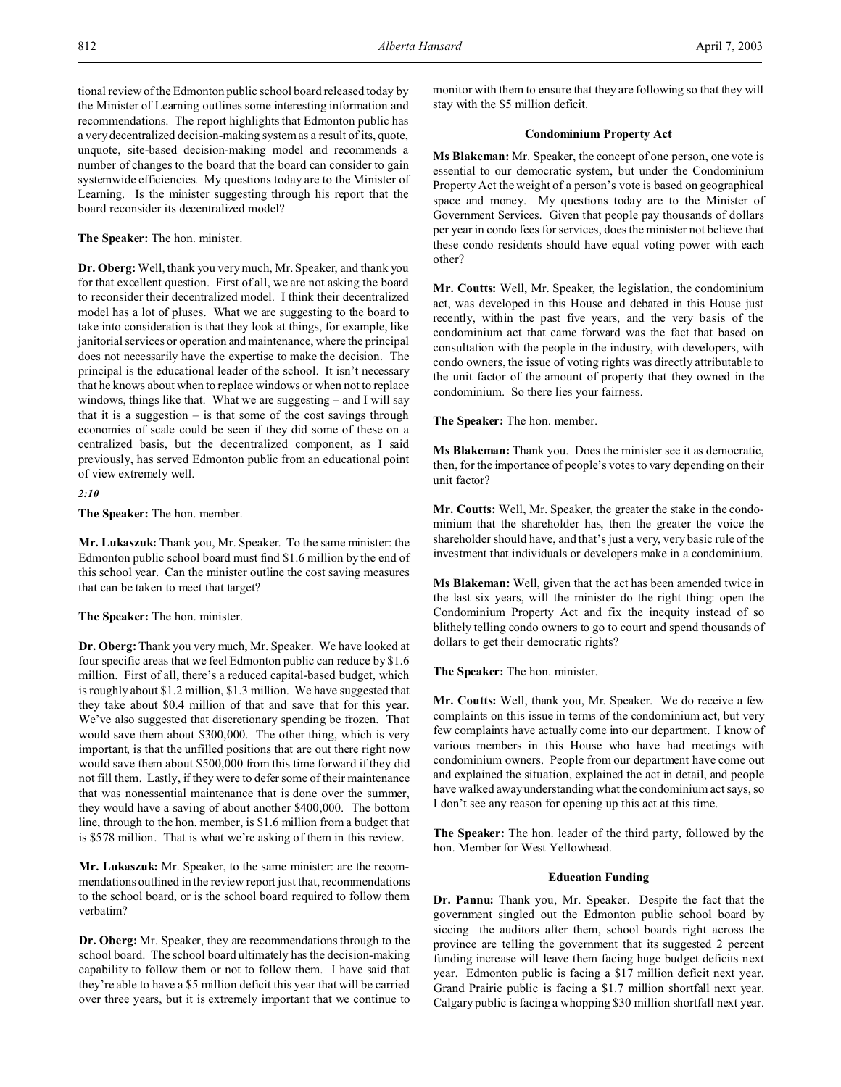tional review of the Edmonton public school board released today by the Minister of Learning outlines some interesting information and recommendations. The report highlights that Edmonton public has a very decentralized decision-making system as a result of its, quote, unquote, site-based decision-making model and recommends a number of changes to the board that the board can consider to gain systemwide efficiencies. My questions today are to the Minister of Learning. Is the minister suggesting through his report that the board reconsider its decentralized model?

## **The Speaker:** The hon. minister.

**Dr. Oberg:**Well, thank you very much, Mr. Speaker, and thank you for that excellent question. First of all, we are not asking the board to reconsider their decentralized model. I think their decentralized model has a lot of pluses. What we are suggesting to the board to take into consideration is that they look at things, for example, like janitorial services or operation and maintenance, where the principal does not necessarily have the expertise to make the decision. The principal is the educational leader of the school. It isn't necessary that he knows about when to replace windows or when not to replace windows, things like that. What we are suggesting – and I will say that it is a suggestion  $-$  is that some of the cost savings through economies of scale could be seen if they did some of these on a centralized basis, but the decentralized component, as I said previously, has served Edmonton public from an educational point of view extremely well.

## *2:10*

**The Speaker:** The hon. member.

**Mr. Lukaszuk:** Thank you, Mr. Speaker. To the same minister: the Edmonton public school board must find \$1.6 million by the end of this school year. Can the minister outline the cost saving measures that can be taken to meet that target?

**The Speaker:** The hon. minister.

**Dr. Oberg:**Thank you very much, Mr. Speaker. We have looked at four specific areas that we feel Edmonton public can reduce by \$1.6 million. First of all, there's a reduced capital-based budget, which is roughly about \$1.2 million, \$1.3 million. We have suggested that they take about \$0.4 million of that and save that for this year. We've also suggested that discretionary spending be frozen. That would save them about \$300,000. The other thing, which is very important, is that the unfilled positions that are out there right now would save them about \$500,000 from this time forward if they did not fill them. Lastly, if they were to defer some of their maintenance that was nonessential maintenance that is done over the summer, they would have a saving of about another \$400,000. The bottom line, through to the hon. member, is \$1.6 million from a budget that is \$578 million. That is what we're asking of them in this review.

**Mr. Lukaszuk:** Mr. Speaker, to the same minister: are the recommendations outlined in the review report just that, recommendations to the school board, or is the school board required to follow them verbatim?

**Dr. Oberg:** Mr. Speaker, they are recommendations through to the school board. The school board ultimately has the decision-making capability to follow them or not to follow them. I have said that they're able to have a \$5 million deficit this year that will be carried over three years, but it is extremely important that we continue to

monitor with them to ensure that they are following so that they will stay with the \$5 million deficit.

## **Condominium Property Act**

**Ms Blakeman:** Mr. Speaker, the concept of one person, one vote is essential to our democratic system, but under the Condominium Property Act the weight of a person's vote is based on geographical space and money. My questions today are to the Minister of Government Services. Given that people pay thousands of dollars per year in condo fees for services, does the minister not believe that these condo residents should have equal voting power with each other?

**Mr. Coutts:** Well, Mr. Speaker, the legislation, the condominium act, was developed in this House and debated in this House just recently, within the past five years, and the very basis of the condominium act that came forward was the fact that based on consultation with the people in the industry, with developers, with condo owners, the issue of voting rights was directly attributable to the unit factor of the amount of property that they owned in the condominium. So there lies your fairness.

**The Speaker:** The hon. member.

**Ms Blakeman:** Thank you. Does the minister see it as democratic, then, for the importance of people's votes to vary depending on their unit factor?

**Mr. Coutts:** Well, Mr. Speaker, the greater the stake in the condominium that the shareholder has, then the greater the voice the shareholder should have, and that's just a very, very basic rule of the investment that individuals or developers make in a condominium.

**Ms Blakeman:** Well, given that the act has been amended twice in the last six years, will the minister do the right thing: open the Condominium Property Act and fix the inequity instead of so blithely telling condo owners to go to court and spend thousands of dollars to get their democratic rights?

**The Speaker:** The hon. minister.

**Mr. Coutts:** Well, thank you, Mr. Speaker. We do receive a few complaints on this issue in terms of the condominium act, but very few complaints have actually come into our department. I know of various members in this House who have had meetings with condominium owners. People from our department have come out and explained the situation, explained the act in detail, and people have walked away understanding what the condominium act says, so I don't see any reason for opening up this act at this time.

**The Speaker:** The hon. leader of the third party, followed by the hon. Member for West Yellowhead.

## **Education Funding**

**Dr. Pannu:** Thank you, Mr. Speaker. Despite the fact that the government singled out the Edmonton public school board by siccing the auditors after them, school boards right across the province are telling the government that its suggested 2 percent funding increase will leave them facing huge budget deficits next year. Edmonton public is facing a \$17 million deficit next year. Grand Prairie public is facing a \$1.7 million shortfall next year. Calgary public is facing a whopping \$30 million shortfall next year.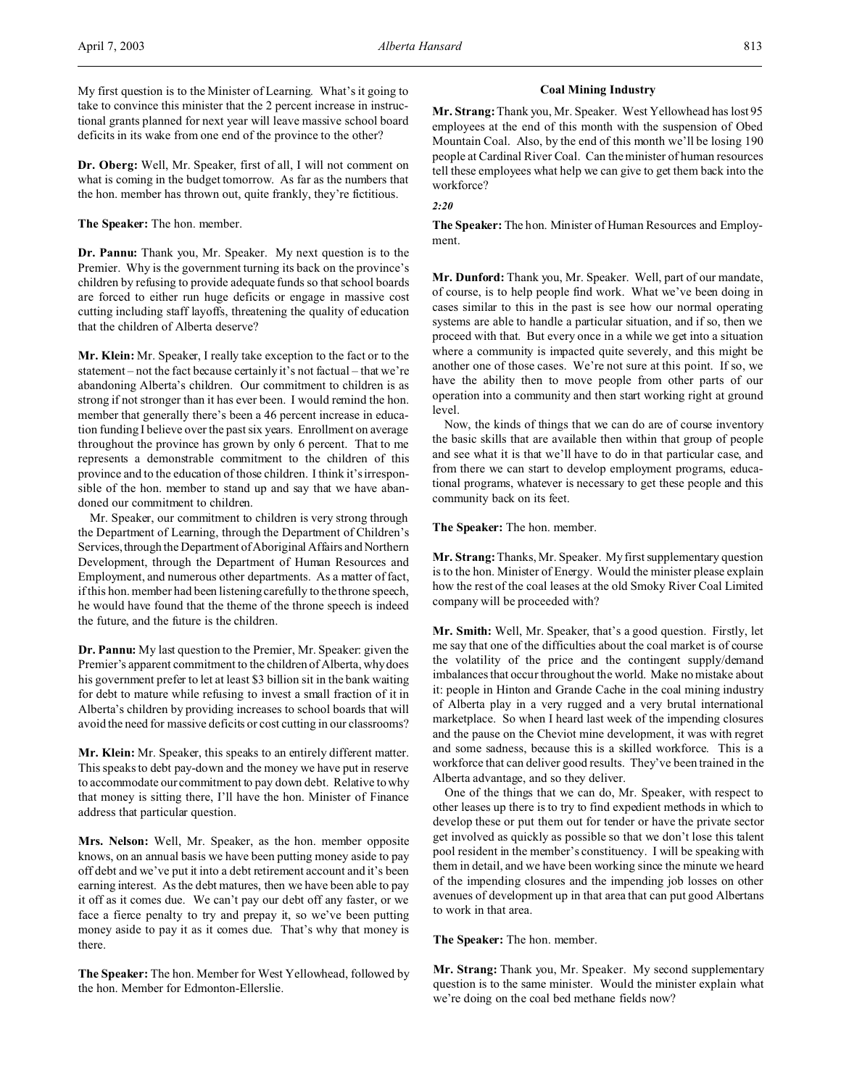**Dr. Oberg:** Well, Mr. Speaker, first of all, I will not comment on what is coming in the budget tomorrow. As far as the numbers that the hon. member has thrown out, quite frankly, they're fictitious.

## **The Speaker:** The hon. member.

**Dr. Pannu:** Thank you, Mr. Speaker. My next question is to the Premier. Why is the government turning its back on the province's children by refusing to provide adequate funds so that school boards are forced to either run huge deficits or engage in massive cost cutting including staff layoffs, threatening the quality of education that the children of Alberta deserve?

**Mr. Klein:** Mr. Speaker, I really take exception to the fact or to the statement – not the fact because certainly it's not factual – that we're abandoning Alberta's children. Our commitment to children is as strong if not stronger than it has ever been. I would remind the hon. member that generally there's been a 46 percent increase in education funding I believe over the past six years. Enrollment on average throughout the province has grown by only 6 percent. That to me represents a demonstrable commitment to the children of this province and to the education of those children. I think it's irresponsible of the hon. member to stand up and say that we have abandoned our commitment to children.

Mr. Speaker, our commitment to children is very strong through the Department of Learning, through the Department of Children's Services, through the Department of Aboriginal Affairs and Northern Development, through the Department of Human Resources and Employment, and numerous other departments. As a matter of fact, if this hon. member had been listening carefully to the throne speech, he would have found that the theme of the throne speech is indeed the future, and the future is the children.

**Dr. Pannu:** My last question to the Premier, Mr. Speaker: given the Premier's apparent commitment to the children of Alberta, why does his government prefer to let at least \$3 billion sit in the bank waiting for debt to mature while refusing to invest a small fraction of it in Alberta's children by providing increases to school boards that will avoid the need for massive deficits or cost cutting in our classrooms?

**Mr. Klein:** Mr. Speaker, this speaks to an entirely different matter. This speaks to debt pay-down and the money we have put in reserve to accommodate our commitment to pay down debt. Relative to why that money is sitting there, I'll have the hon. Minister of Finance address that particular question.

**Mrs. Nelson:** Well, Mr. Speaker, as the hon. member opposite knows, on an annual basis we have been putting money aside to pay off debt and we've put it into a debt retirement account and it's been earning interest. As the debt matures, then we have been able to pay it off as it comes due. We can't pay our debt off any faster, or we face a fierce penalty to try and prepay it, so we've been putting money aside to pay it as it comes due. That's why that money is there.

**The Speaker:** The hon. Member for West Yellowhead, followed by the hon. Member for Edmonton-Ellerslie.

## **Coal Mining Industry**

**Mr. Strang:**Thank you, Mr. Speaker. West Yellowhead has lost 95 employees at the end of this month with the suspension of Obed Mountain Coal. Also, by the end of this month we'll be losing 190 people at Cardinal River Coal. Can the minister of human resources tell these employees what help we can give to get them back into the workforce?

## *2:20*

**The Speaker:** The hon. Minister of Human Resources and Employment.

**Mr. Dunford:** Thank you, Mr. Speaker. Well, part of our mandate, of course, is to help people find work. What we've been doing in cases similar to this in the past is see how our normal operating systems are able to handle a particular situation, and if so, then we proceed with that. But every once in a while we get into a situation where a community is impacted quite severely, and this might be another one of those cases. We're not sure at this point. If so, we have the ability then to move people from other parts of our operation into a community and then start working right at ground level.

Now, the kinds of things that we can do are of course inventory the basic skills that are available then within that group of people and see what it is that we'll have to do in that particular case, and from there we can start to develop employment programs, educational programs, whatever is necessary to get these people and this community back on its feet.

## **The Speaker:** The hon. member.

**Mr. Strang:**Thanks, Mr. Speaker. My first supplementary question is to the hon. Minister of Energy. Would the minister please explain how the rest of the coal leases at the old Smoky River Coal Limited company will be proceeded with?

**Mr. Smith:** Well, Mr. Speaker, that's a good question. Firstly, let me say that one of the difficulties about the coal market is of course the volatility of the price and the contingent supply/demand imbalances that occur throughout the world. Make no mistake about it: people in Hinton and Grande Cache in the coal mining industry of Alberta play in a very rugged and a very brutal international marketplace. So when I heard last week of the impending closures and the pause on the Cheviot mine development, it was with regret and some sadness, because this is a skilled workforce. This is a workforce that can deliver good results. They've been trained in the Alberta advantage, and so they deliver.

One of the things that we can do, Mr. Speaker, with respect to other leases up there is to try to find expedient methods in which to develop these or put them out for tender or have the private sector get involved as quickly as possible so that we don't lose this talent pool resident in the member's constituency. I will be speaking with them in detail, and we have been working since the minute we heard of the impending closures and the impending job losses on other avenues of development up in that area that can put good Albertans to work in that area.

## **The Speaker:** The hon. member.

**Mr. Strang:** Thank you, Mr. Speaker. My second supplementary question is to the same minister. Would the minister explain what we're doing on the coal bed methane fields now?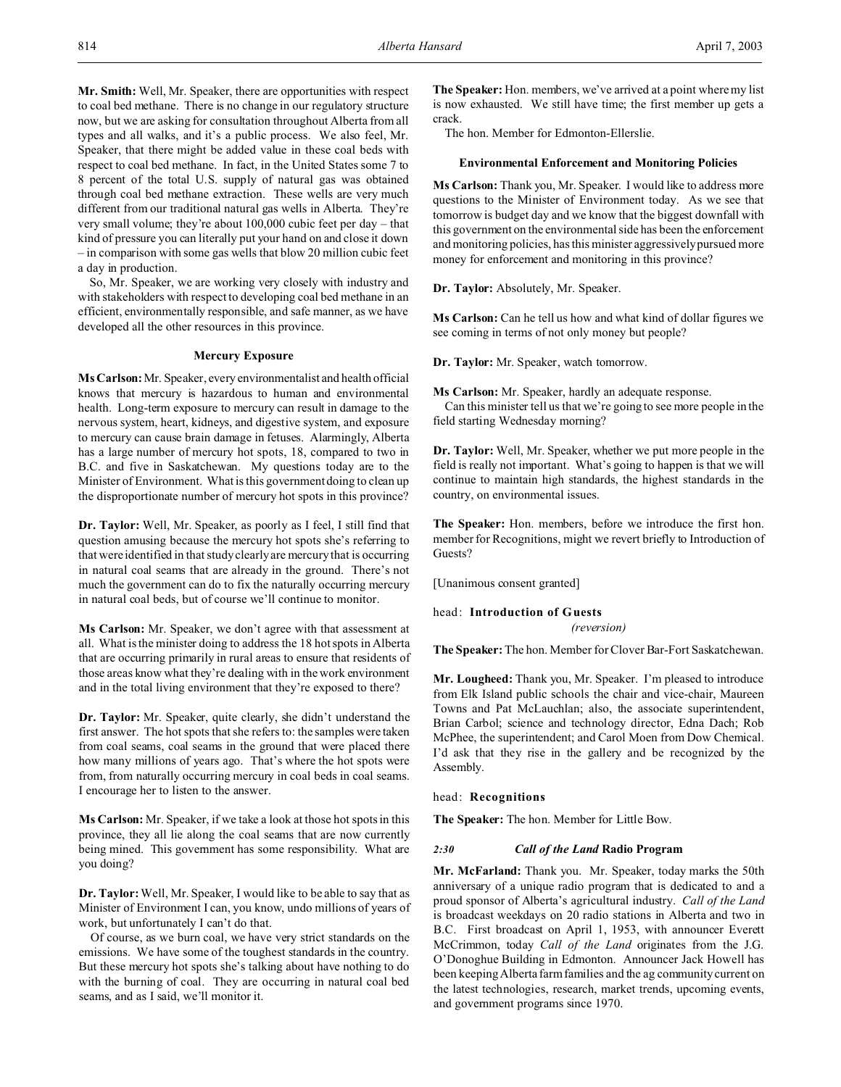**Mr. Smith:** Well, Mr. Speaker, there are opportunities with respect to coal bed methane. There is no change in our regulatory structure now, but we are asking for consultation throughout Alberta from all types and all walks, and it's a public process. We also feel, Mr. Speaker, that there might be added value in these coal beds with respect to coal bed methane. In fact, in the United States some 7 to 8 percent of the total U.S. supply of natural gas was obtained through coal bed methane extraction. These wells are very much different from our traditional natural gas wells in Alberta. They're very small volume; they're about 100,000 cubic feet per day – that kind of pressure you can literally put your hand on and close it down – in comparison with some gas wells that blow 20 million cubic feet a day in production.

So, Mr. Speaker, we are working very closely with industry and with stakeholders with respect to developing coal bed methane in an efficient, environmentally responsible, and safe manner, as we have developed all the other resources in this province.

## **Mercury Exposure**

**Ms Carlson:** Mr. Speaker, every environmentalist and health official knows that mercury is hazardous to human and environmental health. Long-term exposure to mercury can result in damage to the nervous system, heart, kidneys, and digestive system, and exposure to mercury can cause brain damage in fetuses. Alarmingly, Alberta has a large number of mercury hot spots, 18, compared to two in B.C. and five in Saskatchewan. My questions today are to the Minister of Environment. What is this government doing to clean up the disproportionate number of mercury hot spots in this province?

**Dr. Taylor:** Well, Mr. Speaker, as poorly as I feel, I still find that question amusing because the mercury hot spots she's referring to that were identified in that study clearly are mercury that is occurring in natural coal seams that are already in the ground. There's not much the government can do to fix the naturally occurring mercury in natural coal beds, but of course we'll continue to monitor.

**Ms Carlson:** Mr. Speaker, we don't agree with that assessment at all. What is the minister doing to address the 18 hot spots in Alberta that are occurring primarily in rural areas to ensure that residents of those areas know what they're dealing with in the work environment and in the total living environment that they're exposed to there?

**Dr. Taylor:** Mr. Speaker, quite clearly, she didn't understand the first answer. The hot spots that she refers to: the samples were taken from coal seams, coal seams in the ground that were placed there how many millions of years ago. That's where the hot spots were from, from naturally occurring mercury in coal beds in coal seams. I encourage her to listen to the answer.

**Ms Carlson:** Mr. Speaker, if we take a look at those hot spots in this province, they all lie along the coal seams that are now currently being mined. This government has some responsibility. What are you doing?

**Dr. Taylor:**Well, Mr. Speaker, I would like to be able to say that as Minister of Environment I can, you know, undo millions of years of work, but unfortunately I can't do that.

Of course, as we burn coal, we have very strict standards on the emissions. We have some of the toughest standards in the country. But these mercury hot spots she's talking about have nothing to do with the burning of coal. They are occurring in natural coal bed seams, and as I said, we'll monitor it.

**The Speaker:** Hon. members, we've arrived at a point where my list is now exhausted. We still have time; the first member up gets a crack.

The hon. Member for Edmonton-Ellerslie.

#### **Environmental Enforcement and Monitoring Policies**

**Ms Carlson:** Thank you, Mr. Speaker. I would like to address more questions to the Minister of Environment today. As we see that tomorrow is budget day and we know that the biggest downfall with this government on the environmental side has been the enforcement and monitoring policies, has this minister aggressively pursued more money for enforcement and monitoring in this province?

**Dr. Taylor:** Absolutely, Mr. Speaker.

**Ms Carlson:** Can he tell us how and what kind of dollar figures we see coming in terms of not only money but people?

**Dr. Taylor:** Mr. Speaker, watch tomorrow.

**Ms Carlson:** Mr. Speaker, hardly an adequate response.

Can this minister tell us that we're going to see more people in the field starting Wednesday morning?

**Dr. Taylor:** Well, Mr. Speaker, whether we put more people in the field is really not important. What's going to happen is that we will continue to maintain high standards, the highest standards in the country, on environmental issues.

**The Speaker:** Hon. members, before we introduce the first hon. member for Recognitions, might we revert briefly to Introduction of Guests?

[Unanimous consent granted]

head: **Introduction of Guests**

*(reversion)*

**The Speaker:** The hon. Member for Clover Bar-Fort Saskatchewan.

**Mr. Lougheed:** Thank you, Mr. Speaker. I'm pleased to introduce from Elk Island public schools the chair and vice-chair, Maureen Towns and Pat McLauchlan; also, the associate superintendent, Brian Carbol; science and technology director, Edna Dach; Rob McPhee, the superintendent; and Carol Moen from Dow Chemical. I'd ask that they rise in the gallery and be recognized by the Assembly.

head: **Recognitions**

**The Speaker:** The hon. Member for Little Bow.

#### *2:30 Call of the Land* **Radio Program**

**Mr. McFarland:** Thank you. Mr. Speaker, today marks the 50th anniversary of a unique radio program that is dedicated to and a proud sponsor of Alberta's agricultural industry. *Call of the Land* is broadcast weekdays on 20 radio stations in Alberta and two in B.C. First broadcast on April 1, 1953, with announcer Everett McCrimmon, today *Call of the Land* originates from the J.G. O'Donoghue Building in Edmonton. Announcer Jack Howell has been keeping Alberta farm families and the ag community current on the latest technologies, research, market trends, upcoming events, and government programs since 1970.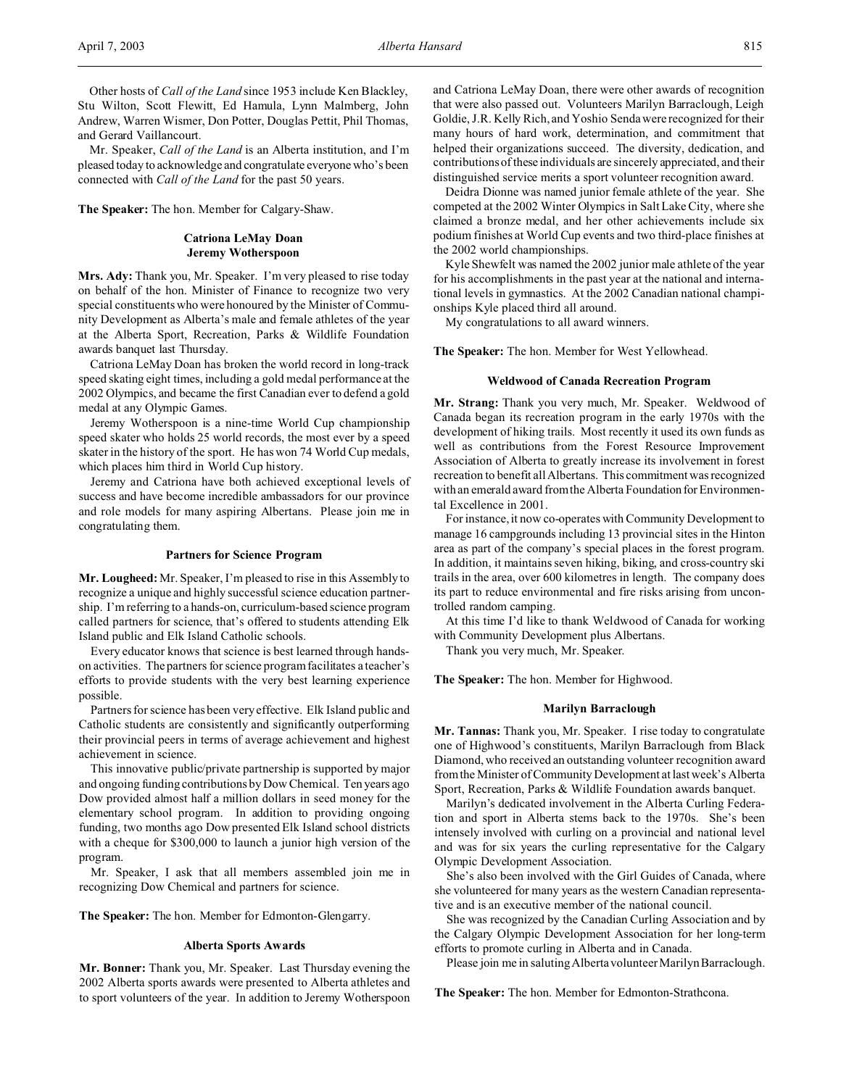Other hosts of *Call of the Land* since 1953 include Ken Blackley, Stu Wilton, Scott Flewitt, Ed Hamula, Lynn Malmberg, John Andrew, Warren Wismer, Don Potter, Douglas Pettit, Phil Thomas, and Gerard Vaillancourt.

Mr. Speaker, *Call of the Land* is an Alberta institution, and I'm pleased today to acknowledge and congratulate everyone who's been connected with *Call of the Land* for the past 50 years.

**The Speaker:** The hon. Member for Calgary-Shaw.

## **Catriona LeMay Doan Jeremy Wotherspoon**

**Mrs. Ady:** Thank you, Mr. Speaker. I'm very pleased to rise today on behalf of the hon. Minister of Finance to recognize two very special constituents who were honoured by the Minister of Community Development as Alberta's male and female athletes of the year at the Alberta Sport, Recreation, Parks & Wildlife Foundation awards banquet last Thursday.

Catriona LeMay Doan has broken the world record in long-track speed skating eight times, including a gold medal performance at the 2002 Olympics, and became the first Canadian ever to defend a gold medal at any Olympic Games.

Jeremy Wotherspoon is a nine-time World Cup championship speed skater who holds 25 world records, the most ever by a speed skater in the history of the sport. He has won 74 World Cup medals, which places him third in World Cup history.

Jeremy and Catriona have both achieved exceptional levels of success and have become incredible ambassadors for our province and role models for many aspiring Albertans. Please join me in congratulating them.

#### **Partners for Science Program**

**Mr. Lougheed:** Mr. Speaker, I'm pleased to rise in this Assembly to recognize a unique and highly successful science education partnership. I'm referring to a hands-on, curriculum-based science program called partners for science, that's offered to students attending Elk Island public and Elk Island Catholic schools.

Every educator knows that science is best learned through handson activities. The partners for science program facilitates a teacher's efforts to provide students with the very best learning experience possible.

Partners for science has been very effective. Elk Island public and Catholic students are consistently and significantly outperforming their provincial peers in terms of average achievement and highest achievement in science.

This innovative public/private partnership is supported by major and ongoing funding contributions by Dow Chemical. Ten years ago Dow provided almost half a million dollars in seed money for the elementary school program. In addition to providing ongoing funding, two months ago Dow presented Elk Island school districts with a cheque for \$300,000 to launch a junior high version of the program.

Mr. Speaker, I ask that all members assembled join me in recognizing Dow Chemical and partners for science.

**The Speaker:** The hon. Member for Edmonton-Glengarry.

#### **Alberta Sports Awards**

**Mr. Bonner:** Thank you, Mr. Speaker. Last Thursday evening the 2002 Alberta sports awards were presented to Alberta athletes and to sport volunteers of the year. In addition to Jeremy Wotherspoon and Catriona LeMay Doan, there were other awards of recognition that were also passed out. Volunteers Marilyn Barraclough, Leigh Goldie, J.R. Kelly Rich, and Yoshio Senda were recognized for their many hours of hard work, determination, and commitment that helped their organizations succeed. The diversity, dedication, and contributions of these individuals are sincerely appreciated, and their distinguished service merits a sport volunteer recognition award.

Deidra Dionne was named junior female athlete of the year. She competed at the 2002 Winter Olympics in Salt Lake City, where she claimed a bronze medal, and her other achievements include six podium finishes at World Cup events and two third-place finishes at the 2002 world championships.

Kyle Shewfelt was named the 2002 junior male athlete of the year for his accomplishments in the past year at the national and international levels in gymnastics. At the 2002 Canadian national championships Kyle placed third all around.

My congratulations to all award winners.

**The Speaker:** The hon. Member for West Yellowhead.

## **Weldwood of Canada Recreation Program**

**Mr. Strang:** Thank you very much, Mr. Speaker. Weldwood of Canada began its recreation program in the early 1970s with the development of hiking trails. Most recently it used its own funds as well as contributions from the Forest Resource Improvement Association of Alberta to greatly increase its involvement in forest recreation to benefit all Albertans. This commitment was recognized with an emerald award from the Alberta Foundation for Environmental Excellence in 2001.

For instance, it now co-operates with Community Development to manage 16 campgrounds including 13 provincial sites in the Hinton area as part of the company's special places in the forest program. In addition, it maintains seven hiking, biking, and cross-country ski trails in the area, over 600 kilometres in length. The company does its part to reduce environmental and fire risks arising from uncontrolled random camping.

At this time I'd like to thank Weldwood of Canada for working with Community Development plus Albertans.

Thank you very much, Mr. Speaker.

**The Speaker:** The hon. Member for Highwood.

#### **Marilyn Barraclough**

**Mr. Tannas:** Thank you, Mr. Speaker. I rise today to congratulate one of Highwood's constituents, Marilyn Barraclough from Black Diamond, who received an outstanding volunteer recognition award from the Minister of Community Development at last week's Alberta Sport, Recreation, Parks & Wildlife Foundation awards banquet.

Marilyn's dedicated involvement in the Alberta Curling Federation and sport in Alberta stems back to the 1970s. She's been intensely involved with curling on a provincial and national level and was for six years the curling representative for the Calgary Olympic Development Association.

She's also been involved with the Girl Guides of Canada, where she volunteered for many years as the western Canadian representative and is an executive member of the national council.

She was recognized by the Canadian Curling Association and by the Calgary Olympic Development Association for her long-term efforts to promote curling in Alberta and in Canada.

Please join me in saluting Alberta volunteer Marilyn Barraclough.

**The Speaker:** The hon. Member for Edmonton-Strathcona.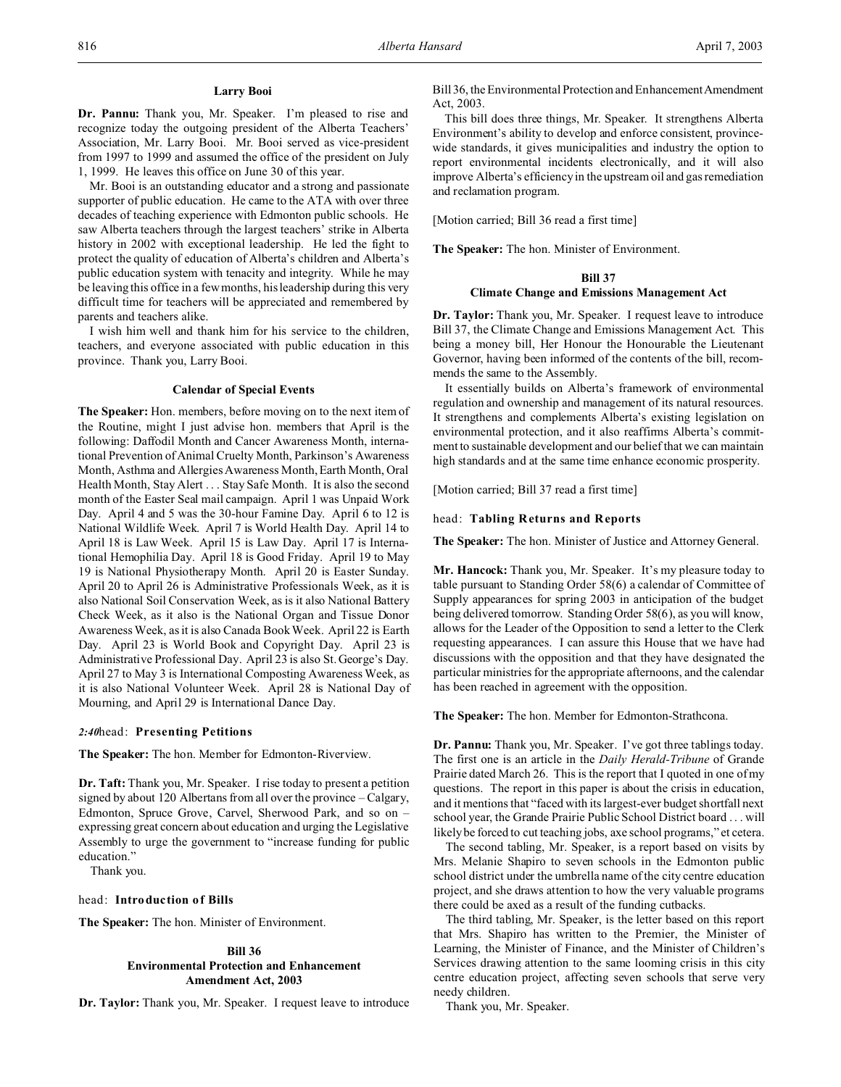#### **Larry Booi**

**Dr. Pannu:** Thank you, Mr. Speaker. I'm pleased to rise and recognize today the outgoing president of the Alberta Teachers' Association, Mr. Larry Booi. Mr. Booi served as vice-president from 1997 to 1999 and assumed the office of the president on July 1, 1999. He leaves this office on June 30 of this year.

Mr. Booi is an outstanding educator and a strong and passionate supporter of public education. He came to the ATA with over three decades of teaching experience with Edmonton public schools. He saw Alberta teachers through the largest teachers' strike in Alberta history in 2002 with exceptional leadership. He led the fight to protect the quality of education of Alberta's children and Alberta's public education system with tenacity and integrity. While he may be leaving this office in a few months, his leadership during this very difficult time for teachers will be appreciated and remembered by parents and teachers alike.

I wish him well and thank him for his service to the children, teachers, and everyone associated with public education in this province. Thank you, Larry Booi.

#### **Calendar of Special Events**

**The Speaker:** Hon. members, before moving on to the next item of the Routine, might I just advise hon. members that April is the following: Daffodil Month and Cancer Awareness Month, international Prevention of Animal Cruelty Month, Parkinson's Awareness Month, Asthma and Allergies Awareness Month, Earth Month, Oral Health Month, Stay Alert . . . Stay Safe Month. It is also the second month of the Easter Seal mail campaign. April 1 was Unpaid Work Day. April 4 and 5 was the 30-hour Famine Day. April 6 to 12 is National Wildlife Week. April 7 is World Health Day. April 14 to April 18 is Law Week. April 15 is Law Day. April 17 is International Hemophilia Day. April 18 is Good Friday. April 19 to May 19 is National Physiotherapy Month. April 20 is Easter Sunday. April 20 to April 26 is Administrative Professionals Week, as it is also National Soil Conservation Week, as is it also National Battery Check Week, as it also is the National Organ and Tissue Donor Awareness Week, as it is also Canada Book Week. April 22 is Earth Day. April 23 is World Book and Copyright Day. April 23 is Administrative Professional Day. April 23 is also St. George's Day. April 27 to May 3 is International Composting Awareness Week, as it is also National Volunteer Week. April 28 is National Day of Mourning, and April 29 is International Dance Day.

#### *2:40*head: **Presenting Petitions**

**The Speaker:** The hon. Member for Edmonton-Riverview.

**Dr. Taft:** Thank you, Mr. Speaker. I rise today to present a petition signed by about 120 Albertans from all over the province – Calgary, Edmonton, Spruce Grove, Carvel, Sherwood Park, and so on – expressing great concern about education and urging the Legislative Assembly to urge the government to "increase funding for public education."

Thank you.

head: **Introduction of Bills**

**The Speaker:** The hon. Minister of Environment.

## **Bill 36 Environmental Protection and Enhancement Amendment Act, 2003**

**Dr. Taylor:** Thank you, Mr. Speaker. I request leave to introduce

Bill 36, the Environmental Protection and EnhancementAmendment Act, 2003.

This bill does three things, Mr. Speaker. It strengthens Alberta Environment's ability to develop and enforce consistent, provincewide standards, it gives municipalities and industry the option to report environmental incidents electronically, and it will also improve Alberta's efficiency in the upstream oil and gas remediation and reclamation program.

[Motion carried; Bill 36 read a first time]

**The Speaker:** The hon. Minister of Environment.

## **Bill 37 Climate Change and Emissions Management Act**

**Dr. Taylor:** Thank you, Mr. Speaker. I request leave to introduce Bill 37, the Climate Change and Emissions Management Act. This being a money bill, Her Honour the Honourable the Lieutenant Governor, having been informed of the contents of the bill, recommends the same to the Assembly.

It essentially builds on Alberta's framework of environmental regulation and ownership and management of its natural resources. It strengthens and complements Alberta's existing legislation on environmental protection, and it also reaffirms Alberta's commitment to sustainable development and our belief that we can maintain high standards and at the same time enhance economic prosperity.

[Motion carried; Bill 37 read a first time]

## head: **Tabling Returns and Reports**

**The Speaker:** The hon. Minister of Justice and Attorney General.

**Mr. Hancock:** Thank you, Mr. Speaker. It's my pleasure today to table pursuant to Standing Order 58(6) a calendar of Committee of Supply appearances for spring 2003 in anticipation of the budget being delivered tomorrow. Standing Order 58(6), as you will know, allows for the Leader of the Opposition to send a letter to the Clerk requesting appearances. I can assure this House that we have had discussions with the opposition and that they have designated the particular ministries for the appropriate afternoons, and the calendar has been reached in agreement with the opposition.

**The Speaker:** The hon. Member for Edmonton-Strathcona.

**Dr. Pannu:** Thank you, Mr. Speaker. I've got three tablings today. The first one is an article in the *Daily Herald-Tribune* of Grande Prairie dated March 26. This is the report that I quoted in one of my questions. The report in this paper is about the crisis in education, and it mentions that "faced with its largest-ever budget shortfall next school year, the Grande Prairie Public School District board . . . will likely be forced to cut teaching jobs, axe school programs," et cetera.

The second tabling, Mr. Speaker, is a report based on visits by Mrs. Melanie Shapiro to seven schools in the Edmonton public school district under the umbrella name of the city centre education project, and she draws attention to how the very valuable programs there could be axed as a result of the funding cutbacks.

The third tabling, Mr. Speaker, is the letter based on this report that Mrs. Shapiro has written to the Premier, the Minister of Learning, the Minister of Finance, and the Minister of Children's Services drawing attention to the same looming crisis in this city centre education project, affecting seven schools that serve very needy children.

Thank you, Mr. Speaker.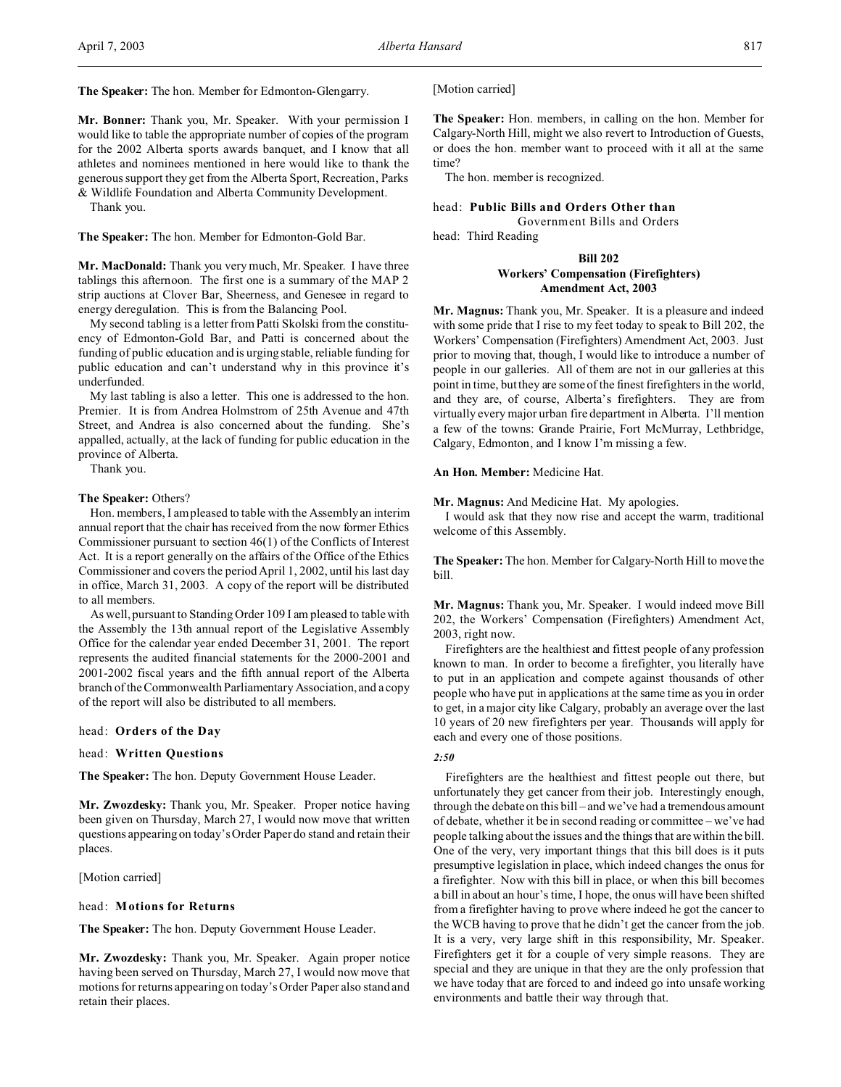**The Speaker:** The hon. Member for Edmonton-Glengarry.

**Mr. Bonner:** Thank you, Mr. Speaker. With your permission I would like to table the appropriate number of copies of the program for the 2002 Alberta sports awards banquet, and I know that all athletes and nominees mentioned in here would like to thank the generous support they get from the Alberta Sport, Recreation, Parks & Wildlife Foundation and Alberta Community Development.

Thank you.

**The Speaker:** The hon. Member for Edmonton-Gold Bar.

**Mr. MacDonald:** Thank you very much, Mr. Speaker. I have three tablings this afternoon. The first one is a summary of the MAP 2 strip auctions at Clover Bar, Sheerness, and Genesee in regard to energy deregulation. This is from the Balancing Pool.

My second tabling is a letter from Patti Skolski from the constituency of Edmonton-Gold Bar, and Patti is concerned about the funding of public education and is urging stable, reliable funding for public education and can't understand why in this province it's underfunded.

My last tabling is also a letter. This one is addressed to the hon. Premier. It is from Andrea Holmstrom of 25th Avenue and 47th Street, and Andrea is also concerned about the funding. She's appalled, actually, at the lack of funding for public education in the province of Alberta.

Thank you.

### **The Speaker:** Others?

Hon. members, I am pleased to table with the Assembly an interim annual report that the chair has received from the now former Ethics Commissioner pursuant to section 46(1) of the Conflicts of Interest Act. It is a report generally on the affairs of the Office of the Ethics Commissioner and covers the period April 1, 2002, until his last day in office, March 31, 2003. A copy of the report will be distributed to all members.

As well, pursuant to Standing Order 109 I am pleased to table with the Assembly the 13th annual report of the Legislative Assembly Office for the calendar year ended December 31, 2001. The report represents the audited financial statements for the 2000-2001 and 2001-2002 fiscal years and the fifth annual report of the Alberta branch of the Commonwealth Parliamentary Association, and a copy of the report will also be distributed to all members.

## head: **Orders of the Day**

## head: **Written Questions**

**The Speaker:** The hon. Deputy Government House Leader.

**Mr. Zwozdesky:** Thank you, Mr. Speaker. Proper notice having been given on Thursday, March 27, I would now move that written questions appearing on today's Order Paper do stand and retain their places.

[Motion carried]

## head: **Motions for Returns**

**The Speaker:** The hon. Deputy Government House Leader.

**Mr. Zwozdesky:** Thank you, Mr. Speaker. Again proper notice having been served on Thursday, March 27, I would now move that motions for returns appearing on today's Order Paper also stand and retain their places.

#### [Motion carried]

**The Speaker:** Hon. members, in calling on the hon. Member for Calgary-North Hill, might we also revert to Introduction of Guests, or does the hon. member want to proceed with it all at the same time?

The hon. member is recognized.

## head: **Public Bills and Orders Other than**

Government Bills and Orders

head: Third Reading

## **Bill 202**

## **Workers' Compensation (Firefighters) Amendment Act, 2003**

**Mr. Magnus:** Thank you, Mr. Speaker. It is a pleasure and indeed with some pride that I rise to my feet today to speak to Bill 202, the Workers' Compensation (Firefighters) Amendment Act, 2003. Just prior to moving that, though, I would like to introduce a number of people in our galleries. All of them are not in our galleries at this point in time, but they are some of the finest firefighters in the world, and they are, of course, Alberta's firefighters. They are from virtually every major urban fire department in Alberta. I'll mention a few of the towns: Grande Prairie, Fort McMurray, Lethbridge, Calgary, Edmonton, and I know I'm missing a few.

## **An Hon. Member:** Medicine Hat.

**Mr. Magnus:** And Medicine Hat. My apologies.

I would ask that they now rise and accept the warm, traditional welcome of this Assembly.

**The Speaker:** The hon. Member for Calgary-North Hill to move the bill.

**Mr. Magnus:** Thank you, Mr. Speaker. I would indeed move Bill 202, the Workers' Compensation (Firefighters) Amendment Act, 2003, right now.

Firefighters are the healthiest and fittest people of any profession known to man. In order to become a firefighter, you literally have to put in an application and compete against thousands of other people who have put in applications at the same time as you in order to get, in a major city like Calgary, probably an average over the last 10 years of 20 new firefighters per year. Thousands will apply for each and every one of those positions.

## *2:50*

Firefighters are the healthiest and fittest people out there, but unfortunately they get cancer from their job. Interestingly enough, through the debate on this bill – and we've had a tremendous amount of debate, whether it be in second reading or committee – we've had people talking about the issues and the things that are within the bill. One of the very, very important things that this bill does is it puts presumptive legislation in place, which indeed changes the onus for a firefighter. Now with this bill in place, or when this bill becomes a bill in about an hour's time, I hope, the onus will have been shifted from a firefighter having to prove where indeed he got the cancer to the WCB having to prove that he didn't get the cancer from the job. It is a very, very large shift in this responsibility, Mr. Speaker. Firefighters get it for a couple of very simple reasons. They are special and they are unique in that they are the only profession that we have today that are forced to and indeed go into unsafe working environments and battle their way through that.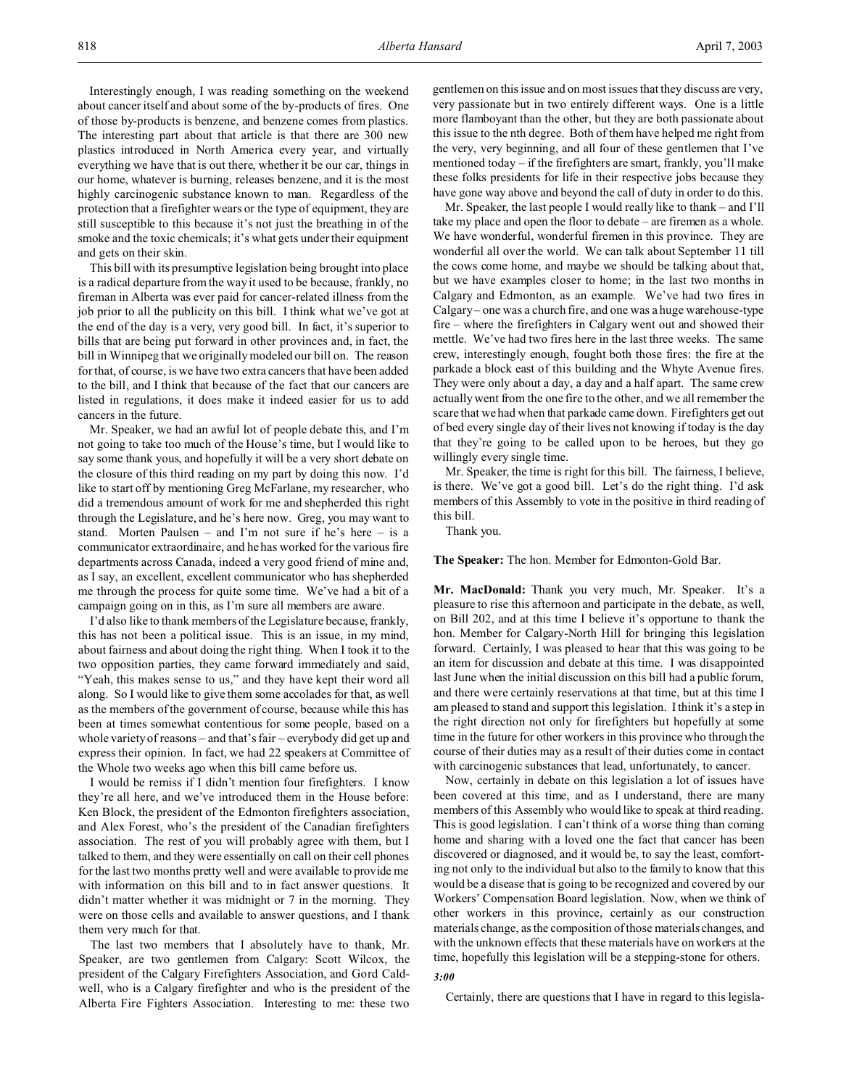Interestingly enough, I was reading something on the weekend about cancer itself and about some of the by-products of fires. One of those by-products is benzene, and benzene comes from plastics. The interesting part about that article is that there are 300 new plastics introduced in North America every year, and virtually everything we have that is out there, whether it be our car, things in our home, whatever is burning, releases benzene, and it is the most highly carcinogenic substance known to man. Regardless of the protection that a firefighter wears or the type of equipment, they are still susceptible to this because it's not just the breathing in of the smoke and the toxic chemicals; it's what gets under their equipment and gets on their skin.

This bill with its presumptive legislation being brought into place is a radical departure from the way it used to be because, frankly, no fireman in Alberta was ever paid for cancer-related illness from the job prior to all the publicity on this bill. I think what we've got at the end of the day is a very, very good bill. In fact, it's superior to bills that are being put forward in other provinces and, in fact, the bill in Winnipeg that we originally modeled our bill on. The reason for that, of course, is we have two extra cancers that have been added to the bill, and I think that because of the fact that our cancers are listed in regulations, it does make it indeed easier for us to add cancers in the future.

Mr. Speaker, we had an awful lot of people debate this, and I'm not going to take too much of the House's time, but I would like to say some thank yous, and hopefully it will be a very short debate on the closure of this third reading on my part by doing this now. I'd like to start off by mentioning Greg McFarlane, my researcher, who did a tremendous amount of work for me and shepherded this right through the Legislature, and he's here now. Greg, you may want to stand. Morten Paulsen – and I'm not sure if he's here – is a communicator extraordinaire, and he has worked for the various fire departments across Canada, indeed a very good friend of mine and, as I say, an excellent, excellent communicator who has shepherded me through the process for quite some time. We've had a bit of a campaign going on in this, as I'm sure all members are aware.

I'd also like to thank members of the Legislature because, frankly, this has not been a political issue. This is an issue, in my mind, about fairness and about doing the right thing. When I took it to the two opposition parties, they came forward immediately and said, "Yeah, this makes sense to us," and they have kept their word all along. So I would like to give them some accolades for that, as well as the members of the government of course, because while this has been at times somewhat contentious for some people, based on a whole variety of reasons – and that's fair – everybody did get up and express their opinion. In fact, we had 22 speakers at Committee of the Whole two weeks ago when this bill came before us.

I would be remiss if I didn't mention four firefighters. I know they're all here, and we've introduced them in the House before: Ken Block, the president of the Edmonton firefighters association, and Alex Forest, who's the president of the Canadian firefighters association. The rest of you will probably agree with them, but I talked to them, and they were essentially on call on their cell phones for the last two months pretty well and were available to provide me with information on this bill and to in fact answer questions. It didn't matter whether it was midnight or 7 in the morning. They were on those cells and available to answer questions, and I thank them very much for that.

The last two members that I absolutely have to thank, Mr. Speaker, are two gentlemen from Calgary: Scott Wilcox, the president of the Calgary Firefighters Association, and Gord Caldwell, who is a Calgary firefighter and who is the president of the Alberta Fire Fighters Association. Interesting to me: these two

gentlemen on this issue and on most issues that they discuss are very, very passionate but in two entirely different ways. One is a little more flamboyant than the other, but they are both passionate about this issue to the nth degree. Both of them have helped me right from the very, very beginning, and all four of these gentlemen that I've mentioned today – if the firefighters are smart, frankly, you'll make these folks presidents for life in their respective jobs because they have gone way above and beyond the call of duty in order to do this.

Mr. Speaker, the last people I would really like to thank – and I'll take my place and open the floor to debate – are firemen as a whole. We have wonderful, wonderful firemen in this province. They are wonderful all over the world. We can talk about September 11 till the cows come home, and maybe we should be talking about that, but we have examples closer to home; in the last two months in Calgary and Edmonton, as an example. We've had two fires in Calgary – one was a church fire, and one was a huge warehouse-type fire – where the firefighters in Calgary went out and showed their mettle. We've had two fires here in the last three weeks. The same crew, interestingly enough, fought both those fires: the fire at the parkade a block east of this building and the Whyte Avenue fires. They were only about a day, a day and a half apart. The same crew actually went from the one fire to the other, and we all remember the scare that we had when that parkade came down. Firefighters get out of bed every single day of their lives not knowing if today is the day that they're going to be called upon to be heroes, but they go willingly every single time.

Mr. Speaker, the time is right for this bill. The fairness, I believe, is there. We've got a good bill. Let's do the right thing. I'd ask members of this Assembly to vote in the positive in third reading of this bill.

Thank you.

**The Speaker:** The hon. Member for Edmonton-Gold Bar.

**Mr. MacDonald:** Thank you very much, Mr. Speaker. It's a pleasure to rise this afternoon and participate in the debate, as well, on Bill 202, and at this time I believe it's opportune to thank the hon. Member for Calgary-North Hill for bringing this legislation forward. Certainly, I was pleased to hear that this was going to be an item for discussion and debate at this time. I was disappointed last June when the initial discussion on this bill had a public forum, and there were certainly reservations at that time, but at this time I am pleased to stand and support this legislation. I think it's a step in the right direction not only for firefighters but hopefully at some time in the future for other workers in this province who through the course of their duties may as a result of their duties come in contact with carcinogenic substances that lead, unfortunately, to cancer.

Now, certainly in debate on this legislation a lot of issues have been covered at this time, and as I understand, there are many members of this Assembly who would like to speak at third reading. This is good legislation. I can't think of a worse thing than coming home and sharing with a loved one the fact that cancer has been discovered or diagnosed, and it would be, to say the least, comforting not only to the individual but also to the family to know that this would be a disease that is going to be recognized and covered by our Workers' Compensation Board legislation. Now, when we think of other workers in this province, certainly as our construction materials change, as the composition of those materials changes, and with the unknown effects that these materials have on workers at the time, hopefully this legislation will be a stepping-stone for others.

## *3:00*

Certainly, there are questions that I have in regard to this legisla-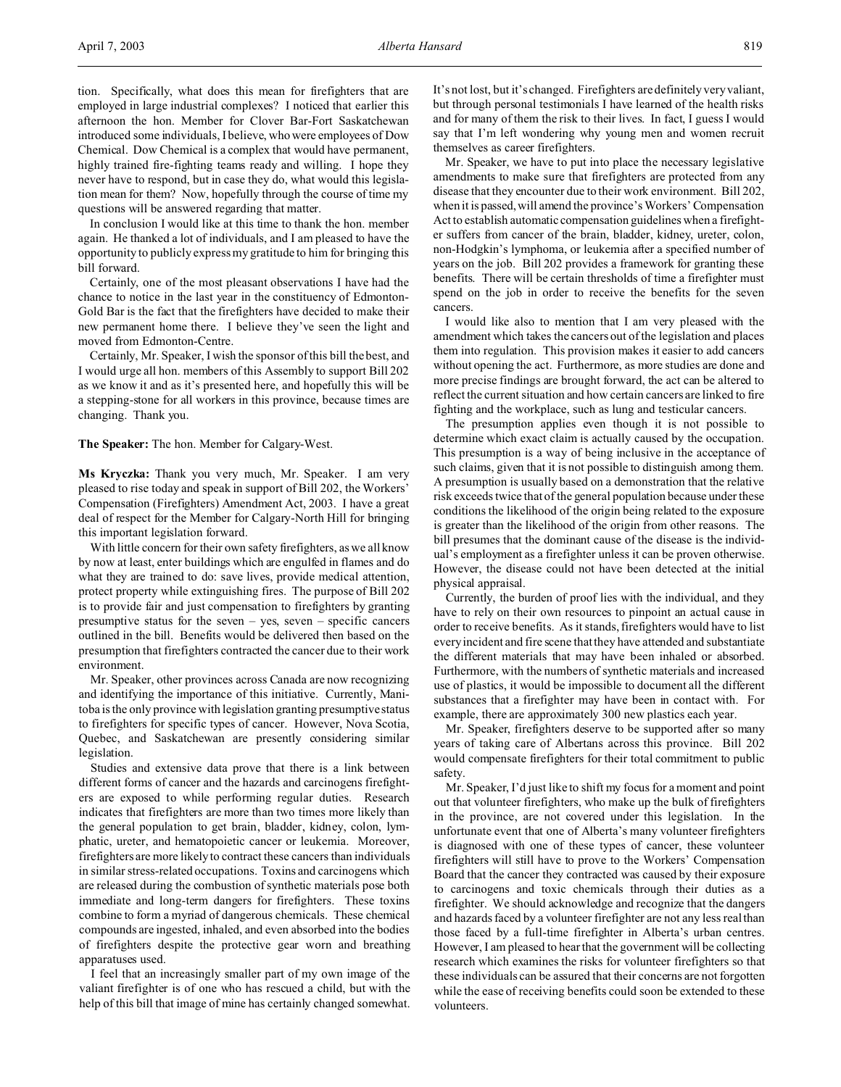tion. Specifically, what does this mean for firefighters that are employed in large industrial complexes? I noticed that earlier this afternoon the hon. Member for Clover Bar-Fort Saskatchewan introduced some individuals, I believe, who were employees of Dow Chemical. Dow Chemical is a complex that would have permanent, highly trained fire-fighting teams ready and willing. I hope they never have to respond, but in case they do, what would this legislation mean for them? Now, hopefully through the course of time my questions will be answered regarding that matter.

In conclusion I would like at this time to thank the hon. member again. He thanked a lot of individuals, and I am pleased to have the opportunity to publicly express my gratitude to him for bringing this bill forward.

Certainly, one of the most pleasant observations I have had the chance to notice in the last year in the constituency of Edmonton-Gold Bar is the fact that the firefighters have decided to make their new permanent home there. I believe they've seen the light and moved from Edmonton-Centre.

Certainly, Mr. Speaker, I wish the sponsor of this bill the best, and I would urge all hon. members of this Assembly to support Bill 202 as we know it and as it's presented here, and hopefully this will be a stepping-stone for all workers in this province, because times are changing. Thank you.

**The Speaker:** The hon. Member for Calgary-West.

**Ms Kryczka:** Thank you very much, Mr. Speaker. I am very pleased to rise today and speak in support of Bill 202, the Workers' Compensation (Firefighters) Amendment Act, 2003. I have a great deal of respect for the Member for Calgary-North Hill for bringing this important legislation forward.

With little concern for their own safety firefighters, as we all know by now at least, enter buildings which are engulfed in flames and do what they are trained to do: save lives, provide medical attention, protect property while extinguishing fires. The purpose of Bill 202 is to provide fair and just compensation to firefighters by granting presumptive status for the seven – yes, seven – specific cancers outlined in the bill. Benefits would be delivered then based on the presumption that firefighters contracted the cancer due to their work environment.

Mr. Speaker, other provinces across Canada are now recognizing and identifying the importance of this initiative. Currently, Manitoba is the only province with legislation granting presumptive status to firefighters for specific types of cancer. However, Nova Scotia, Quebec, and Saskatchewan are presently considering similar legislation.

Studies and extensive data prove that there is a link between different forms of cancer and the hazards and carcinogens firefighters are exposed to while performing regular duties. Research indicates that firefighters are more than two times more likely than the general population to get brain, bladder, kidney, colon, lymphatic, ureter, and hematopoietic cancer or leukemia. Moreover, firefighters are more likely to contract these cancers than individuals in similar stress-related occupations. Toxins and carcinogens which are released during the combustion of synthetic materials pose both immediate and long-term dangers for firefighters. These toxins combine to form a myriad of dangerous chemicals. These chemical compounds are ingested, inhaled, and even absorbed into the bodies of firefighters despite the protective gear worn and breathing apparatuses used.

I feel that an increasingly smaller part of my own image of the valiant firefighter is of one who has rescued a child, but with the help of this bill that image of mine has certainly changed somewhat. It's not lost, but it's changed. Firefighters are definitely very valiant, but through personal testimonials I have learned of the health risks and for many of them the risk to their lives. In fact, I guess I would say that I'm left wondering why young men and women recruit themselves as career firefighters.

Mr. Speaker, we have to put into place the necessary legislative amendments to make sure that firefighters are protected from any disease that they encounter due to their work environment. Bill 202, when it is passed, will amend the province's Workers' Compensation Act to establish automatic compensation guidelines when a firefighter suffers from cancer of the brain, bladder, kidney, ureter, colon, non-Hodgkin's lymphoma, or leukemia after a specified number of years on the job. Bill 202 provides a framework for granting these benefits. There will be certain thresholds of time a firefighter must spend on the job in order to receive the benefits for the seven cancers.

I would like also to mention that I am very pleased with the amendment which takes the cancers out of the legislation and places them into regulation. This provision makes it easier to add cancers without opening the act. Furthermore, as more studies are done and more precise findings are brought forward, the act can be altered to reflect the current situation and how certain cancers are linked to fire fighting and the workplace, such as lung and testicular cancers.

The presumption applies even though it is not possible to determine which exact claim is actually caused by the occupation. This presumption is a way of being inclusive in the acceptance of such claims, given that it is not possible to distinguish among them. A presumption is usually based on a demonstration that the relative risk exceeds twice that of the general population because under these conditions the likelihood of the origin being related to the exposure is greater than the likelihood of the origin from other reasons. The bill presumes that the dominant cause of the disease is the individual's employment as a firefighter unless it can be proven otherwise. However, the disease could not have been detected at the initial physical appraisal.

Currently, the burden of proof lies with the individual, and they have to rely on their own resources to pinpoint an actual cause in order to receive benefits. As it stands, firefighters would have to list every incident and fire scene that they have attended and substantiate the different materials that may have been inhaled or absorbed. Furthermore, with the numbers of synthetic materials and increased use of plastics, it would be impossible to document all the different substances that a firefighter may have been in contact with. For example, there are approximately 300 new plastics each year.

Mr. Speaker, firefighters deserve to be supported after so many years of taking care of Albertans across this province. Bill 202 would compensate firefighters for their total commitment to public safety.

Mr. Speaker, I'd just like to shift my focus for a moment and point out that volunteer firefighters, who make up the bulk of firefighters in the province, are not covered under this legislation. In the unfortunate event that one of Alberta's many volunteer firefighters is diagnosed with one of these types of cancer, these volunteer firefighters will still have to prove to the Workers' Compensation Board that the cancer they contracted was caused by their exposure to carcinogens and toxic chemicals through their duties as a firefighter. We should acknowledge and recognize that the dangers and hazards faced by a volunteer firefighter are not any less real than those faced by a full-time firefighter in Alberta's urban centres. However, I am pleased to hear that the government will be collecting research which examines the risks for volunteer firefighters so that these individuals can be assured that their concerns are not forgotten while the ease of receiving benefits could soon be extended to these volunteers.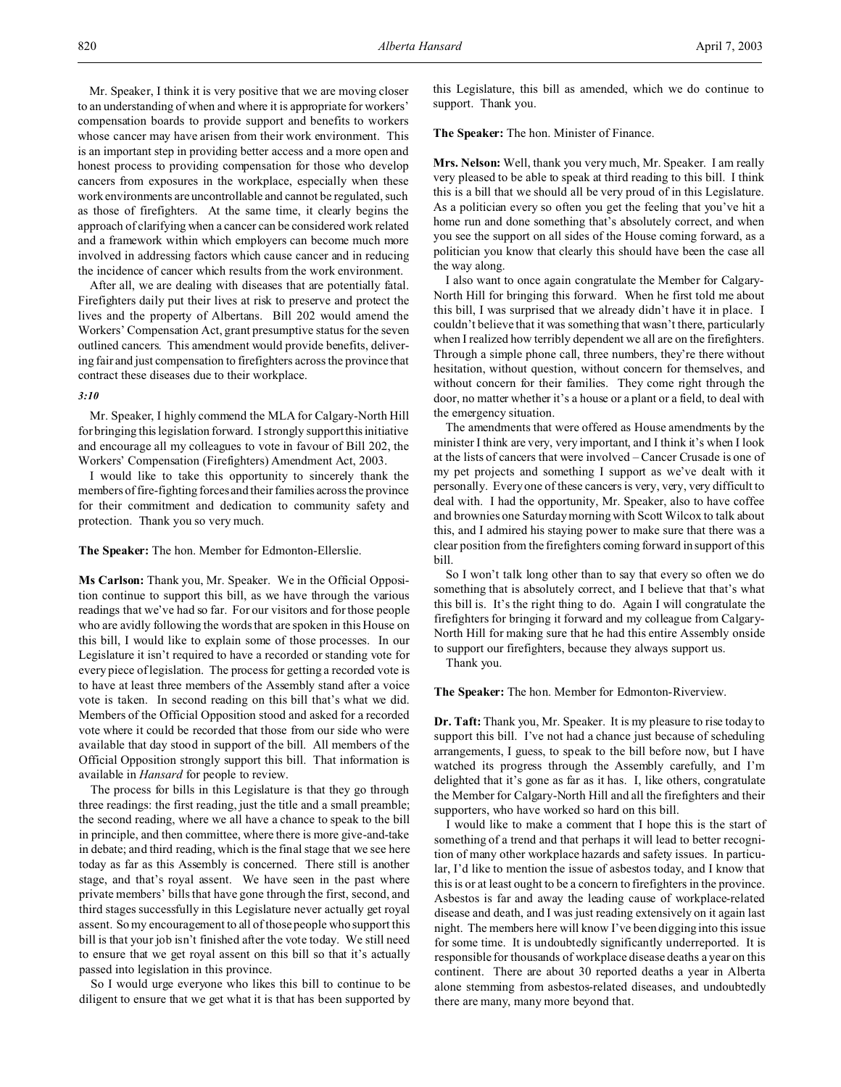Mr. Speaker, I think it is very positive that we are moving closer to an understanding of when and where it is appropriate for workers' compensation boards to provide support and benefits to workers whose cancer may have arisen from their work environment. This is an important step in providing better access and a more open and honest process to providing compensation for those who develop cancers from exposures in the workplace, especially when these work environments are uncontrollable and cannot be regulated, such as those of firefighters. At the same time, it clearly begins the approach of clarifying when a cancer can be considered work related and a framework within which employers can become much more involved in addressing factors which cause cancer and in reducing the incidence of cancer which results from the work environment.

After all, we are dealing with diseases that are potentially fatal. Firefighters daily put their lives at risk to preserve and protect the lives and the property of Albertans. Bill 202 would amend the Workers' Compensation Act, grant presumptive status for the seven outlined cancers. This amendment would provide benefits, delivering fair and just compensation to firefighters across the province that contract these diseases due to their workplace.

### *3:10*

Mr. Speaker, I highly commend the MLA for Calgary-North Hill for bringing this legislation forward. I strongly support this initiative and encourage all my colleagues to vote in favour of Bill 202, the Workers' Compensation (Firefighters) Amendment Act, 2003.

I would like to take this opportunity to sincerely thank the members of fire-fighting forces and their families across the province for their commitment and dedication to community safety and protection. Thank you so very much.

**The Speaker:** The hon. Member for Edmonton-Ellerslie.

**Ms Carlson:** Thank you, Mr. Speaker. We in the Official Opposition continue to support this bill, as we have through the various readings that we've had so far. For our visitors and for those people who are avidly following the words that are spoken in this House on this bill, I would like to explain some of those processes. In our Legislature it isn't required to have a recorded or standing vote for every piece of legislation. The process for getting a recorded vote is to have at least three members of the Assembly stand after a voice vote is taken. In second reading on this bill that's what we did. Members of the Official Opposition stood and asked for a recorded vote where it could be recorded that those from our side who were available that day stood in support of the bill. All members of the Official Opposition strongly support this bill. That information is available in *Hansard* for people to review.

The process for bills in this Legislature is that they go through three readings: the first reading, just the title and a small preamble; the second reading, where we all have a chance to speak to the bill in principle, and then committee, where there is more give-and-take in debate; and third reading, which is the final stage that we see here today as far as this Assembly is concerned. There still is another stage, and that's royal assent. We have seen in the past where private members' bills that have gone through the first, second, and third stages successfully in this Legislature never actually get royal assent. So my encouragement to all of those people who support this bill is that your job isn't finished after the vote today. We still need to ensure that we get royal assent on this bill so that it's actually passed into legislation in this province.

So I would urge everyone who likes this bill to continue to be diligent to ensure that we get what it is that has been supported by

this Legislature, this bill as amended, which we do continue to support. Thank you.

**The Speaker:** The hon. Minister of Finance.

**Mrs. Nelson:** Well, thank you very much, Mr. Speaker. I am really very pleased to be able to speak at third reading to this bill. I think this is a bill that we should all be very proud of in this Legislature. As a politician every so often you get the feeling that you've hit a home run and done something that's absolutely correct, and when you see the support on all sides of the House coming forward, as a politician you know that clearly this should have been the case all the way along.

I also want to once again congratulate the Member for Calgary-North Hill for bringing this forward. When he first told me about this bill, I was surprised that we already didn't have it in place. I couldn't believe that it was something that wasn't there, particularly when I realized how terribly dependent we all are on the firefighters. Through a simple phone call, three numbers, they're there without hesitation, without question, without concern for themselves, and without concern for their families. They come right through the door, no matter whether it's a house or a plant or a field, to deal with the emergency situation.

The amendments that were offered as House amendments by the minister I think are very, very important, and I think it's when I look at the lists of cancers that were involved – Cancer Crusade is one of my pet projects and something I support as we've dealt with it personally. Every one of these cancers is very, very, very difficult to deal with. I had the opportunity, Mr. Speaker, also to have coffee and brownies one Saturday morning with Scott Wilcox to talk about this, and I admired his staying power to make sure that there was a clear position from the firefighters coming forward in support of this bill.

So I won't talk long other than to say that every so often we do something that is absolutely correct, and I believe that that's what this bill is. It's the right thing to do. Again I will congratulate the firefighters for bringing it forward and my colleague from Calgary-North Hill for making sure that he had this entire Assembly onside to support our firefighters, because they always support us.

Thank you.

**The Speaker:** The hon. Member for Edmonton-Riverview.

**Dr. Taft:** Thank you, Mr. Speaker. It is my pleasure to rise today to support this bill. I've not had a chance just because of scheduling arrangements, I guess, to speak to the bill before now, but I have watched its progress through the Assembly carefully, and I'm delighted that it's gone as far as it has. I, like others, congratulate the Member for Calgary-North Hill and all the firefighters and their supporters, who have worked so hard on this bill.

I would like to make a comment that I hope this is the start of something of a trend and that perhaps it will lead to better recognition of many other workplace hazards and safety issues. In particular, I'd like to mention the issue of asbestos today, and I know that this is or at least ought to be a concern to firefighters in the province. Asbestos is far and away the leading cause of workplace-related disease and death, and I was just reading extensively on it again last night. The members here will know I've been digging into this issue for some time. It is undoubtedly significantly underreported. It is responsible for thousands of workplace disease deaths a year on this continent. There are about 30 reported deaths a year in Alberta alone stemming from asbestos-related diseases, and undoubtedly there are many, many more beyond that.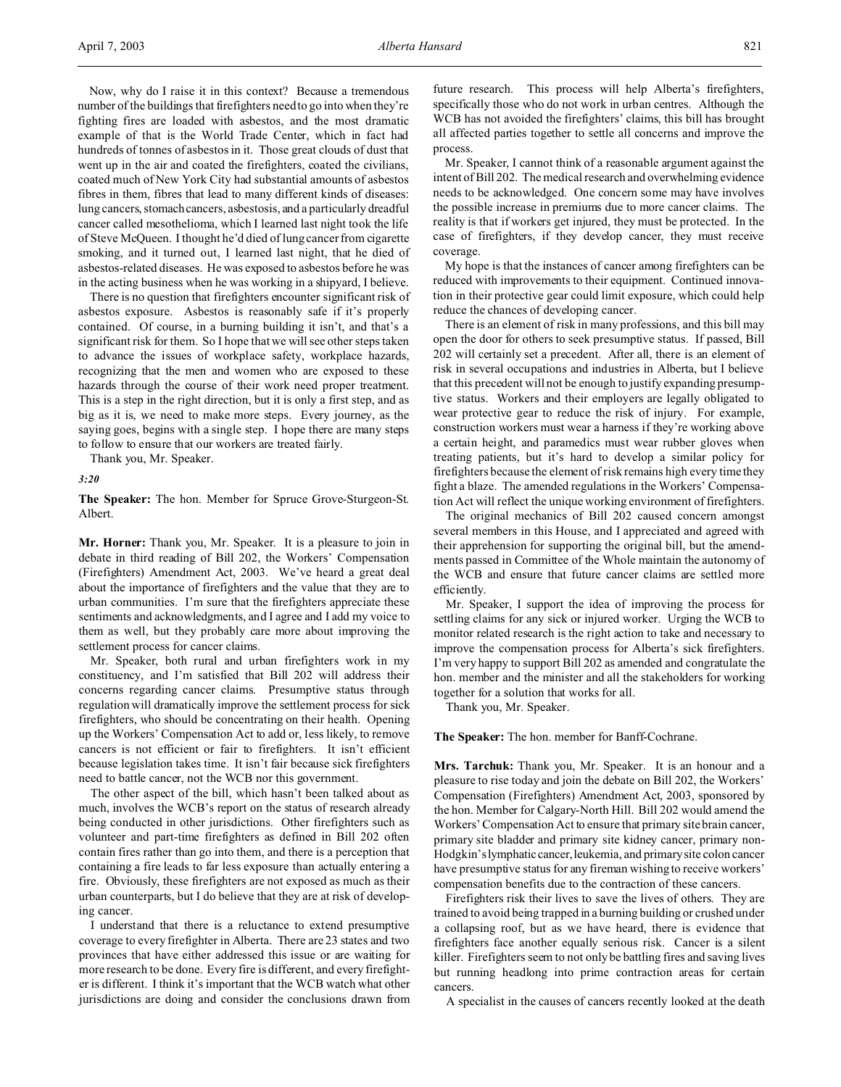Now, why do I raise it in this context? Because a tremendous number of the buildings that firefighters need to go into when they're fighting fires are loaded with asbestos, and the most dramatic example of that is the World Trade Center, which in fact had hundreds of tonnes of asbestos in it. Those great clouds of dust that went up in the air and coated the firefighters, coated the civilians, coated much of New York City had substantial amounts of asbestos fibres in them, fibres that lead to many different kinds of diseases: lung cancers, stomach cancers, asbestosis, and a particularly dreadful cancer called mesothelioma, which I learned last night took the life of Steve McQueen. I thought he'd died of lung cancer from cigarette smoking, and it turned out, I learned last night, that he died of asbestos-related diseases. He was exposed to asbestos before he was in the acting business when he was working in a shipyard, I believe.

There is no question that firefighters encounter significant risk of asbestos exposure. Asbestos is reasonably safe if it's properly contained. Of course, in a burning building it isn't, and that's a significant risk for them. So I hope that we will see other steps taken to advance the issues of workplace safety, workplace hazards, recognizing that the men and women who are exposed to these hazards through the course of their work need proper treatment. This is a step in the right direction, but it is only a first step, and as big as it is, we need to make more steps. Every journey, as the saying goes, begins with a single step. I hope there are many steps to follow to ensure that our workers are treated fairly.

Thank you, Mr. Speaker.

*3:20*

**The Speaker:** The hon. Member for Spruce Grove-Sturgeon-St. Albert.

**Mr. Horner:** Thank you, Mr. Speaker. It is a pleasure to join in debate in third reading of Bill 202, the Workers' Compensation (Firefighters) Amendment Act, 2003. We've heard a great deal about the importance of firefighters and the value that they are to urban communities. I'm sure that the firefighters appreciate these sentiments and acknowledgments, and I agree and I add my voice to them as well, but they probably care more about improving the settlement process for cancer claims.

Mr. Speaker, both rural and urban firefighters work in my constituency, and I'm satisfied that Bill 202 will address their concerns regarding cancer claims. Presumptive status through regulation will dramatically improve the settlement process for sick firefighters, who should be concentrating on their health. Opening up the Workers' Compensation Act to add or, less likely, to remove cancers is not efficient or fair to firefighters. It isn't efficient because legislation takes time. It isn't fair because sick firefighters need to battle cancer, not the WCB nor this government.

The other aspect of the bill, which hasn't been talked about as much, involves the WCB's report on the status of research already being conducted in other jurisdictions. Other firefighters such as volunteer and part-time firefighters as defined in Bill 202 often contain fires rather than go into them, and there is a perception that containing a fire leads to far less exposure than actually entering a fire. Obviously, these firefighters are not exposed as much as their urban counterparts, but I do believe that they are at risk of developing cancer.

I understand that there is a reluctance to extend presumptive coverage to every firefighter in Alberta. There are 23 states and two provinces that have either addressed this issue or are waiting for more research to be done. Every fire is different, and every firefighter is different. I think it's important that the WCB watch what other jurisdictions are doing and consider the conclusions drawn from

future research. This process will help Alberta's firefighters, specifically those who do not work in urban centres. Although the WCB has not avoided the firefighters' claims, this bill has brought all affected parties together to settle all concerns and improve the process.

Mr. Speaker, I cannot think of a reasonable argument against the intent of Bill 202. The medical research and overwhelming evidence needs to be acknowledged. One concern some may have involves the possible increase in premiums due to more cancer claims. The reality is that if workers get injured, they must be protected. In the case of firefighters, if they develop cancer, they must receive coverage.

My hope is that the instances of cancer among firefighters can be reduced with improvements to their equipment. Continued innovation in their protective gear could limit exposure, which could help reduce the chances of developing cancer.

There is an element of risk in many professions, and this bill may open the door for others to seek presumptive status. If passed, Bill 202 will certainly set a precedent. After all, there is an element of risk in several occupations and industries in Alberta, but I believe that this precedent will not be enough to justify expanding presumptive status. Workers and their employers are legally obligated to wear protective gear to reduce the risk of injury. For example, construction workers must wear a harness if they're working above a certain height, and paramedics must wear rubber gloves when treating patients, but it's hard to develop a similar policy for firefighters because the element of risk remains high every time they fight a blaze. The amended regulations in the Workers' Compensation Act will reflect the unique working environment of firefighters.

The original mechanics of Bill 202 caused concern amongst several members in this House, and I appreciated and agreed with their apprehension for supporting the original bill, but the amendments passed in Committee of the Whole maintain the autonomy of the WCB and ensure that future cancer claims are settled more efficiently.

Mr. Speaker, I support the idea of improving the process for settling claims for any sick or injured worker. Urging the WCB to monitor related research is the right action to take and necessary to improve the compensation process for Alberta's sick firefighters. I'm very happy to support Bill 202 as amended and congratulate the hon. member and the minister and all the stakeholders for working together for a solution that works for all.

Thank you, Mr. Speaker.

**The Speaker:** The hon. member for Banff-Cochrane.

**Mrs. Tarchuk:** Thank you, Mr. Speaker. It is an honour and a pleasure to rise today and join the debate on Bill 202, the Workers' Compensation (Firefighters) Amendment Act, 2003, sponsored by the hon. Member for Calgary-North Hill. Bill 202 would amend the Workers' Compensation Act to ensure that primary site brain cancer, primary site bladder and primary site kidney cancer, primary non-Hodgkin's lymphaticcancer,leukemia, and primary site colon cancer have presumptive status for any fireman wishing to receive workers' compensation benefits due to the contraction of these cancers.

Firefighters risk their lives to save the lives of others. They are trained to avoid being trapped in a burning building or crushed under a collapsing roof, but as we have heard, there is evidence that firefighters face another equally serious risk. Cancer is a silent killer. Firefighters seem to not only be battling fires and saving lives but running headlong into prime contraction areas for certain cancers.

A specialist in the causes of cancers recently looked at the death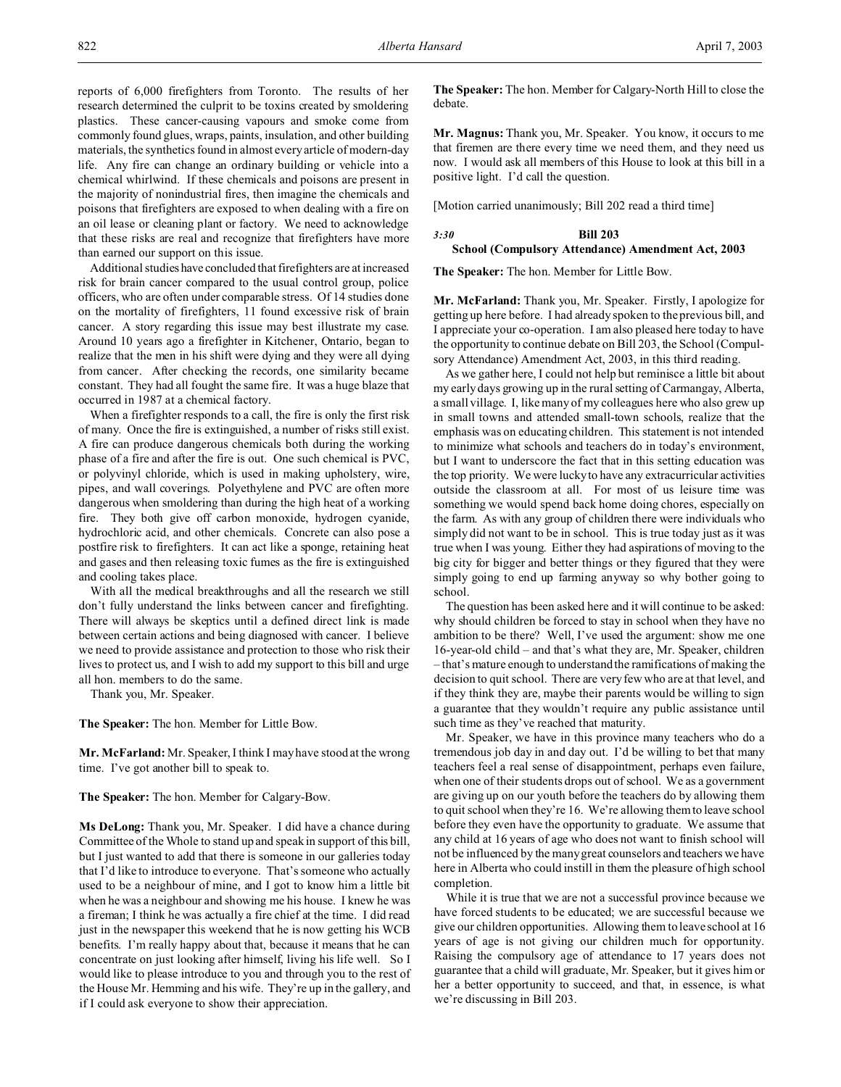reports of 6,000 firefighters from Toronto. The results of her research determined the culprit to be toxins created by smoldering plastics. These cancer-causing vapours and smoke come from commonly found glues, wraps, paints, insulation, and other building materials, the synthetics found in almost every article of modern-day life. Any fire can change an ordinary building or vehicle into a chemical whirlwind. If these chemicals and poisons are present in the majority of nonindustrial fires, then imagine the chemicals and poisons that firefighters are exposed to when dealing with a fire on an oil lease or cleaning plant or factory. We need to acknowledge that these risks are real and recognize that firefighters have more than earned our support on this issue.

Additional studies have concluded that firefighters are at increased risk for brain cancer compared to the usual control group, police officers, who are often under comparable stress. Of 14 studies done on the mortality of firefighters, 11 found excessive risk of brain cancer. A story regarding this issue may best illustrate my case. Around 10 years ago a firefighter in Kitchener, Ontario, began to realize that the men in his shift were dying and they were all dying from cancer. After checking the records, one similarity became constant. They had all fought the same fire. It was a huge blaze that occurred in 1987 at a chemical factory.

When a firefighter responds to a call, the fire is only the first risk of many. Once the fire is extinguished, a number of risks still exist. A fire can produce dangerous chemicals both during the working phase of a fire and after the fire is out. One such chemical is PVC, or polyvinyl chloride, which is used in making upholstery, wire, pipes, and wall coverings. Polyethylene and PVC are often more dangerous when smoldering than during the high heat of a working fire. They both give off carbon monoxide, hydrogen cyanide, hydrochloric acid, and other chemicals. Concrete can also pose a postfire risk to firefighters. It can act like a sponge, retaining heat and gases and then releasing toxic fumes as the fire is extinguished and cooling takes place.

With all the medical breakthroughs and all the research we still don't fully understand the links between cancer and firefighting. There will always be skeptics until a defined direct link is made between certain actions and being diagnosed with cancer. I believe we need to provide assistance and protection to those who risk their lives to protect us, and I wish to add my support to this bill and urge all hon. members to do the same.

Thank you, Mr. Speaker.

**The Speaker:** The hon. Member for Little Bow.

**Mr. McFarland:** Mr. Speaker, I think I may have stood at the wrong time. I've got another bill to speak to.

**The Speaker:** The hon. Member for Calgary-Bow.

**Ms DeLong:** Thank you, Mr. Speaker. I did have a chance during Committee of the Whole to stand up and speak in support of this bill, but I just wanted to add that there is someone in our galleries today that I'd like to introduce to everyone. That's someone who actually used to be a neighbour of mine, and I got to know him a little bit when he was a neighbour and showing me his house. I knew he was a fireman; I think he was actually a fire chief at the time. I did read just in the newspaper this weekend that he is now getting his WCB benefits. I'm really happy about that, because it means that he can concentrate on just looking after himself, living his life well. So I would like to please introduce to you and through you to the rest of the House Mr. Hemming and his wife. They're up in the gallery, and if I could ask everyone to show their appreciation.

**The Speaker:** The hon. Member for Calgary-North Hill to close the debate.

**Mr. Magnus:** Thank you, Mr. Speaker. You know, it occurs to me that firemen are there every time we need them, and they need us now. I would ask all members of this House to look at this bill in a positive light. I'd call the question.

[Motion carried unanimously; Bill 202 read a third time]

# *3:30* **Bill 203**

## **School (Compulsory Attendance) Amendment Act, 2003**

**The Speaker:** The hon. Member for Little Bow.

**Mr. McFarland:** Thank you, Mr. Speaker. Firstly, I apologize for getting up here before. I had already spoken to the previous bill, and I appreciate your co-operation. I am also pleased here today to have the opportunity to continue debate on Bill 203, the School (Compulsory Attendance) Amendment Act, 2003, in this third reading.

As we gather here, I could not help but reminisce a little bit about my early days growing up in the rural setting of Carmangay, Alberta, a small village. I, like many of my colleagues here who also grew up in small towns and attended small-town schools, realize that the emphasis was on educating children. This statement is not intended to minimize what schools and teachers do in today's environment, but I want to underscore the fact that in this setting education was the top priority. We were lucky to have any extracurricular activities outside the classroom at all. For most of us leisure time was something we would spend back home doing chores, especially on the farm. As with any group of children there were individuals who simply did not want to be in school. This is true today just as it was true when I was young. Either they had aspirations of moving to the big city for bigger and better things or they figured that they were simply going to end up farming anyway so why bother going to school.

The question has been asked here and it will continue to be asked: why should children be forced to stay in school when they have no ambition to be there? Well, I've used the argument: show me one 16-year-old child – and that's what they are, Mr. Speaker, children – that's mature enough to understand the ramifications of making the decision to quit school. There are very few who are at that level, and if they think they are, maybe their parents would be willing to sign a guarantee that they wouldn't require any public assistance until such time as they've reached that maturity.

Mr. Speaker, we have in this province many teachers who do a tremendous job day in and day out. I'd be willing to bet that many teachers feel a real sense of disappointment, perhaps even failure, when one of their students drops out of school. We as a government are giving up on our youth before the teachers do by allowing them to quit school when they're 16. We're allowing them to leave school before they even have the opportunity to graduate. We assume that any child at 16 years of age who does not want to finish school will not be influenced by the many great counselors and teachers we have here in Alberta who could instill in them the pleasure of high school completion.

While it is true that we are not a successful province because we have forced students to be educated; we are successful because we give our children opportunities. Allowing them to leave school at 16 years of age is not giving our children much for opportunity. Raising the compulsory age of attendance to 17 years does not guarantee that a child will graduate, Mr. Speaker, but it gives him or her a better opportunity to succeed, and that, in essence, is what we're discussing in Bill 203.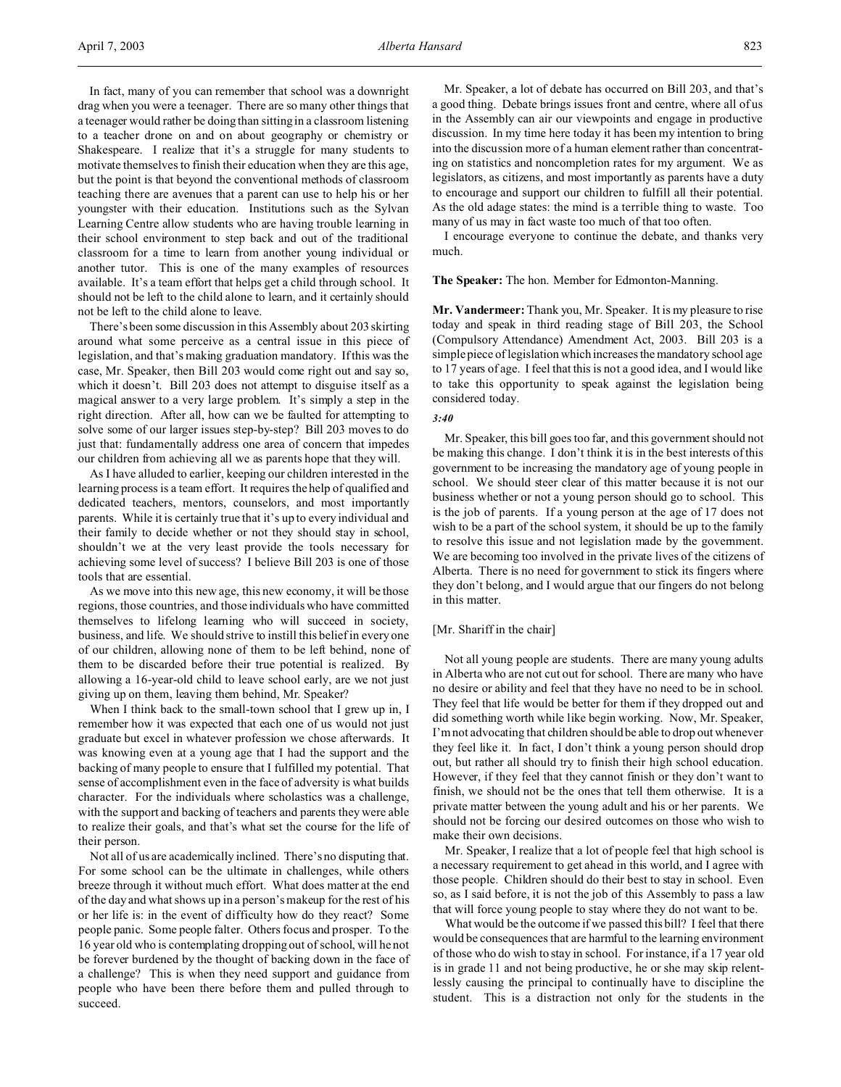In fact, many of you can remember that school was a downright drag when you were a teenager. There are so many other things that a teenager would rather be doing than sitting in a classroom listening to a teacher drone on and on about geography or chemistry or Shakespeare. I realize that it's a struggle for many students to motivate themselves to finish their education when they are this age, but the point is that beyond the conventional methods of classroom teaching there are avenues that a parent can use to help his or her youngster with their education. Institutions such as the Sylvan Learning Centre allow students who are having trouble learning in their school environment to step back and out of the traditional classroom for a time to learn from another young individual or another tutor. This is one of the many examples of resources available. It's a team effort that helps get a child through school. It should not be left to the child alone to learn, and it certainly should not be left to the child alone to leave.

There's been some discussion in this Assembly about 203 skirting around what some perceive as a central issue in this piece of legislation, and that's making graduation mandatory. If this was the case, Mr. Speaker, then Bill 203 would come right out and say so, which it doesn't. Bill 203 does not attempt to disguise itself as a magical answer to a very large problem. It's simply a step in the right direction. After all, how can we be faulted for attempting to solve some of our larger issues step-by-step? Bill 203 moves to do just that: fundamentally address one area of concern that impedes our children from achieving all we as parents hope that they will.

As I have alluded to earlier, keeping our children interested in the learning process is a team effort. It requires the help of qualified and dedicated teachers, mentors, counselors, and most importantly parents. While it is certainly true that it's up to every individual and their family to decide whether or not they should stay in school, shouldn't we at the very least provide the tools necessary for achieving some level of success? I believe Bill 203 is one of those tools that are essential.

As we move into this new age, this new economy, it will be those regions, those countries, and those individuals who have committed themselves to lifelong learning who will succeed in society, business, and life. We should strive to instill this belief in every one of our children, allowing none of them to be left behind, none of them to be discarded before their true potential is realized. By allowing a 16-year-old child to leave school early, are we not just giving up on them, leaving them behind, Mr. Speaker?

When I think back to the small-town school that I grew up in, I remember how it was expected that each one of us would not just graduate but excel in whatever profession we chose afterwards. It was knowing even at a young age that I had the support and the backing of many people to ensure that I fulfilled my potential. That sense of accomplishment even in the face of adversity is what builds character. For the individuals where scholastics was a challenge, with the support and backing of teachers and parents they were able to realize their goals, and that's what set the course for the life of their person.

Not all of us are academically inclined. There's no disputing that. For some school can be the ultimate in challenges, while others breeze through it without much effort. What does matter at the end of the day and what shows up in a person's makeup for the rest of his or her life is: in the event of difficulty how do they react? Some people panic. Some people falter. Others focus and prosper. To the 16 year old who is contemplating dropping out of school, will he not be forever burdened by the thought of backing down in the face of a challenge? This is when they need support and guidance from people who have been there before them and pulled through to succeed.

Mr. Speaker, a lot of debate has occurred on Bill 203, and that's a good thing. Debate brings issues front and centre, where all of us in the Assembly can air our viewpoints and engage in productive discussion. In my time here today it has been my intention to bring into the discussion more of a human element rather than concentrating on statistics and noncompletion rates for my argument. We as legislators, as citizens, and most importantly as parents have a duty to encourage and support our children to fulfill all their potential. As the old adage states: the mind is a terrible thing to waste. Too many of us may in fact waste too much of that too often.

I encourage everyone to continue the debate, and thanks very much.

#### **The Speaker:** The hon. Member for Edmonton-Manning.

**Mr. Vandermeer:** Thank you, Mr. Speaker. It is my pleasure to rise today and speak in third reading stage of Bill 203, the School (Compulsory Attendance) Amendment Act, 2003. Bill 203 is a simple piece of legislation which increases the mandatory school age to 17 years of age. I feel that this is not a good idea, and I would like to take this opportunity to speak against the legislation being considered today.

#### *3:40*

Mr. Speaker, this bill goes too far, and this government should not be making this change. I don't think it is in the best interests of this government to be increasing the mandatory age of young people in school. We should steer clear of this matter because it is not our business whether or not a young person should go to school. This is the job of parents. If a young person at the age of 17 does not wish to be a part of the school system, it should be up to the family to resolve this issue and not legislation made by the government. We are becoming too involved in the private lives of the citizens of Alberta. There is no need for government to stick its fingers where they don't belong, and I would argue that our fingers do not belong in this matter.

#### [Mr. Shariff in the chair]

Not all young people are students. There are many young adults in Alberta who are not cut out for school. There are many who have no desire or ability and feel that they have no need to be in school. They feel that life would be better for them if they dropped out and did something worth while like begin working. Now, Mr. Speaker, I'm not advocating that children should be able to drop out whenever they feel like it. In fact, I don't think a young person should drop out, but rather all should try to finish their high school education. However, if they feel that they cannot finish or they don't want to finish, we should not be the ones that tell them otherwise. It is a private matter between the young adult and his or her parents. We should not be forcing our desired outcomes on those who wish to make their own decisions.

Mr. Speaker, I realize that a lot of people feel that high school is a necessary requirement to get ahead in this world, and I agree with those people. Children should do their best to stay in school. Even so, as I said before, it is not the job of this Assembly to pass a law that will force young people to stay where they do not want to be.

What would be the outcome if we passed this bill? I feel that there would be consequences that are harmful to the learning environment of those who do wish to stay in school. For instance, if a 17 year old is in grade 11 and not being productive, he or she may skip relentlessly causing the principal to continually have to discipline the student. This is a distraction not only for the students in the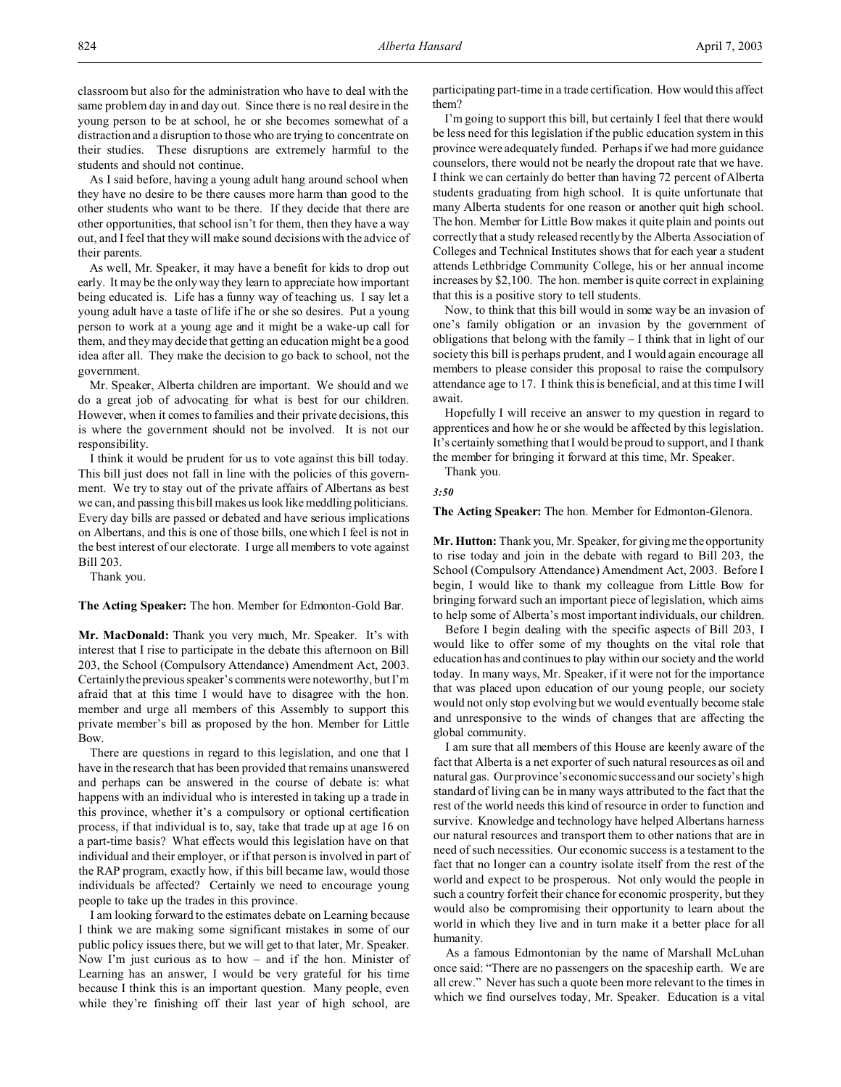As I said before, having a young adult hang around school when they have no desire to be there causes more harm than good to the other students who want to be there. If they decide that there are other opportunities, that school isn't for them, then they have a way out, and I feel that they will make sound decisions with the advice of their parents.

As well, Mr. Speaker, it may have a benefit for kids to drop out early. It may be the only way they learn to appreciate how important being educated is. Life has a funny way of teaching us. I say let a young adult have a taste of life if he or she so desires. Put a young person to work at a young age and it might be a wake-up call for them, and they may decide that getting an education might be a good idea after all. They make the decision to go back to school, not the government.

Mr. Speaker, Alberta children are important. We should and we do a great job of advocating for what is best for our children. However, when it comes to families and their private decisions, this is where the government should not be involved. It is not our responsibility.

I think it would be prudent for us to vote against this bill today. This bill just does not fall in line with the policies of this government. We try to stay out of the private affairs of Albertans as best we can, and passing this bill makes us look like meddling politicians. Every day bills are passed or debated and have serious implications on Albertans, and this is one of those bills, one which I feel is not in the best interest of our electorate. I urge all members to vote against Bill 203.

Thank you.

**The Acting Speaker:** The hon. Member for Edmonton-Gold Bar.

**Mr. MacDonald:** Thank you very much, Mr. Speaker. It's with interest that I rise to participate in the debate this afternoon on Bill 203, the School (Compulsory Attendance) Amendment Act, 2003. Certainly the previous speaker's comments were noteworthy, but I'm afraid that at this time I would have to disagree with the hon. member and urge all members of this Assembly to support this private member's bill as proposed by the hon. Member for Little Bow.

There are questions in regard to this legislation, and one that I have in the research that has been provided that remains unanswered and perhaps can be answered in the course of debate is: what happens with an individual who is interested in taking up a trade in this province, whether it's a compulsory or optional certification process, if that individual is to, say, take that trade up at age 16 on a part-time basis? What effects would this legislation have on that individual and their employer, or if that person is involved in part of the RAP program, exactly how, if this bill became law, would those individuals be affected? Certainly we need to encourage young people to take up the trades in this province.

I am looking forward to the estimates debate on Learning because I think we are making some significant mistakes in some of our public policy issues there, but we will get to that later, Mr. Speaker. Now I'm just curious as to how  $-$  and if the hon. Minister of Learning has an answer, I would be very grateful for his time because I think this is an important question. Many people, even while they're finishing off their last year of high school, are participating part-time in a trade certification. How would this affect them?

I'm going to support this bill, but certainly I feel that there would be less need for this legislation if the public education system in this province were adequately funded. Perhaps if we had more guidance counselors, there would not be nearly the dropout rate that we have. I think we can certainly do better than having 72 percent of Alberta students graduating from high school. It is quite unfortunate that many Alberta students for one reason or another quit high school. The hon. Member for Little Bow makes it quite plain and points out correctly that a study released recently by the Alberta Association of Colleges and Technical Institutes shows that for each year a student attends Lethbridge Community College, his or her annual income increases by \$2,100. The hon. member is quite correct in explaining that this is a positive story to tell students.

Now, to think that this bill would in some way be an invasion of one's family obligation or an invasion by the government of obligations that belong with the family – I think that in light of our society this bill is perhaps prudent, and I would again encourage all members to please consider this proposal to raise the compulsory attendance age to 17. I think this is beneficial, and at this time I will await.

Hopefully I will receive an answer to my question in regard to apprentices and how he or she would be affected by this legislation. It's certainly something that I would be proud to support, and I thank the member for bringing it forward at this time, Mr. Speaker.

Thank you.

*3:50*

**The Acting Speaker:** The hon. Member for Edmonton-Glenora.

**Mr. Hutton:** Thank you, Mr. Speaker, for giving me the opportunity to rise today and join in the debate with regard to Bill 203, the School (Compulsory Attendance) Amendment Act, 2003. Before I begin, I would like to thank my colleague from Little Bow for bringing forward such an important piece of legislation, which aims to help some of Alberta's most important individuals, our children.

Before I begin dealing with the specific aspects of Bill 203, I would like to offer some of my thoughts on the vital role that education has and continues to play within our society and the world today. In many ways, Mr. Speaker, if it were not for the importance that was placed upon education of our young people, our society would not only stop evolving but we would eventually become stale and unresponsive to the winds of changes that are affecting the global community.

I am sure that all members of this House are keenly aware of the fact that Alberta is a net exporter of such natural resources as oil and natural gas. Our province's economic success and our society's high standard of living can be in many ways attributed to the fact that the rest of the world needs this kind of resource in order to function and survive. Knowledge and technology have helped Albertans harness our natural resources and transport them to other nations that are in need of such necessities. Our economic success is a testament to the fact that no longer can a country isolate itself from the rest of the world and expect to be prosperous. Not only would the people in such a country forfeit their chance for economic prosperity, but they would also be compromising their opportunity to learn about the world in which they live and in turn make it a better place for all humanity.

As a famous Edmontonian by the name of Marshall McLuhan once said: "There are no passengers on the spaceship earth. We are all crew." Never has such a quote been more relevant to the times in which we find ourselves today, Mr. Speaker. Education is a vital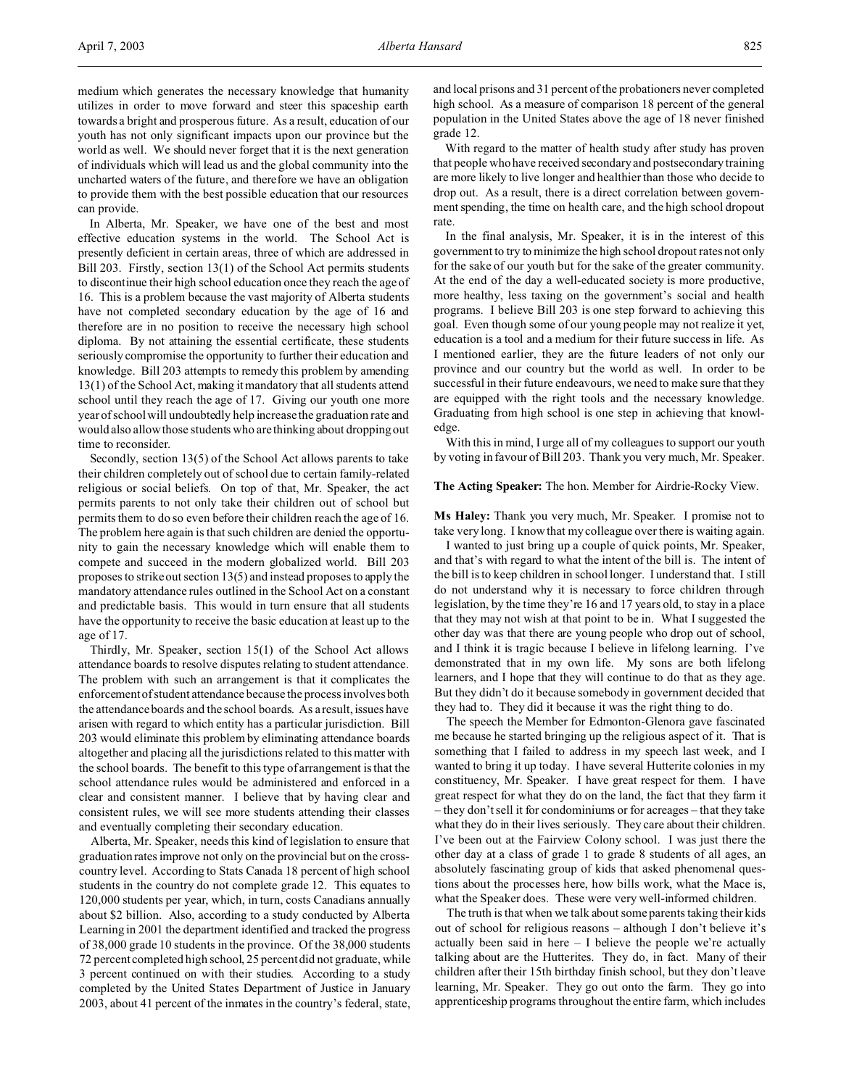medium which generates the necessary knowledge that humanity utilizes in order to move forward and steer this spaceship earth towards a bright and prosperous future. As a result, education of our youth has not only significant impacts upon our province but the world as well. We should never forget that it is the next generation of individuals which will lead us and the global community into the uncharted waters of the future, and therefore we have an obligation to provide them with the best possible education that our resources can provide.

In Alberta, Mr. Speaker, we have one of the best and most effective education systems in the world. The School Act is presently deficient in certain areas, three of which are addressed in Bill 203. Firstly, section 13(1) of the School Act permits students to discontinue their high school education once they reach the age of 16. This is a problem because the vast majority of Alberta students have not completed secondary education by the age of 16 and therefore are in no position to receive the necessary high school diploma. By not attaining the essential certificate, these students seriously compromise the opportunity to further their education and knowledge. Bill 203 attempts to remedy this problem by amending 13(1) of the School Act, making it mandatory that all students attend school until they reach the age of 17. Giving our youth one more year of school will undoubtedly help increase the graduation rate and would also allow those students who are thinking about dropping out time to reconsider.

Secondly, section 13(5) of the School Act allows parents to take their children completely out of school due to certain family-related religious or social beliefs. On top of that, Mr. Speaker, the act permits parents to not only take their children out of school but permits them to do so even before their children reach the age of 16. The problem here again is that such children are denied the opportunity to gain the necessary knowledge which will enable them to compete and succeed in the modern globalized world. Bill 203 proposes to strike out section 13(5) and instead proposes to apply the mandatory attendance rules outlined in the School Act on a constant and predictable basis. This would in turn ensure that all students have the opportunity to receive the basic education at least up to the age of 17.

Thirdly, Mr. Speaker, section 15(1) of the School Act allows attendance boards to resolve disputes relating to student attendance. The problem with such an arrangement is that it complicates the enforcement of student attendance because the process involves both the attendance boards and the school boards. As a result, issues have arisen with regard to which entity has a particular jurisdiction. Bill 203 would eliminate this problem by eliminating attendance boards altogether and placing all the jurisdictions related to this matter with the school boards. The benefit to this type of arrangement is that the school attendance rules would be administered and enforced in a clear and consistent manner. I believe that by having clear and consistent rules, we will see more students attending their classes and eventually completing their secondary education.

Alberta, Mr. Speaker, needs this kind of legislation to ensure that graduation rates improve not only on the provincial but on the crosscountry level. According to Stats Canada 18 percent of high school students in the country do not complete grade 12. This equates to 120,000 students per year, which, in turn, costs Canadians annually about \$2 billion. Also, according to a study conducted by Alberta Learning in 2001 the department identified and tracked the progress of 38,000 grade 10 students in the province. Of the 38,000 students 72 percent completed high school, 25 percent did not graduate, while 3 percent continued on with their studies. According to a study completed by the United States Department of Justice in January 2003, about 41 percent of the inmates in the country's federal, state,

and local prisons and 31 percent of the probationers never completed high school. As a measure of comparison 18 percent of the general population in the United States above the age of 18 never finished grade 12.

With regard to the matter of health study after study has proven that people who have received secondary and postsecondary training are more likely to live longer and healthier than those who decide to drop out. As a result, there is a direct correlation between government spending, the time on health care, and the high school dropout rate.

In the final analysis, Mr. Speaker, it is in the interest of this government to try to minimize the high school dropout rates not only for the sake of our youth but for the sake of the greater community. At the end of the day a well-educated society is more productive, more healthy, less taxing on the government's social and health programs. I believe Bill 203 is one step forward to achieving this goal. Even though some of our young people may not realize it yet, education is a tool and a medium for their future success in life. As I mentioned earlier, they are the future leaders of not only our province and our country but the world as well. In order to be successful in their future endeavours, we need to make sure that they are equipped with the right tools and the necessary knowledge. Graduating from high school is one step in achieving that knowledge.

With this in mind, I urge all of my colleagues to support our youth by voting in favour of Bill 203. Thank you very much, Mr. Speaker.

#### **The Acting Speaker:** The hon. Member for Airdrie-Rocky View.

**Ms Haley:** Thank you very much, Mr. Speaker. I promise not to take very long. I know that my colleague over there is waiting again.

I wanted to just bring up a couple of quick points, Mr. Speaker, and that's with regard to what the intent of the bill is. The intent of the bill is to keep children in school longer. I understand that. I still do not understand why it is necessary to force children through legislation, by the time they're 16 and 17 years old, to stay in a place that they may not wish at that point to be in. What I suggested the other day was that there are young people who drop out of school, and I think it is tragic because I believe in lifelong learning. I've demonstrated that in my own life. My sons are both lifelong learners, and I hope that they will continue to do that as they age. But they didn't do it because somebody in government decided that they had to. They did it because it was the right thing to do.

The speech the Member for Edmonton-Glenora gave fascinated me because he started bringing up the religious aspect of it. That is something that I failed to address in my speech last week, and I wanted to bring it up today. I have several Hutterite colonies in my constituency, Mr. Speaker. I have great respect for them. I have great respect for what they do on the land, the fact that they farm it – they don't sell it for condominiums or for acreages – that they take what they do in their lives seriously. They care about their children. I've been out at the Fairview Colony school. I was just there the other day at a class of grade 1 to grade 8 students of all ages, an absolutely fascinating group of kids that asked phenomenal questions about the processes here, how bills work, what the Mace is, what the Speaker does. These were very well-informed children.

The truth is that when we talk about some parents taking their kids out of school for religious reasons – although I don't believe it's actually been said in here – I believe the people we're actually talking about are the Hutterites. They do, in fact. Many of their children after their 15th birthday finish school, but they don't leave learning, Mr. Speaker. They go out onto the farm. They go into apprenticeship programs throughout the entire farm, which includes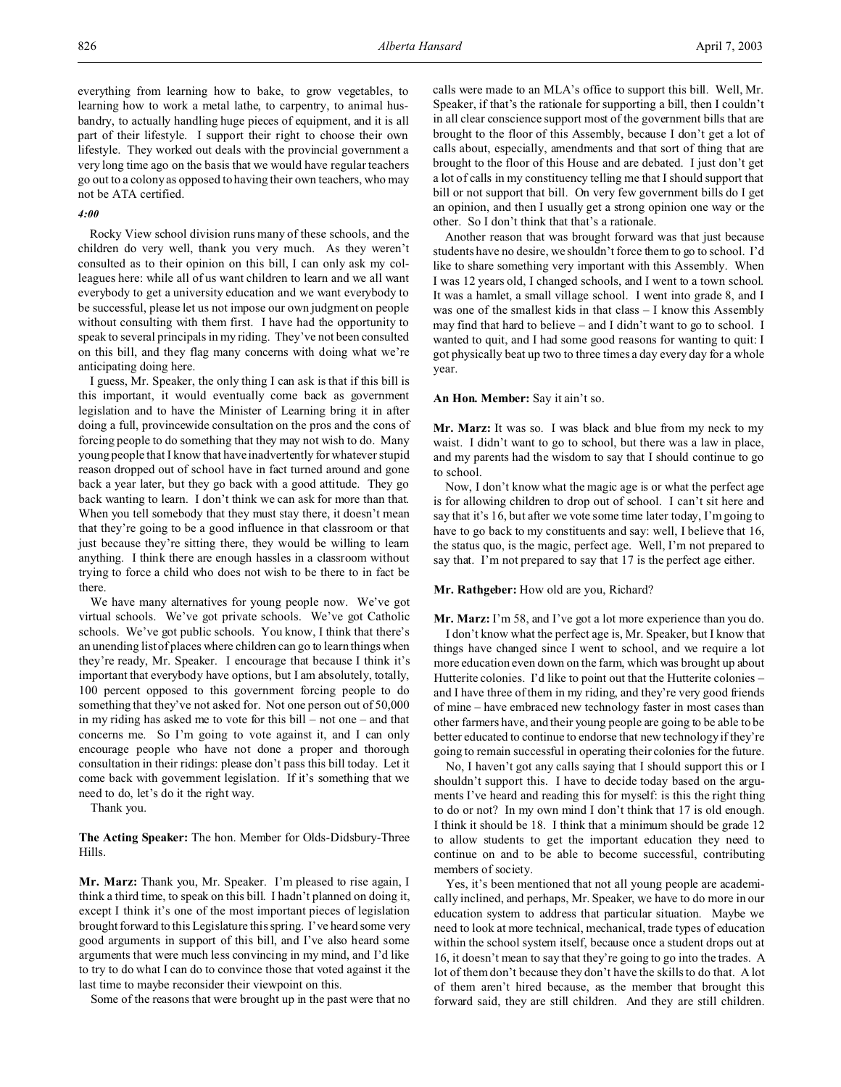everything from learning how to bake, to grow vegetables, to learning how to work a metal lathe, to carpentry, to animal husbandry, to actually handling huge pieces of equipment, and it is all part of their lifestyle. I support their right to choose their own lifestyle. They worked out deals with the provincial government a very long time ago on the basis that we would have regular teachers go out to a colony as opposed to having their own teachers, who may not be ATA certified.

## *4:00*

Rocky View school division runs many of these schools, and the children do very well, thank you very much. As they weren't consulted as to their opinion on this bill, I can only ask my colleagues here: while all of us want children to learn and we all want everybody to get a university education and we want everybody to be successful, please let us not impose our own judgment on people without consulting with them first. I have had the opportunity to speak to several principals in my riding. They've not been consulted on this bill, and they flag many concerns with doing what we're anticipating doing here.

I guess, Mr. Speaker, the only thing I can ask is that if this bill is this important, it would eventually come back as government legislation and to have the Minister of Learning bring it in after doing a full, provincewide consultation on the pros and the cons of forcing people to do something that they may not wish to do. Many young people that I know that have inadvertently for whatever stupid reason dropped out of school have in fact turned around and gone back a year later, but they go back with a good attitude. They go back wanting to learn. I don't think we can ask for more than that. When you tell somebody that they must stay there, it doesn't mean that they're going to be a good influence in that classroom or that just because they're sitting there, they would be willing to learn anything. I think there are enough hassles in a classroom without trying to force a child who does not wish to be there to in fact be there.

We have many alternatives for young people now. We've got virtual schools. We've got private schools. We've got Catholic schools. We've got public schools. You know, I think that there's an unending list of places where children can go to learn things when they're ready, Mr. Speaker. I encourage that because I think it's important that everybody have options, but I am absolutely, totally, 100 percent opposed to this government forcing people to do something that they've not asked for. Not one person out of 50,000 in my riding has asked me to vote for this bill – not one – and that concerns me. So I'm going to vote against it, and I can only encourage people who have not done a proper and thorough consultation in their ridings: please don't pass this bill today. Let it come back with government legislation. If it's something that we need to do, let's do it the right way.

Thank you.

## **The Acting Speaker:** The hon. Member for Olds-Didsbury-Three Hills.

**Mr. Marz:** Thank you, Mr. Speaker. I'm pleased to rise again, I think a third time, to speak on this bill. I hadn't planned on doing it, except I think it's one of the most important pieces of legislation brought forward to this Legislature this spring. I've heard some very good arguments in support of this bill, and I've also heard some arguments that were much less convincing in my mind, and I'd like to try to do what I can do to convince those that voted against it the last time to maybe reconsider their viewpoint on this.

Some of the reasons that were brought up in the past were that no

calls were made to an MLA's office to support this bill. Well, Mr. Speaker, if that's the rationale for supporting a bill, then I couldn't in all clear conscience support most of the government bills that are brought to the floor of this Assembly, because I don't get a lot of calls about, especially, amendments and that sort of thing that are brought to the floor of this House and are debated. I just don't get a lot of calls in my constituency telling me that I should support that bill or not support that bill. On very few government bills do I get an opinion, and then I usually get a strong opinion one way or the other. So I don't think that that's a rationale.

Another reason that was brought forward was that just because students have no desire, we shouldn't force them to go to school. I'd like to share something very important with this Assembly. When I was 12 years old, I changed schools, and I went to a town school. It was a hamlet, a small village school. I went into grade 8, and I was one of the smallest kids in that class – I know this Assembly may find that hard to believe – and I didn't want to go to school. I wanted to quit, and I had some good reasons for wanting to quit: I got physically beat up two to three times a day every day for a whole year.

## **An Hon. Member:** Say it ain't so.

**Mr. Marz:** It was so. I was black and blue from my neck to my waist. I didn't want to go to school, but there was a law in place, and my parents had the wisdom to say that I should continue to go to school.

Now, I don't know what the magic age is or what the perfect age is for allowing children to drop out of school. I can't sit here and say that it's 16, but after we vote some time later today, I'm going to have to go back to my constituents and say: well, I believe that 16, the status quo, is the magic, perfect age. Well, I'm not prepared to say that. I'm not prepared to say that 17 is the perfect age either.

## **Mr. Rathgeber:** How old are you, Richard?

**Mr. Marz:** I'm 58, and I've got a lot more experience than you do. I don't know what the perfect age is, Mr. Speaker, but I know that things have changed since I went to school, and we require a lot more education even down on the farm, which was brought up about Hutterite colonies. I'd like to point out that the Hutterite colonies – and I have three of them in my riding, and they're very good friends of mine – have embraced new technology faster in most cases than other farmers have, and their young people are going to be able to be better educated to continue to endorse that new technology if they're going to remain successful in operating their colonies for the future.

No, I haven't got any calls saying that I should support this or I shouldn't support this. I have to decide today based on the arguments I've heard and reading this for myself: is this the right thing to do or not? In my own mind I don't think that 17 is old enough. I think it should be 18. I think that a minimum should be grade 12 to allow students to get the important education they need to continue on and to be able to become successful, contributing members of society.

Yes, it's been mentioned that not all young people are academically inclined, and perhaps, Mr. Speaker, we have to do more in our education system to address that particular situation. Maybe we need to look at more technical, mechanical, trade types of education within the school system itself, because once a student drops out at 16, it doesn't mean to say that they're going to go into the trades. A lot of them don't because they don't have the skills to do that. A lot of them aren't hired because, as the member that brought this forward said, they are still children. And they are still children.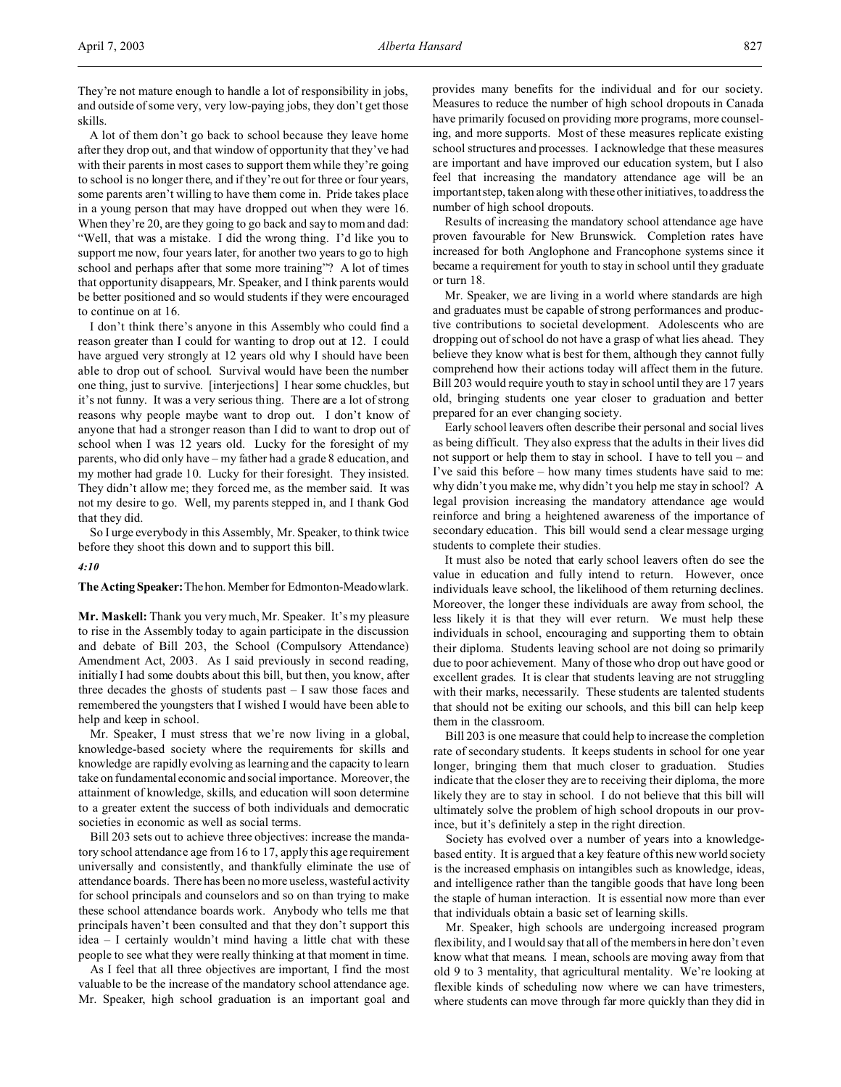They're not mature enough to handle a lot of responsibility in jobs, and outside of some very, very low-paying jobs, they don't get those skills.

A lot of them don't go back to school because they leave home after they drop out, and that window of opportunity that they've had with their parents in most cases to support them while they're going to school is no longer there, and if they're out for three or four years, some parents aren't willing to have them come in. Pride takes place in a young person that may have dropped out when they were 16. When they're 20, are they going to go back and say to mom and dad: "Well, that was a mistake. I did the wrong thing. I'd like you to support me now, four years later, for another two years to go to high school and perhaps after that some more training"? A lot of times that opportunity disappears, Mr. Speaker, and I think parents would be better positioned and so would students if they were encouraged to continue on at 16.

I don't think there's anyone in this Assembly who could find a reason greater than I could for wanting to drop out at 12. I could have argued very strongly at 12 years old why I should have been able to drop out of school. Survival would have been the number one thing, just to survive. [interjections] I hear some chuckles, but it's not funny. It was a very serious thing. There are a lot of strong reasons why people maybe want to drop out. I don't know of anyone that had a stronger reason than I did to want to drop out of school when I was 12 years old. Lucky for the foresight of my parents, who did only have – my father had a grade 8 education, and my mother had grade 10. Lucky for their foresight. They insisted. They didn't allow me; they forced me, as the member said. It was not my desire to go. Well, my parents stepped in, and I thank God that they did.

So I urge everybody in this Assembly, Mr. Speaker, to think twice before they shoot this down and to support this bill.

*4:10*

**The ActingSpeaker:**Thehon. Member for Edmonton-Meadowlark.

**Mr. Maskell:** Thank you very much, Mr. Speaker. It's my pleasure to rise in the Assembly today to again participate in the discussion and debate of Bill 203, the School (Compulsory Attendance) Amendment Act, 2003. As I said previously in second reading, initially I had some doubts about this bill, but then, you know, after three decades the ghosts of students past  $-1$  saw those faces and remembered the youngsters that I wished I would have been able to help and keep in school.

Mr. Speaker, I must stress that we're now living in a global, knowledge-based society where the requirements for skills and knowledge are rapidly evolving as learning and the capacity to learn take on fundamental economic and social importance. Moreover, the attainment of knowledge, skills, and education will soon determine to a greater extent the success of both individuals and democratic societies in economic as well as social terms.

Bill 203 sets out to achieve three objectives: increase the mandatory school attendance age from 16 to 17, apply this age requirement universally and consistently, and thankfully eliminate the use of attendance boards. There has been no more useless, wasteful activity for school principals and counselors and so on than trying to make these school attendance boards work. Anybody who tells me that principals haven't been consulted and that they don't support this idea – I certainly wouldn't mind having a little chat with these people to see what they were really thinking at that moment in time.

As I feel that all three objectives are important, I find the most valuable to be the increase of the mandatory school attendance age. Mr. Speaker, high school graduation is an important goal and provides many benefits for the individual and for our society. Measures to reduce the number of high school dropouts in Canada have primarily focused on providing more programs, more counseling, and more supports. Most of these measures replicate existing school structures and processes. I acknowledge that these measures are important and have improved our education system, but I also feel that increasing the mandatory attendance age will be an important step, taken along with these other initiatives, to address the number of high school dropouts.

Results of increasing the mandatory school attendance age have proven favourable for New Brunswick. Completion rates have increased for both Anglophone and Francophone systems since it became a requirement for youth to stay in school until they graduate or turn 18.

Mr. Speaker, we are living in a world where standards are high and graduates must be capable of strong performances and productive contributions to societal development. Adolescents who are dropping out of school do not have a grasp of what lies ahead. They believe they know what is best for them, although they cannot fully comprehend how their actions today will affect them in the future. Bill 203 would require youth to stay in school until they are 17 years old, bringing students one year closer to graduation and better prepared for an ever changing society.

Early school leavers often describe their personal and social lives as being difficult. They also express that the adults in their lives did not support or help them to stay in school. I have to tell you – and I've said this before – how many times students have said to me: why didn't you make me, why didn't you help me stay in school? A legal provision increasing the mandatory attendance age would reinforce and bring a heightened awareness of the importance of secondary education. This bill would send a clear message urging students to complete their studies.

It must also be noted that early school leavers often do see the value in education and fully intend to return. However, once individuals leave school, the likelihood of them returning declines. Moreover, the longer these individuals are away from school, the less likely it is that they will ever return. We must help these individuals in school, encouraging and supporting them to obtain their diploma. Students leaving school are not doing so primarily due to poor achievement. Many of those who drop out have good or excellent grades. It is clear that students leaving are not struggling with their marks, necessarily. These students are talented students that should not be exiting our schools, and this bill can help keep them in the classroom.

Bill 203 is one measure that could help to increase the completion rate of secondary students. It keeps students in school for one year longer, bringing them that much closer to graduation. Studies indicate that the closer they are to receiving their diploma, the more likely they are to stay in school. I do not believe that this bill will ultimately solve the problem of high school dropouts in our province, but it's definitely a step in the right direction.

Society has evolved over a number of years into a knowledgebased entity. It is argued that a key feature of this new world society is the increased emphasis on intangibles such as knowledge, ideas, and intelligence rather than the tangible goods that have long been the staple of human interaction. It is essential now more than ever that individuals obtain a basic set of learning skills.

Mr. Speaker, high schools are undergoing increased program flexibility, and I would say that all of the members in here don't even know what that means. I mean, schools are moving away from that old 9 to 3 mentality, that agricultural mentality. We're looking at flexible kinds of scheduling now where we can have trimesters, where students can move through far more quickly than they did in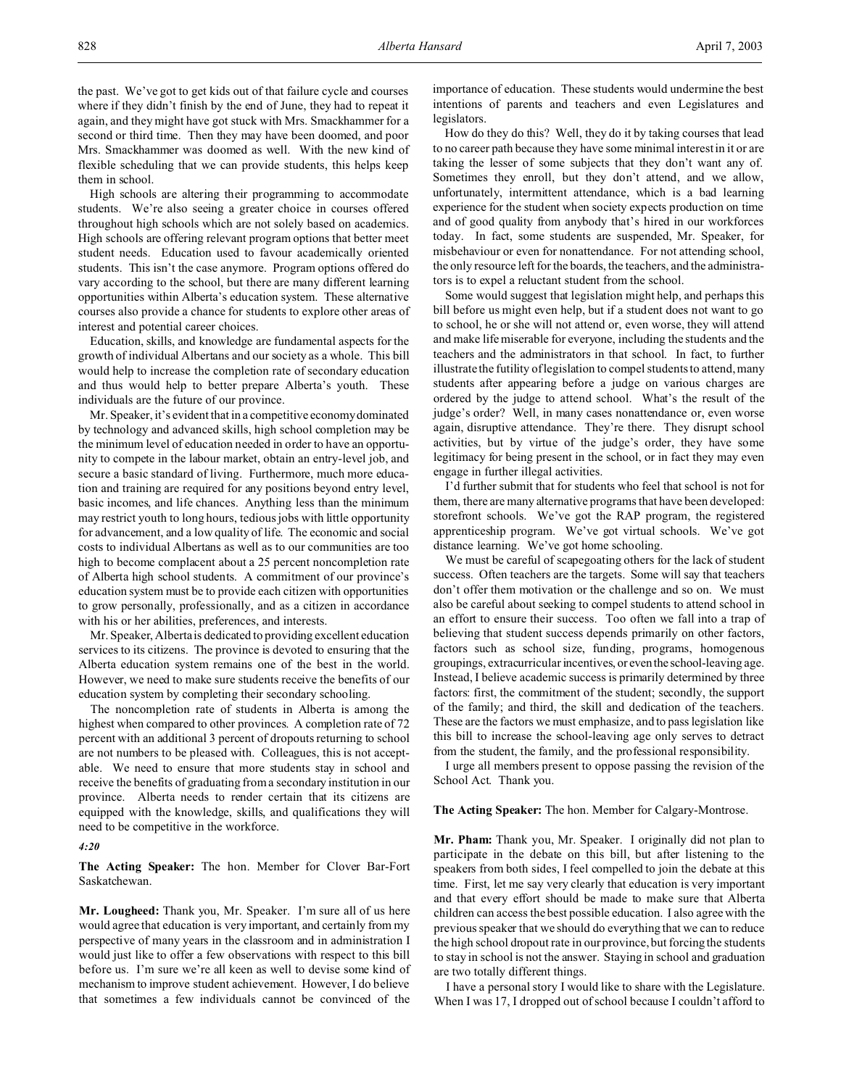the past. We've got to get kids out of that failure cycle and courses where if they didn't finish by the end of June, they had to repeat it again, and they might have got stuck with Mrs. Smackhammer for a second or third time. Then they may have been doomed, and poor Mrs. Smackhammer was doomed as well. With the new kind of flexible scheduling that we can provide students, this helps keep them in school.

High schools are altering their programming to accommodate students. We're also seeing a greater choice in courses offered throughout high schools which are not solely based on academics. High schools are offering relevant program options that better meet student needs. Education used to favour academically oriented students. This isn't the case anymore. Program options offered do vary according to the school, but there are many different learning opportunities within Alberta's education system. These alternative courses also provide a chance for students to explore other areas of interest and potential career choices.

Education, skills, and knowledge are fundamental aspects for the growth of individual Albertans and our society as a whole. This bill would help to increase the completion rate of secondary education and thus would help to better prepare Alberta's youth. These individuals are the future of our province.

Mr. Speaker, it's evident that in a competitive economy dominated by technology and advanced skills, high school completion may be the minimum level of education needed in order to have an opportunity to compete in the labour market, obtain an entry-level job, and secure a basic standard of living. Furthermore, much more education and training are required for any positions beyond entry level, basic incomes, and life chances. Anything less than the minimum may restrict youth to long hours, tedious jobs with little opportunity for advancement, and a low quality of life. The economic and social costs to individual Albertans as well as to our communities are too high to become complacent about a 25 percent noncompletion rate of Alberta high school students. A commitment of our province's education system must be to provide each citizen with opportunities to grow personally, professionally, and as a citizen in accordance with his or her abilities, preferences, and interests.

Mr. Speaker, Alberta is dedicated to providing excellent education services to its citizens. The province is devoted to ensuring that the Alberta education system remains one of the best in the world. However, we need to make sure students receive the benefits of our education system by completing their secondary schooling.

The noncompletion rate of students in Alberta is among the highest when compared to other provinces. A completion rate of 72 percent with an additional 3 percent of dropouts returning to school are not numbers to be pleased with. Colleagues, this is not acceptable. We need to ensure that more students stay in school and receive the benefits of graduating from a secondary institution in our province. Alberta needs to render certain that its citizens are equipped with the knowledge, skills, and qualifications they will need to be competitive in the workforce.

#### *4:20*

**The Acting Speaker:** The hon. Member for Clover Bar-Fort Saskatchewan.

**Mr. Lougheed:** Thank you, Mr. Speaker. I'm sure all of us here would agree that education is very important, and certainly from my perspective of many years in the classroom and in administration I would just like to offer a few observations with respect to this bill before us. I'm sure we're all keen as well to devise some kind of mechanism to improve student achievement. However, I do believe that sometimes a few individuals cannot be convinced of the importance of education. These students would undermine the best intentions of parents and teachers and even Legislatures and legislators.

How do they do this? Well, they do it by taking courses that lead to no career path because they have some minimal interest in it or are taking the lesser of some subjects that they don't want any of. Sometimes they enroll, but they don't attend, and we allow, unfortunately, intermittent attendance, which is a bad learning experience for the student when society expects production on time and of good quality from anybody that's hired in our workforces today. In fact, some students are suspended, Mr. Speaker, for misbehaviour or even for nonattendance. For not attending school, the only resource left for the boards, the teachers, and the administrators is to expel a reluctant student from the school.

Some would suggest that legislation might help, and perhaps this bill before us might even help, but if a student does not want to go to school, he or she will not attend or, even worse, they will attend and make life miserable for everyone, including the students and the teachers and the administrators in that school. In fact, to further illustrate the futility of legislation to compel students to attend, many students after appearing before a judge on various charges are ordered by the judge to attend school. What's the result of the judge's order? Well, in many cases nonattendance or, even worse again, disruptive attendance. They're there. They disrupt school activities, but by virtue of the judge's order, they have some legitimacy for being present in the school, or in fact they may even engage in further illegal activities.

I'd further submit that for students who feel that school is not for them, there are many alternative programs that have been developed: storefront schools. We've got the RAP program, the registered apprenticeship program. We've got virtual schools. We've got distance learning. We've got home schooling.

We must be careful of scapegoating others for the lack of student success. Often teachers are the targets. Some will say that teachers don't offer them motivation or the challenge and so on. We must also be careful about seeking to compel students to attend school in an effort to ensure their success. Too often we fall into a trap of believing that student success depends primarily on other factors, factors such as school size, funding, programs, homogenous groupings, extracurricular incentives, or even the school-leaving age. Instead, I believe academic success is primarily determined by three factors: first, the commitment of the student; secondly, the support of the family; and third, the skill and dedication of the teachers. These are the factors we must emphasize, and to pass legislation like this bill to increase the school-leaving age only serves to detract from the student, the family, and the professional responsibility.

I urge all members present to oppose passing the revision of the School Act. Thank you.

#### **The Acting Speaker:** The hon. Member for Calgary-Montrose.

**Mr. Pham:** Thank you, Mr. Speaker. I originally did not plan to participate in the debate on this bill, but after listening to the speakers from both sides, I feel compelled to join the debate at this time. First, let me say very clearly that education is very important and that every effort should be made to make sure that Alberta children can access the best possible education. I also agree with the previous speaker that we should do everything that we can to reduce the high school dropout rate in our province, but forcing the students to stay in school is not the answer. Staying in school and graduation are two totally different things.

I have a personal story I would like to share with the Legislature. When I was 17, I dropped out of school because I couldn't afford to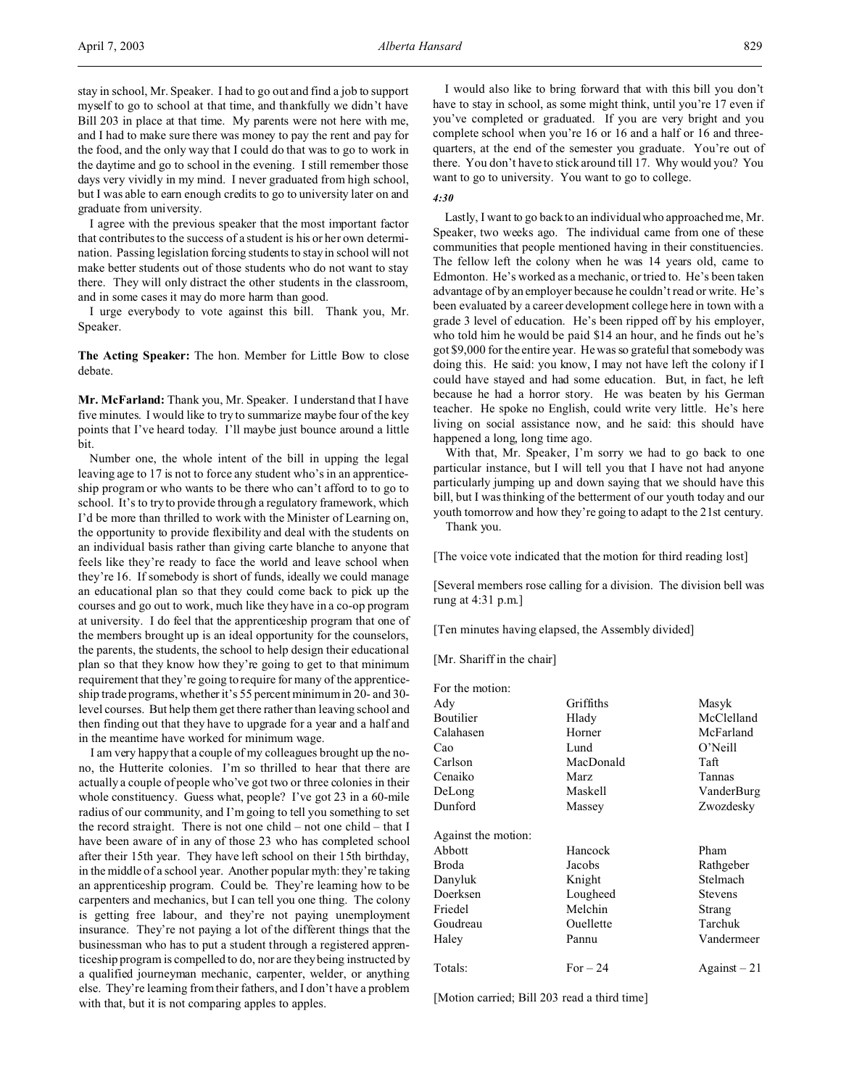stay in school, Mr. Speaker. I had to go out and find a job to support myself to go to school at that time, and thankfully we didn't have Bill 203 in place at that time. My parents were not here with me, and I had to make sure there was money to pay the rent and pay for the food, and the only way that I could do that was to go to work in the daytime and go to school in the evening. I still remember those days very vividly in my mind. I never graduated from high school, but I was able to earn enough credits to go to university later on and graduate from university.

I agree with the previous speaker that the most important factor that contributes to the success of a student is his or her own determination. Passing legislation forcing students to stay in school will not make better students out of those students who do not want to stay there. They will only distract the other students in the classroom, and in some cases it may do more harm than good.

I urge everybody to vote against this bill. Thank you, Mr. Speaker.

**The Acting Speaker:** The hon. Member for Little Bow to close debate.

**Mr. McFarland:** Thank you, Mr. Speaker. I understand that I have five minutes. I would like to try to summarize maybe four of the key points that I've heard today. I'll maybe just bounce around a little bit.

Number one, the whole intent of the bill in upping the legal leaving age to 17 is not to force any student who's in an apprenticeship program or who wants to be there who can't afford to to go to school. It's to try to provide through a regulatory framework, which I'd be more than thrilled to work with the Minister of Learning on, the opportunity to provide flexibility and deal with the students on an individual basis rather than giving carte blanche to anyone that feels like they're ready to face the world and leave school when they're 16. If somebody is short of funds, ideally we could manage an educational plan so that they could come back to pick up the courses and go out to work, much like they have in a co-op program at university. I do feel that the apprenticeship program that one of the members brought up is an ideal opportunity for the counselors, the parents, the students, the school to help design their educational plan so that they know how they're going to get to that minimum requirement that they're going to require for many of the apprenticeship trade programs, whether it's 55 percent minimum in 20- and 30 level courses. But help them get there rather than leaving school and then finding out that they have to upgrade for a year and a half and in the meantime have worked for minimum wage.

I am very happy that a couple of my colleagues brought up the nono, the Hutterite colonies. I'm so thrilled to hear that there are actually a couple of people who've got two or three colonies in their whole constituency. Guess what, people? I've got 23 in a 60-mile radius of our community, and I'm going to tell you something to set the record straight. There is not one child – not one child – that I have been aware of in any of those 23 who has completed school after their 15th year. They have left school on their 15th birthday, in the middle of a school year. Another popular myth: they're taking an apprenticeship program. Could be. They're learning how to be carpenters and mechanics, but I can tell you one thing. The colony is getting free labour, and they're not paying unemployment insurance. They're not paying a lot of the different things that the businessman who has to put a student through a registered apprenticeship program is compelled to do, nor are they being instructed by a qualified journeyman mechanic, carpenter, welder, or anything else. They're learning from their fathers, and I don't have a problem with that, but it is not comparing apples to apples.

I would also like to bring forward that with this bill you don't have to stay in school, as some might think, until you're 17 even if you've completed or graduated. If you are very bright and you complete school when you're 16 or 16 and a half or 16 and threequarters, at the end of the semester you graduate. You're out of there. You don't have to stick around till 17. Why would you? You want to go to university. You want to go to college.

#### *4:30*

Lastly, I want to go back to an individual who approached me, Mr. Speaker, two weeks ago. The individual came from one of these communities that people mentioned having in their constituencies. The fellow left the colony when he was 14 years old, came to Edmonton. He's worked as a mechanic, or tried to. He's been taken advantage of by an employer because he couldn't read or write. He's been evaluated by a career development college here in town with a grade 3 level of education. He's been ripped off by his employer, who told him he would be paid \$14 an hour, and he finds out he's got \$9,000 for the entire year. He was so grateful that somebody was doing this. He said: you know, I may not have left the colony if I could have stayed and had some education. But, in fact, he left because he had a horror story. He was beaten by his German teacher. He spoke no English, could write very little. He's here living on social assistance now, and he said: this should have happened a long, long time ago.

With that, Mr. Speaker, I'm sorry we had to go back to one particular instance, but I will tell you that I have not had anyone particularly jumping up and down saying that we should have this bill, but I was thinking of the betterment of our youth today and our youth tomorrow and how they're going to adapt to the 21st century. Thank you.

[The voice vote indicated that the motion for third reading lost]

[Several members rose calling for a division. The division bell was rung at 4:31 p.m.]

[Ten minutes having elapsed, the Assembly divided]

[Mr. Shariff in the chair]

| For the motion:     |             |                |
|---------------------|-------------|----------------|
| Ady                 | Griffiths   | Masyk          |
| Boutilier           | Hlady       | McClelland     |
| Calahasen           | Horner      | McFarland      |
| Cao                 | Lund        | O'Neill        |
| Carlson             | MacDonald   | Taft           |
| Cenaiko             | <b>Marz</b> | Tannas         |
| DeLong              | Maskell     | VanderBurg     |
| Dunford             | Massey      | Zwozdesky      |
| Against the motion: |             |                |
| Abbott              | Hancock     | Pham           |
| Broda               | Jacobs      | Rathgeber      |
| Danyluk             | Knight      | Stelmach       |
| Doerksen            | Lougheed    | <b>Stevens</b> |
| Friedel             | Melchin     | Strang         |
| Goudreau            | Ouellette   | Tarchuk        |
| Haley               | Pannu       | Vandermeer     |
| Totals:             | For $-24$   | Against $-21$  |

[Motion carried; Bill 203 read a third time]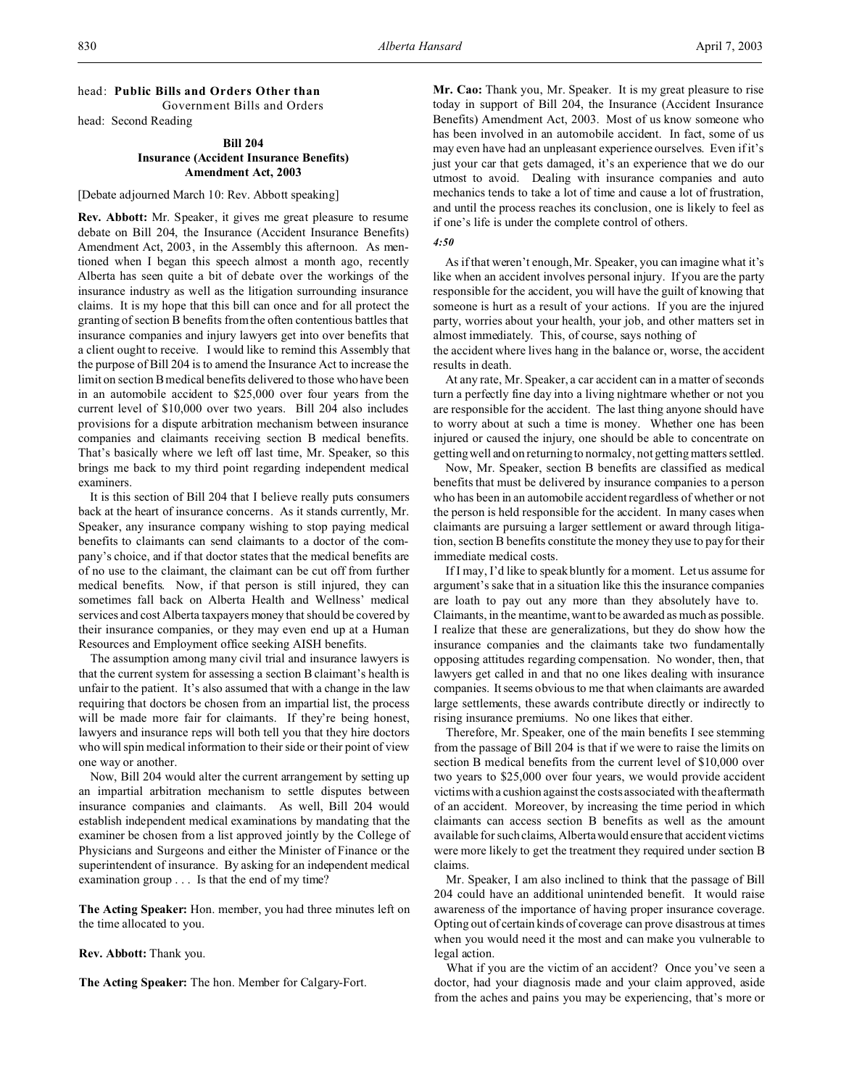# head: **Public Bills and Orders Other than**

Government Bills and Orders head: Second Reading

## **Bill 204 Insurance (Accident Insurance Benefits) Amendment Act, 2003**

#### [Debate adjourned March 10: Rev. Abbott speaking]

**Rev. Abbott:** Mr. Speaker, it gives me great pleasure to resume debate on Bill 204, the Insurance (Accident Insurance Benefits) Amendment Act, 2003, in the Assembly this afternoon. As mentioned when I began this speech almost a month ago, recently Alberta has seen quite a bit of debate over the workings of the insurance industry as well as the litigation surrounding insurance claims. It is my hope that this bill can once and for all protect the granting of section B benefits from the often contentious battles that insurance companies and injury lawyers get into over benefits that a client ought to receive. I would like to remind this Assembly that the purpose of Bill 204 is to amend the Insurance Act to increase the limit on section B medical benefits delivered to those who have been in an automobile accident to \$25,000 over four years from the current level of \$10,000 over two years. Bill 204 also includes provisions for a dispute arbitration mechanism between insurance companies and claimants receiving section B medical benefits. That's basically where we left off last time, Mr. Speaker, so this brings me back to my third point regarding independent medical examiners.

It is this section of Bill 204 that I believe really puts consumers back at the heart of insurance concerns. As it stands currently, Mr. Speaker, any insurance company wishing to stop paying medical benefits to claimants can send claimants to a doctor of the company's choice, and if that doctor states that the medical benefits are of no use to the claimant, the claimant can be cut off from further medical benefits. Now, if that person is still injured, they can sometimes fall back on Alberta Health and Wellness' medical services and cost Alberta taxpayers money that should be covered by their insurance companies, or they may even end up at a Human Resources and Employment office seeking AISH benefits.

The assumption among many civil trial and insurance lawyers is that the current system for assessing a section B claimant's health is unfair to the patient. It's also assumed that with a change in the law requiring that doctors be chosen from an impartial list, the process will be made more fair for claimants. If they're being honest, lawyers and insurance reps will both tell you that they hire doctors who will spin medical information to their side or their point of view one way or another.

Now, Bill 204 would alter the current arrangement by setting up an impartial arbitration mechanism to settle disputes between insurance companies and claimants. As well, Bill 204 would establish independent medical examinations by mandating that the examiner be chosen from a list approved jointly by the College of Physicians and Surgeons and either the Minister of Finance or the superintendent of insurance. By asking for an independent medical examination group . . . Is that the end of my time?

**The Acting Speaker:** Hon. member, you had three minutes left on the time allocated to you.

**Rev. Abbott:** Thank you.

**The Acting Speaker:** The hon. Member for Calgary-Fort.

**Mr. Cao:** Thank you, Mr. Speaker. It is my great pleasure to rise today in support of Bill 204, the Insurance (Accident Insurance Benefits) Amendment Act, 2003. Most of us know someone who has been involved in an automobile accident. In fact, some of us may even have had an unpleasant experience ourselves. Even if it's just your car that gets damaged, it's an experience that we do our utmost to avoid. Dealing with insurance companies and auto mechanics tends to take a lot of time and cause a lot of frustration, and until the process reaches its conclusion, one is likely to feel as if one's life is under the complete control of others.

## *4:50*

As if that weren't enough, Mr. Speaker, you can imagine what it's like when an accident involves personal injury. If you are the party responsible for the accident, you will have the guilt of knowing that someone is hurt as a result of your actions. If you are the injured party, worries about your health, your job, and other matters set in almost immediately. This, of course, says nothing of

the accident where lives hang in the balance or, worse, the accident results in death.

At any rate, Mr. Speaker, a car accident can in a matter of seconds turn a perfectly fine day into a living nightmare whether or not you are responsible for the accident. The last thing anyone should have to worry about at such a time is money. Whether one has been injured or caused the injury, one should be able to concentrate on getting well and on returning to normalcy, not getting matters settled.

Now, Mr. Speaker, section B benefits are classified as medical benefits that must be delivered by insurance companies to a person who has been in an automobile accident regardless of whether or not the person is held responsible for the accident. In many cases when claimants are pursuing a larger settlement or award through litigation, section B benefits constitute the money they use to pay for their immediate medical costs.

If I may, I'd like to speak bluntly for a moment. Let us assume for argument's sake that in a situation like this the insurance companies are loath to pay out any more than they absolutely have to. Claimants, in the meantime, want to be awarded as much as possible. I realize that these are generalizations, but they do show how the insurance companies and the claimants take two fundamentally opposing attitudes regarding compensation. No wonder, then, that lawyers get called in and that no one likes dealing with insurance companies. It seems obvious to me that when claimants are awarded large settlements, these awards contribute directly or indirectly to rising insurance premiums. No one likes that either.

Therefore, Mr. Speaker, one of the main benefits I see stemming from the passage of Bill 204 is that if we were to raise the limits on section B medical benefits from the current level of \$10,000 over two years to \$25,000 over four years, we would provide accident victims with a cushion against the costs associated with the aftermath of an accident. Moreover, by increasing the time period in which claimants can access section B benefits as well as the amount available for such claims, Alberta would ensure that accident victims were more likely to get the treatment they required under section B claims.

Mr. Speaker, I am also inclined to think that the passage of Bill 204 could have an additional unintended benefit. It would raise awareness of the importance of having proper insurance coverage. Opting out of certain kinds of coverage can prove disastrous at times when you would need it the most and can make you vulnerable to legal action.

What if you are the victim of an accident? Once you've seen a doctor, had your diagnosis made and your claim approved, aside from the aches and pains you may be experiencing, that's more or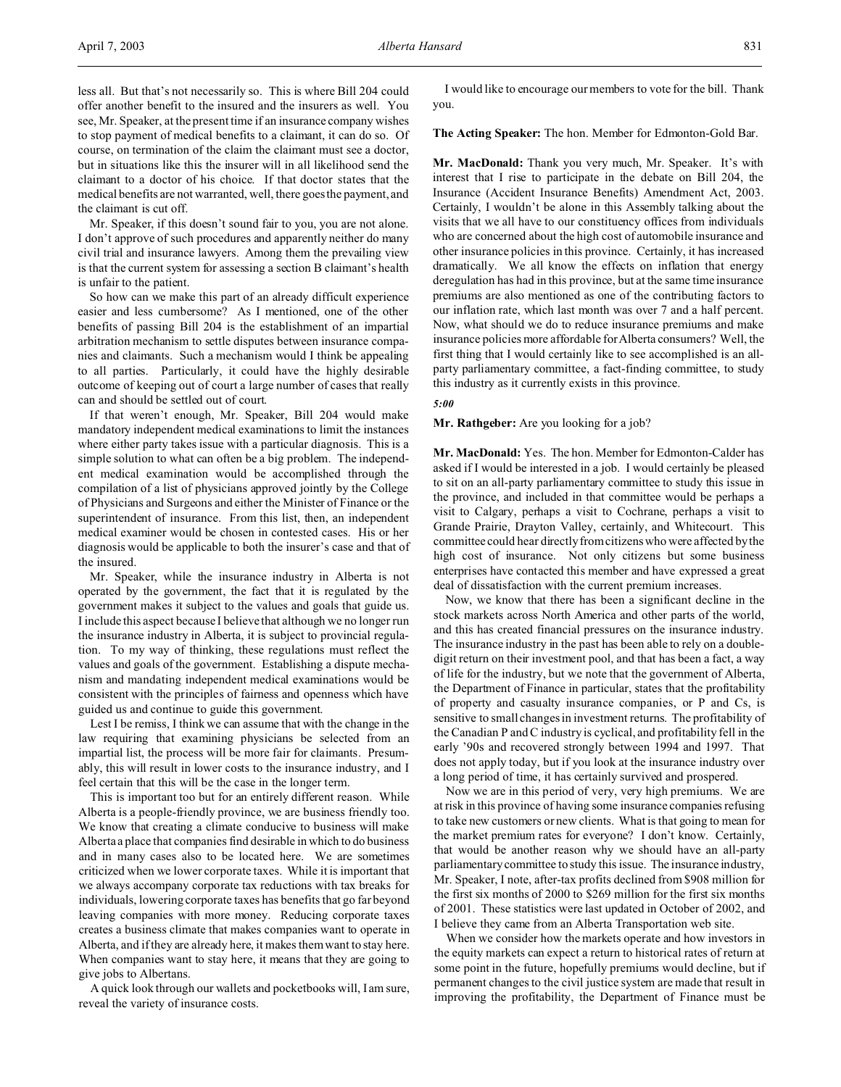less all. But that's not necessarily so. This is where Bill 204 could offer another benefit to the insured and the insurers as well. You see, Mr. Speaker, at the present time if an insurance company wishes to stop payment of medical benefits to a claimant, it can do so. Of course, on termination of the claim the claimant must see a doctor, but in situations like this the insurer will in all likelihood send the claimant to a doctor of his choice. If that doctor states that the medical benefits are not warranted, well, there goes the payment, and the claimant is cut off.

Mr. Speaker, if this doesn't sound fair to you, you are not alone. I don't approve of such procedures and apparently neither do many civil trial and insurance lawyers. Among them the prevailing view is that the current system for assessing a section B claimant's health is unfair to the patient.

So how can we make this part of an already difficult experience easier and less cumbersome? As I mentioned, one of the other benefits of passing Bill 204 is the establishment of an impartial arbitration mechanism to settle disputes between insurance companies and claimants. Such a mechanism would I think be appealing to all parties. Particularly, it could have the highly desirable outcome of keeping out of court a large number of cases that really can and should be settled out of court.

If that weren't enough, Mr. Speaker, Bill 204 would make mandatory independent medical examinations to limit the instances where either party takes issue with a particular diagnosis. This is a simple solution to what can often be a big problem. The independent medical examination would be accomplished through the compilation of a list of physicians approved jointly by the College of Physicians and Surgeons and either the Minister of Finance or the superintendent of insurance. From this list, then, an independent medical examiner would be chosen in contested cases. His or her diagnosis would be applicable to both the insurer's case and that of the insured.

Mr. Speaker, while the insurance industry in Alberta is not operated by the government, the fact that it is regulated by the government makes it subject to the values and goals that guide us. I include this aspect because I believe that although we no longer run the insurance industry in Alberta, it is subject to provincial regulation. To my way of thinking, these regulations must reflect the values and goals of the government. Establishing a dispute mechanism and mandating independent medical examinations would be consistent with the principles of fairness and openness which have guided us and continue to guide this government.

Lest I be remiss, I think we can assume that with the change in the law requiring that examining physicians be selected from an impartial list, the process will be more fair for claimants. Presumably, this will result in lower costs to the insurance industry, and I feel certain that this will be the case in the longer term.

This is important too but for an entirely different reason. While Alberta is a people-friendly province, we are business friendly too. We know that creating a climate conducive to business will make Alberta a place that companies find desirable in which to do business and in many cases also to be located here. We are sometimes criticized when we lower corporate taxes. While it is important that we always accompany corporate tax reductions with tax breaks for individuals, lowering corporate taxes has benefits that go far beyond leaving companies with more money. Reducing corporate taxes creates a business climate that makes companies want to operate in Alberta, and if they are already here, it makes them want to stay here. When companies want to stay here, it means that they are going to give jobs to Albertans.

A quick look through our wallets and pocketbooks will, I am sure, reveal the variety of insurance costs.

I would like to encourage our members to vote for the bill. Thank you.

**The Acting Speaker:** The hon. Member for Edmonton-Gold Bar.

**Mr. MacDonald:** Thank you very much, Mr. Speaker. It's with interest that I rise to participate in the debate on Bill 204, the Insurance (Accident Insurance Benefits) Amendment Act, 2003. Certainly, I wouldn't be alone in this Assembly talking about the visits that we all have to our constituency offices from individuals who are concerned about the high cost of automobile insurance and other insurance policies in this province. Certainly, it has increased dramatically. We all know the effects on inflation that energy deregulation has had in this province, but at the same time insurance premiums are also mentioned as one of the contributing factors to our inflation rate, which last month was over 7 and a half percent. Now, what should we do to reduce insurance premiums and make insurance policies more affordable for Alberta consumers? Well, the first thing that I would certainly like to see accomplished is an allparty parliamentary committee, a fact-finding committee, to study this industry as it currently exists in this province.

#### *5:00*

Mr. Rathgeber: Are you looking for a job?

**Mr. MacDonald:** Yes. The hon. Member for Edmonton-Calder has asked if I would be interested in a job. I would certainly be pleased to sit on an all-party parliamentary committee to study this issue in the province, and included in that committee would be perhaps a visit to Calgary, perhaps a visit to Cochrane, perhaps a visit to Grande Prairie, Drayton Valley, certainly, and Whitecourt. This committee could hear directly from citizens who were affected by the high cost of insurance. Not only citizens but some business enterprises have contacted this member and have expressed a great deal of dissatisfaction with the current premium increases.

Now, we know that there has been a significant decline in the stock markets across North America and other parts of the world, and this has created financial pressures on the insurance industry. The insurance industry in the past has been able to rely on a doubledigit return on their investment pool, and that has been a fact, a way of life for the industry, but we note that the government of Alberta, the Department of Finance in particular, states that the profitability of property and casualty insurance companies, or P and Cs, is sensitive to small changes in investment returns. The profitability of the Canadian P and C industry is cyclical, and profitability fell in the early '90s and recovered strongly between 1994 and 1997. That does not apply today, but if you look at the insurance industry over a long period of time, it has certainly survived and prospered.

Now we are in this period of very, very high premiums. We are at risk in this province of having some insurance companies refusing to take new customers or new clients. What is that going to mean for the market premium rates for everyone? I don't know. Certainly, that would be another reason why we should have an all-party parliamentary committee to study this issue. The insurance industry, Mr. Speaker, I note, after-tax profits declined from \$908 million for the first six months of 2000 to \$269 million for the first six months of 2001. These statistics were last updated in October of 2002, and I believe they came from an Alberta Transportation web site.

When we consider how the markets operate and how investors in the equity markets can expect a return to historical rates of return at some point in the future, hopefully premiums would decline, but if permanent changes to the civil justice system are made that result in improving the profitability, the Department of Finance must be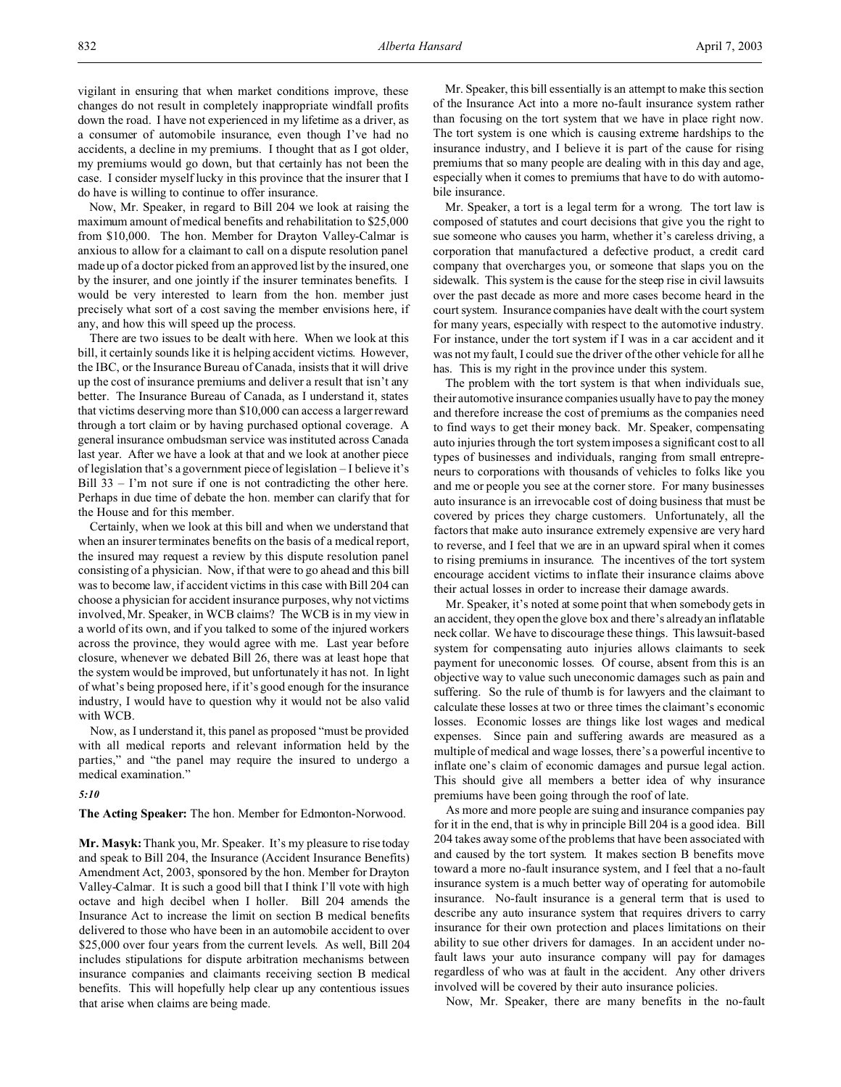vigilant in ensuring that when market conditions improve, these changes do not result in completely inappropriate windfall profits down the road. I have not experienced in my lifetime as a driver, as a consumer of automobile insurance, even though I've had no accidents, a decline in my premiums. I thought that as I got older, my premiums would go down, but that certainly has not been the case. I consider myself lucky in this province that the insurer that I do have is willing to continue to offer insurance.

Now, Mr. Speaker, in regard to Bill 204 we look at raising the maximum amount of medical benefits and rehabilitation to \$25,000 from \$10,000. The hon. Member for Drayton Valley-Calmar is anxious to allow for a claimant to call on a dispute resolution panel made up of a doctor picked from an approved list by the insured, one by the insurer, and one jointly if the insurer terminates benefits. I would be very interested to learn from the hon. member just precisely what sort of a cost saving the member envisions here, if any, and how this will speed up the process.

There are two issues to be dealt with here. When we look at this bill, it certainly sounds like it is helping accident victims. However, the IBC, or the Insurance Bureau of Canada, insists that it will drive up the cost of insurance premiums and deliver a result that isn't any better. The Insurance Bureau of Canada, as I understand it, states that victims deserving more than \$10,000 can access a larger reward through a tort claim or by having purchased optional coverage. A general insurance ombudsman service was instituted across Canada last year. After we have a look at that and we look at another piece of legislation that's a government piece of legislation – I believe it's Bill 33 – I'm not sure if one is not contradicting the other here. Perhaps in due time of debate the hon. member can clarify that for the House and for this member.

Certainly, when we look at this bill and when we understand that when an insurer terminates benefits on the basis of a medical report, the insured may request a review by this dispute resolution panel consisting of a physician. Now, if that were to go ahead and this bill was to become law, if accident victims in this case with Bill 204 can choose a physician for accident insurance purposes, why not victims involved, Mr. Speaker, in WCB claims? The WCB is in my view in a world of its own, and if you talked to some of the injured workers across the province, they would agree with me. Last year before closure, whenever we debated Bill 26, there was at least hope that the system would be improved, but unfortunately it has not. In light of what's being proposed here, if it's good enough for the insurance industry, I would have to question why it would not be also valid with WCB.

Now, as I understand it, this panel as proposed "must be provided with all medical reports and relevant information held by the parties," and "the panel may require the insured to undergo a medical examination."

# *5:10*

## **The Acting Speaker:** The hon. Member for Edmonton-Norwood.

**Mr. Masyk:** Thank you, Mr. Speaker. It's my pleasure to rise today and speak to Bill 204, the Insurance (Accident Insurance Benefits) Amendment Act, 2003, sponsored by the hon. Member for Drayton Valley-Calmar. It is such a good bill that I think I'll vote with high octave and high decibel when I holler. Bill 204 amends the Insurance Act to increase the limit on section B medical benefits delivered to those who have been in an automobile accident to over \$25,000 over four years from the current levels. As well, Bill 204 includes stipulations for dispute arbitration mechanisms between insurance companies and claimants receiving section B medical benefits. This will hopefully help clear up any contentious issues that arise when claims are being made.

Mr. Speaker, this bill essentially is an attempt to make this section of the Insurance Act into a more no-fault insurance system rather than focusing on the tort system that we have in place right now. The tort system is one which is causing extreme hardships to the insurance industry, and I believe it is part of the cause for rising premiums that so many people are dealing with in this day and age, especially when it comes to premiums that have to do with automobile insurance.

Mr. Speaker, a tort is a legal term for a wrong. The tort law is composed of statutes and court decisions that give you the right to sue someone who causes you harm, whether it's careless driving, a corporation that manufactured a defective product, a credit card company that overcharges you, or someone that slaps you on the sidewalk. This system is the cause for the steep rise in civil lawsuits over the past decade as more and more cases become heard in the court system. Insurance companies have dealt with the court system for many years, especially with respect to the automotive industry. For instance, under the tort system if I was in a car accident and it was not my fault, I could sue the driver of the other vehicle for all he has. This is my right in the province under this system.

The problem with the tort system is that when individuals sue, their automotive insurance companies usually have to pay the money and therefore increase the cost of premiums as the companies need to find ways to get their money back. Mr. Speaker, compensating auto injuries through the tort system imposes a significant cost to all types of businesses and individuals, ranging from small entrepreneurs to corporations with thousands of vehicles to folks like you and me or people you see at the corner store. For many businesses auto insurance is an irrevocable cost of doing business that must be covered by prices they charge customers. Unfortunately, all the factors that make auto insurance extremely expensive are very hard to reverse, and I feel that we are in an upward spiral when it comes to rising premiums in insurance. The incentives of the tort system encourage accident victims to inflate their insurance claims above their actual losses in order to increase their damage awards.

Mr. Speaker, it's noted at some point that when somebody gets in an accident, they open the glove box and there's already an inflatable neck collar. We have to discourage these things. This lawsuit-based system for compensating auto injuries allows claimants to seek payment for uneconomic losses. Of course, absent from this is an objective way to value such uneconomic damages such as pain and suffering. So the rule of thumb is for lawyers and the claimant to calculate these losses at two or three times the claimant's economic losses. Economic losses are things like lost wages and medical expenses. Since pain and suffering awards are measured as a multiple of medical and wage losses, there's a powerful incentive to inflate one's claim of economic damages and pursue legal action. This should give all members a better idea of why insurance premiums have been going through the roof of late.

As more and more people are suing and insurance companies pay for it in the end, that is why in principle Bill 204 is a good idea. Bill 204 takes away some of the problems that have been associated with and caused by the tort system. It makes section B benefits move toward a more no-fault insurance system, and I feel that a no-fault insurance system is a much better way of operating for automobile insurance. No-fault insurance is a general term that is used to describe any auto insurance system that requires drivers to carry insurance for their own protection and places limitations on their ability to sue other drivers for damages. In an accident under nofault laws your auto insurance company will pay for damages regardless of who was at fault in the accident. Any other drivers involved will be covered by their auto insurance policies.

Now, Mr. Speaker, there are many benefits in the no-fault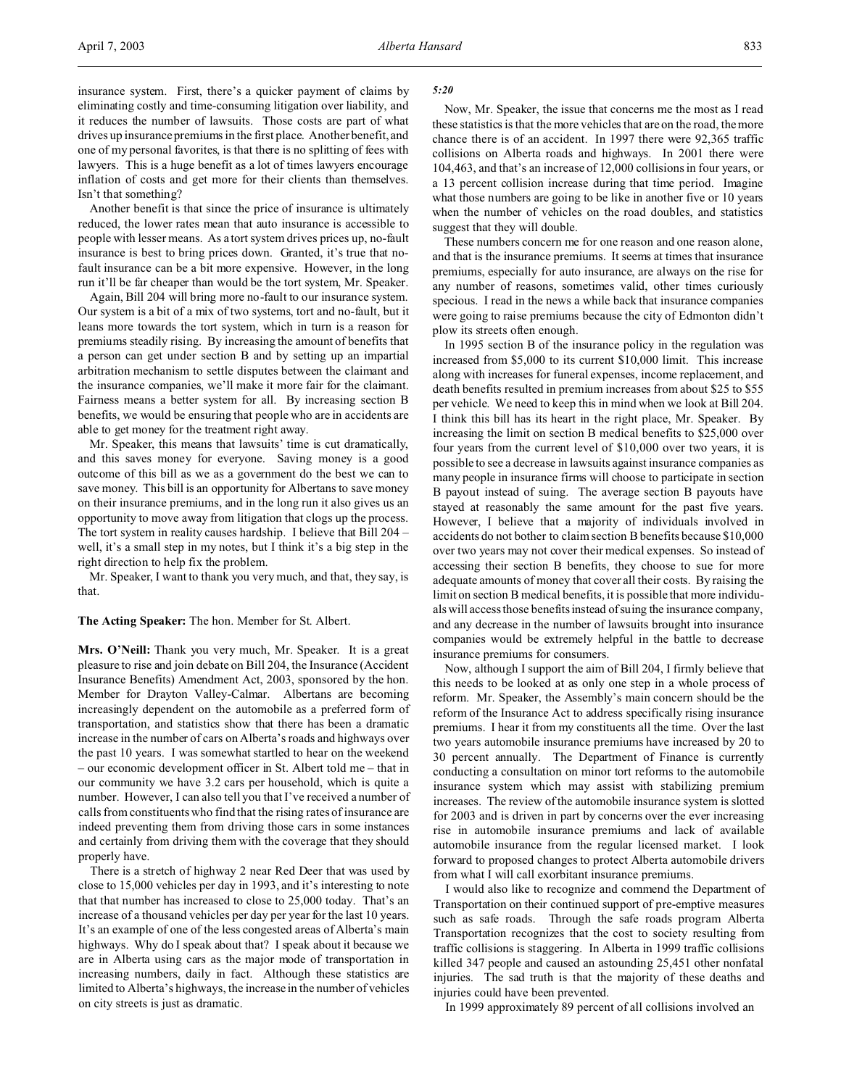Another benefit is that since the price of insurance is ultimately reduced, the lower rates mean that auto insurance is accessible to people with lesser means. As a tort system drives prices up, no-fault insurance is best to bring prices down. Granted, it's true that nofault insurance can be a bit more expensive. However, in the long run it'll be far cheaper than would be the tort system, Mr. Speaker.

Again, Bill 204 will bring more no-fault to our insurance system. Our system is a bit of a mix of two systems, tort and no-fault, but it leans more towards the tort system, which in turn is a reason for premiums steadily rising. By increasing the amount of benefits that a person can get under section B and by setting up an impartial arbitration mechanism to settle disputes between the claimant and the insurance companies, we'll make it more fair for the claimant. Fairness means a better system for all. By increasing section B benefits, we would be ensuring that people who are in accidents are able to get money for the treatment right away.

Mr. Speaker, this means that lawsuits' time is cut dramatically, and this saves money for everyone. Saving money is a good outcome of this bill as we as a government do the best we can to save money. This bill is an opportunity for Albertans to save money on their insurance premiums, and in the long run it also gives us an opportunity to move away from litigation that clogs up the process. The tort system in reality causes hardship. I believe that Bill 204 – well, it's a small step in my notes, but I think it's a big step in the right direction to help fix the problem.

Mr. Speaker, I want to thank you very much, and that, they say, is that.

## **The Acting Speaker:** The hon. Member for St. Albert.

**Mrs. O'Neill:** Thank you very much, Mr. Speaker. It is a great pleasure to rise and join debate on Bill 204, the Insurance (Accident Insurance Benefits) Amendment Act, 2003, sponsored by the hon. Member for Drayton Valley-Calmar. Albertans are becoming increasingly dependent on the automobile as a preferred form of transportation, and statistics show that there has been a dramatic increase in the number of cars on Alberta's roads and highways over the past 10 years. I was somewhat startled to hear on the weekend – our economic development officer in St. Albert told me – that in our community we have 3.2 cars per household, which is quite a number. However, I can also tell you that I've received a number of calls from constituents who find that the rising rates of insurance are indeed preventing them from driving those cars in some instances and certainly from driving them with the coverage that they should properly have.

There is a stretch of highway 2 near Red Deer that was used by close to 15,000 vehicles per day in 1993, and it's interesting to note that that number has increased to close to 25,000 today. That's an increase of a thousand vehicles per day per year for the last 10 years. It's an example of one of the less congested areas of Alberta's main highways. Why do I speak about that? I speak about it because we are in Alberta using cars as the major mode of transportation in increasing numbers, daily in fact. Although these statistics are limited to Alberta's highways, the increase in the number of vehicles on city streets is just as dramatic.

#### *5:20*

Now, Mr. Speaker, the issue that concerns me the most as I read these statistics is that the more vehicles that are on the road, the more chance there is of an accident. In 1997 there were 92,365 traffic collisions on Alberta roads and highways. In 2001 there were 104,463, and that's an increase of 12,000 collisions in four years, or a 13 percent collision increase during that time period. Imagine what those numbers are going to be like in another five or 10 years when the number of vehicles on the road doubles, and statistics suggest that they will double.

These numbers concern me for one reason and one reason alone, and that is the insurance premiums. It seems at times that insurance premiums, especially for auto insurance, are always on the rise for any number of reasons, sometimes valid, other times curiously specious. I read in the news a while back that insurance companies were going to raise premiums because the city of Edmonton didn't plow its streets often enough.

In 1995 section B of the insurance policy in the regulation was increased from \$5,000 to its current \$10,000 limit. This increase along with increases for funeral expenses, income replacement, and death benefits resulted in premium increases from about \$25 to \$55 per vehicle. We need to keep this in mind when we look at Bill 204. I think this bill has its heart in the right place, Mr. Speaker. By increasing the limit on section B medical benefits to \$25,000 over four years from the current level of \$10,000 over two years, it is possible to see a decrease in lawsuits against insurance companies as many people in insurance firms will choose to participate in section B payout instead of suing. The average section B payouts have stayed at reasonably the same amount for the past five years. However, I believe that a majority of individuals involved in accidents do not bother to claim section B benefits because \$10,000 over two years may not cover their medical expenses. So instead of accessing their section B benefits, they choose to sue for more adequate amounts of money that cover all their costs. By raising the limit on section B medical benefits, it is possible that more individuals will access those benefits instead of suing the insurance company, and any decrease in the number of lawsuits brought into insurance companies would be extremely helpful in the battle to decrease insurance premiums for consumers.

Now, although I support the aim of Bill 204, I firmly believe that this needs to be looked at as only one step in a whole process of reform. Mr. Speaker, the Assembly's main concern should be the reform of the Insurance Act to address specifically rising insurance premiums. I hear it from my constituents all the time. Over the last two years automobile insurance premiums have increased by 20 to 30 percent annually. The Department of Finance is currently conducting a consultation on minor tort reforms to the automobile insurance system which may assist with stabilizing premium increases. The review of the automobile insurance system is slotted for 2003 and is driven in part by concerns over the ever increasing rise in automobile insurance premiums and lack of available automobile insurance from the regular licensed market. I look forward to proposed changes to protect Alberta automobile drivers from what I will call exorbitant insurance premiums.

I would also like to recognize and commend the Department of Transportation on their continued support of pre-emptive measures such as safe roads. Through the safe roads program Alberta Transportation recognizes that the cost to society resulting from traffic collisions is staggering. In Alberta in 1999 traffic collisions killed 347 people and caused an astounding 25,451 other nonfatal injuries. The sad truth is that the majority of these deaths and injuries could have been prevented.

In 1999 approximately 89 percent of all collisions involved an